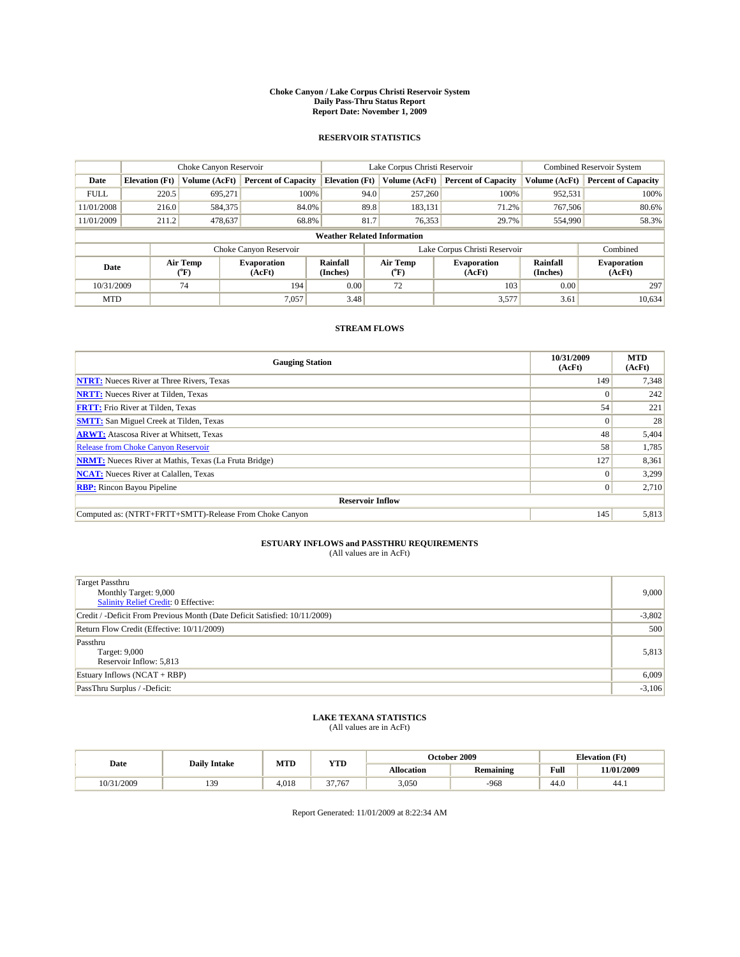#### **Choke Canyon / Lake Corpus Christi Reservoir System Daily Pass-Thru Status Report Report Date: November 1, 2009**

#### **RESERVOIR STATISTICS**

|                                    | Choke Canyon Reservoir |                             |                              |                             | Lake Corpus Christi Reservoir | <b>Combined Reservoir System</b> |                      |                              |
|------------------------------------|------------------------|-----------------------------|------------------------------|-----------------------------|-------------------------------|----------------------------------|----------------------|------------------------------|
| Date                               | <b>Elevation</b> (Ft)  | Volume (AcFt)               | <b>Percent of Capacity</b>   | <b>Elevation</b> (Ft)       | Volume (AcFt)                 | <b>Percent of Capacity</b>       | Volume (AcFt)        | <b>Percent of Capacity</b>   |
| <b>FULL</b>                        | 220.5                  | 695,271                     | 100%                         | 94.0                        | 257,260                       | 100%                             | 952,531              | 100%                         |
| 11/01/2008                         | 216.0                  | 584,375                     | 84.0%                        |                             | 89.8<br>183,131               | 71.2%                            | 767,506              | 80.6%                        |
| 11/01/2009                         | 211.2                  | 478,637                     | 68.8%                        | 81.7                        | 76,353                        | 29.7%                            | 554,990              | 58.3%                        |
| <b>Weather Related Information</b> |                        |                             |                              |                             |                               |                                  |                      |                              |
|                                    |                        |                             | Choke Canyon Reservoir       |                             | Lake Corpus Christi Reservoir |                                  |                      | Combined                     |
| Date                               |                        | Air Temp<br>${}^{\circ}$ F) | <b>Evaporation</b><br>(AcFt) | <b>Rainfall</b><br>(Inches) | Air Temp<br>(°F)              | <b>Evaporation</b><br>(AcFt)     | Rainfall<br>(Inches) | <b>Evaporation</b><br>(AcFt) |
| 10/31/2009                         |                        | 74                          | 194                          | 0.00                        | 72                            | 103                              | 0.00                 | 297                          |
| <b>MTD</b>                         |                        |                             | 7,057                        | 3.48                        |                               | 3,577                            | 3.61                 | 10,634                       |

### **STREAM FLOWS**

| <b>Gauging Station</b>                                       | 10/31/2009<br>(AcFt) | <b>MTD</b><br>(AcFt) |  |  |  |  |  |
|--------------------------------------------------------------|----------------------|----------------------|--|--|--|--|--|
| <b>NTRT:</b> Nueces River at Three Rivers, Texas             | 149                  | 7,348                |  |  |  |  |  |
| <b>NRTT:</b> Nueces River at Tilden, Texas                   | $\Omega$             | 242                  |  |  |  |  |  |
| <b>FRTT:</b> Frio River at Tilden, Texas                     | 54                   | 221                  |  |  |  |  |  |
| <b>SMTT:</b> San Miguel Creek at Tilden, Texas               | $\Omega$             | 28                   |  |  |  |  |  |
| <b>ARWT:</b> Atascosa River at Whitsett, Texas               | 48                   | 5,404                |  |  |  |  |  |
| <b>Release from Choke Canyon Reservoir</b>                   | 58                   | 1,785                |  |  |  |  |  |
| <b>NRMT:</b> Nueces River at Mathis, Texas (La Fruta Bridge) | 127                  | 8,361                |  |  |  |  |  |
| <b>NCAT:</b> Nueces River at Calallen, Texas                 | $\Omega$             | 3,299                |  |  |  |  |  |
| <b>RBP:</b> Rincon Bayou Pipeline                            | $\overline{0}$       | 2,710                |  |  |  |  |  |
| <b>Reservoir Inflow</b>                                      |                      |                      |  |  |  |  |  |
| Computed as: (NTRT+FRTT+SMTT)-Release From Choke Canyon      | 145                  | 5,813                |  |  |  |  |  |

# **ESTUARY INFLOWS and PASSTHRU REQUIREMENTS**<br>(All values are in AcFt)

| Target Passthru                                                            |          |
|----------------------------------------------------------------------------|----------|
| Monthly Target: 9,000                                                      | 9,000    |
| <b>Salinity Relief Credit: 0 Effective:</b>                                |          |
| Credit / -Deficit From Previous Month (Date Deficit Satisfied: 10/11/2009) | $-3,802$ |
| Return Flow Credit (Effective: 10/11/2009)                                 | 500      |
| Passthru                                                                   |          |
| Target: 9,000                                                              | 5,813    |
| Reservoir Inflow: 5,813                                                    |          |
| Estuary Inflows (NCAT + RBP)                                               | 6,009    |
| PassThru Surplus / -Deficit:                                               | $-3,106$ |

# **LAKE TEXANA STATISTICS** (All values are in AcFt)

|            | <b>Daily Intake</b> | MTD   | <b>YTD</b> | October 2009 |                  |                                             | <b>Elevation</b> (Ft) |
|------------|---------------------|-------|------------|--------------|------------------|---------------------------------------------|-----------------------|
| Date       |                     |       |            | Allocation   | <b>Remaining</b> | Full<br>the contract of the contract of the | 11/01/2009            |
| 10/31/2009 | 139                 | 4.018 | 37.767     | 3,050        | $-968$           | 44.0                                        | 44.1                  |

Report Generated: 11/01/2009 at 8:22:34 AM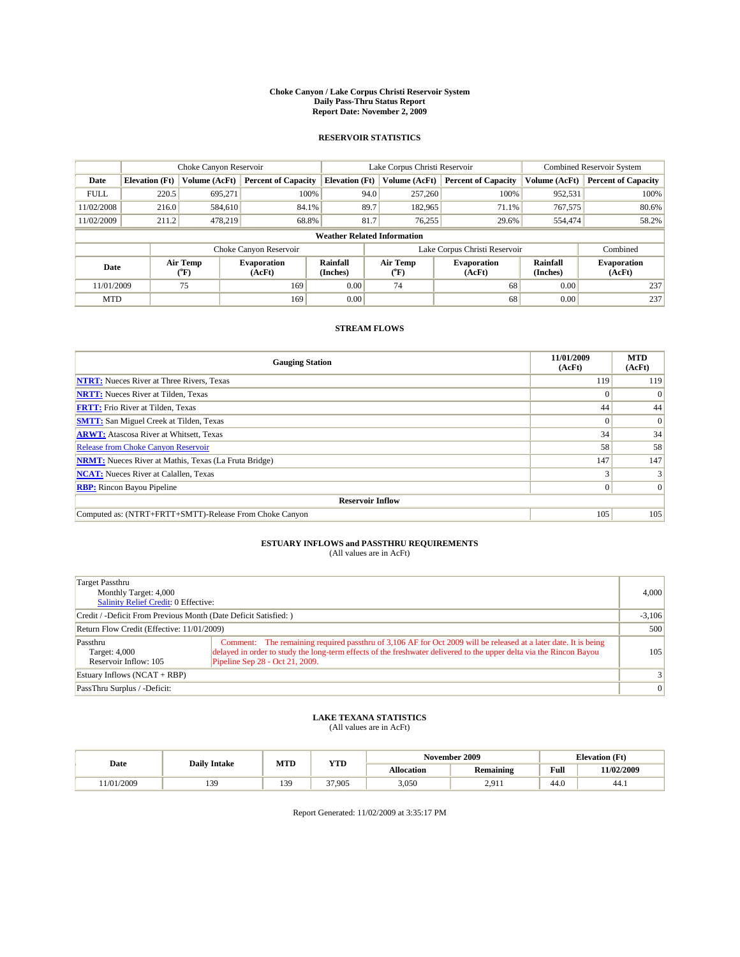#### **Choke Canyon / Lake Corpus Christi Reservoir System Daily Pass-Thru Status Report Report Date: November 2, 2009**

#### **RESERVOIR STATISTICS**

|             | Choke Canyon Reservoir             |                  |                              |                       | Lake Corpus Christi Reservoir | <b>Combined Reservoir System</b> |                      |                              |  |
|-------------|------------------------------------|------------------|------------------------------|-----------------------|-------------------------------|----------------------------------|----------------------|------------------------------|--|
| Date        | <b>Elevation</b> (Ft)              | Volume (AcFt)    | <b>Percent of Capacity</b>   | <b>Elevation</b> (Ft) | Volume (AcFt)                 | <b>Percent of Capacity</b>       | Volume (AcFt)        | <b>Percent of Capacity</b>   |  |
| <b>FULL</b> | 220.5                              | 695,271          | 100%                         | 94.0                  | 257,260                       | 100%                             | 952,531              | 100%                         |  |
| 11/02/2008  | 216.0                              | 584,610          | 84.1%                        | 89.7                  | 182,965                       | 71.1%                            | 767,575              | 80.6%                        |  |
| 11/02/2009  | 211.2                              | 478.219          | 68.8%                        | 81.7                  | 76,255                        | 29.6%                            | 554,474              | 58.2%                        |  |
|             | <b>Weather Related Information</b> |                  |                              |                       |                               |                                  |                      |                              |  |
|             |                                    |                  | Choke Canyon Reservoir       |                       |                               | Lake Corpus Christi Reservoir    |                      | Combined                     |  |
| Date        |                                    | Air Temp<br>(°F) | <b>Evaporation</b><br>(AcFt) | Rainfall<br>(Inches)  | Air Temp<br>("F)              | <b>Evaporation</b><br>(AcFt)     | Rainfall<br>(Inches) | <b>Evaporation</b><br>(AcFt) |  |
| 11/01/2009  |                                    | 75               | 169                          | 0.00                  | 74                            | 68                               | 0.00                 | 237                          |  |
| <b>MTD</b>  |                                    |                  | 169                          | 0.00                  |                               | 68                               | 0.00                 | 237                          |  |

### **STREAM FLOWS**

| <b>Gauging Station</b>                                       | 11/01/2009<br>(AcFt) | <b>MTD</b><br>(AcFt) |  |  |  |  |
|--------------------------------------------------------------|----------------------|----------------------|--|--|--|--|
| <b>NTRT:</b> Nueces River at Three Rivers, Texas             | 119                  | 119                  |  |  |  |  |
| <b>NRTT:</b> Nueces River at Tilden, Texas                   | $\Omega$             | $\Omega$             |  |  |  |  |
| <b>FRTT:</b> Frio River at Tilden, Texas                     | 44                   | 44                   |  |  |  |  |
| <b>SMTT:</b> San Miguel Creek at Tilden, Texas               |                      | $\vert 0 \vert$      |  |  |  |  |
| <b>ARWT:</b> Atascosa River at Whitsett, Texas               | 34                   | 34                   |  |  |  |  |
| Release from Choke Canyon Reservoir                          | 58                   | 58                   |  |  |  |  |
| <b>NRMT:</b> Nueces River at Mathis, Texas (La Fruta Bridge) | 147                  | 147                  |  |  |  |  |
| <b>NCAT:</b> Nueces River at Calallen, Texas                 |                      |                      |  |  |  |  |
| <b>RBP:</b> Rincon Bayou Pipeline                            | $\Omega$             | $\Omega$             |  |  |  |  |
| <b>Reservoir Inflow</b>                                      |                      |                      |  |  |  |  |
| Computed as: (NTRT+FRTT+SMTT)-Release From Choke Canyon      | 105                  | 105                  |  |  |  |  |

# **ESTUARY INFLOWS and PASSTHRU REQUIREMENTS**<br>(All values are in AcFt)

| <b>Target Passthru</b><br>Monthly Target: 4,000<br>Salinity Relief Credit: 0 Effective: |                                                                                                                                                                                                                                                                           | 4,000          |
|-----------------------------------------------------------------------------------------|---------------------------------------------------------------------------------------------------------------------------------------------------------------------------------------------------------------------------------------------------------------------------|----------------|
| Credit / -Deficit From Previous Month (Date Deficit Satisfied: )                        |                                                                                                                                                                                                                                                                           | $-3,106$       |
| Return Flow Credit (Effective: 11/01/2009)                                              |                                                                                                                                                                                                                                                                           | 500            |
| Passthru<br>Target: 4,000<br>Reservoir Inflow: 105                                      | Comment: The remaining required passthru of 3,106 AF for Oct 2009 will be released at a later date. It is being<br>delayed in order to study the long-term effects of the freshwater delivered to the upper delta via the Rincon Bayou<br>Pipeline Sep 28 - Oct 21, 2009. | 105            |
| Estuary Inflows $(NCAT + RBP)$                                                          |                                                                                                                                                                                                                                                                           | 3 <sup>1</sup> |
| PassThru Surplus / -Deficit:                                                            |                                                                                                                                                                                                                                                                           | 0              |

## **LAKE TEXANA STATISTICS** (All values are in AcFt)

|                         |                     | MTD | <b>YTD</b> | November 2009<br><b>Elevation</b> (Ft) |           |      |            |
|-------------------------|---------------------|-----|------------|----------------------------------------|-----------|------|------------|
| Date                    | <b>Daily Intake</b> |     |            | Allocation                             | Remaining | Full | 11/02/2009 |
| /2009<br>1/0.1<br>1/U 1 | 139<br>             | 39  | 37.905     | 3,050                                  | 2.911     | 44.0 | 44.1       |

Report Generated: 11/02/2009 at 3:35:17 PM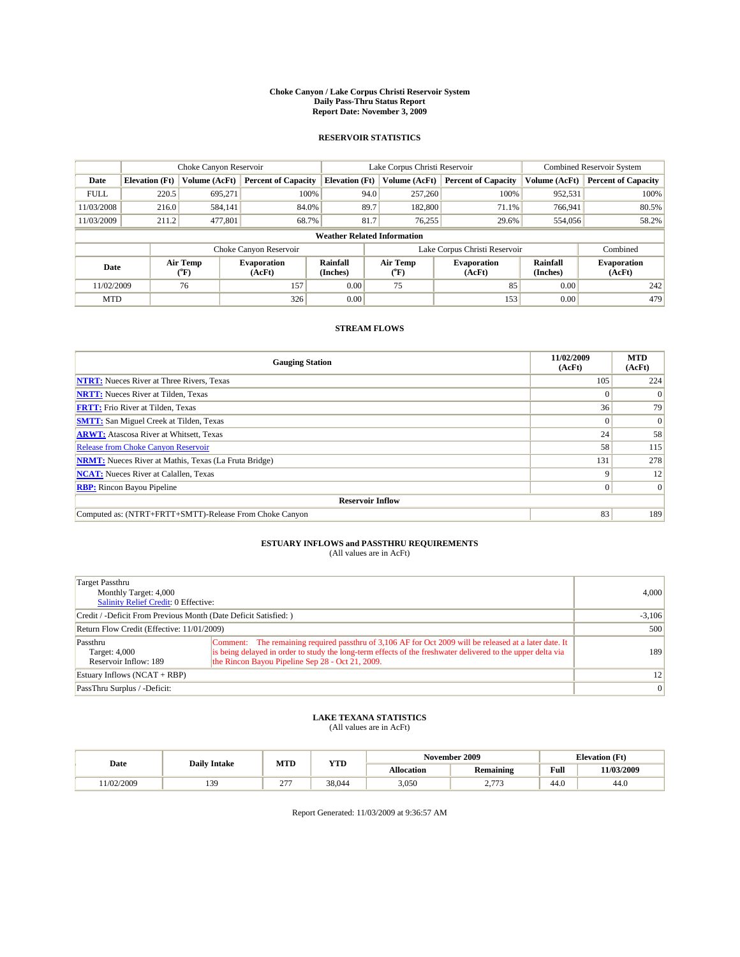#### **Choke Canyon / Lake Corpus Christi Reservoir System Daily Pass-Thru Status Report Report Date: November 3, 2009**

#### **RESERVOIR STATISTICS**

|             | Choke Canyon Reservoir             |                             |                              |                             | Lake Corpus Christi Reservoir | Combined Reservoir System    |                      |                              |  |
|-------------|------------------------------------|-----------------------------|------------------------------|-----------------------------|-------------------------------|------------------------------|----------------------|------------------------------|--|
| Date        | <b>Elevation</b> (Ft)              | Volume (AcFt)               | <b>Percent of Capacity</b>   | <b>Elevation</b> (Ft)       | Volume (AcFt)                 | <b>Percent of Capacity</b>   | Volume (AcFt)        | <b>Percent of Capacity</b>   |  |
| <b>FULL</b> | 220.5                              | 695,271                     | 100%                         | 94.0                        | 257,260                       | 100%                         | 952,531              | 100%                         |  |
| 11/03/2008  | 216.0                              | 584,141                     | 84.0%                        | 89.7                        | 182,800                       | 71.1%                        | 766.941              | 80.5%                        |  |
| 11/03/2009  | 211.2                              | 477,801                     | 68.7%                        | 81.7                        | 76.255                        | 29.6%                        | 554,056              | 58.2%                        |  |
|             | <b>Weather Related Information</b> |                             |                              |                             |                               |                              |                      |                              |  |
|             |                                    |                             | Choke Canyon Reservoir       |                             | Lake Corpus Christi Reservoir |                              |                      | Combined                     |  |
| Date        |                                    | Air Temp<br>${}^{\circ}$ F) | <b>Evaporation</b><br>(AcFt) | <b>Rainfall</b><br>(Inches) | Air Temp<br>$(^{0}F)$         | <b>Evaporation</b><br>(AcFt) | Rainfall<br>(Inches) | <b>Evaporation</b><br>(AcFt) |  |
| 11/02/2009  |                                    | 76                          | 157                          | 0.00                        | 75                            | 85                           | 0.00                 | 242                          |  |
| <b>MTD</b>  |                                    |                             | 326                          | 0.00                        |                               | 153                          | 0.00                 | 479                          |  |

### **STREAM FLOWS**

| <b>Gauging Station</b>                                       | 11/02/2009<br>(AcFt) | <b>MTD</b><br>(AcFt) |
|--------------------------------------------------------------|----------------------|----------------------|
| <b>NTRT:</b> Nueces River at Three Rivers, Texas             | 105                  | 224                  |
| <b>NRTT:</b> Nueces River at Tilden, Texas                   | $\theta$             |                      |
| <b>FRTT:</b> Frio River at Tilden, Texas                     | 36                   | 79                   |
| <b>SMTT:</b> San Miguel Creek at Tilden, Texas               | $\Omega$             | $\Omega$             |
| <b>ARWT:</b> Atascosa River at Whitsett, Texas               | 24                   | 58                   |
| <b>Release from Choke Canyon Reservoir</b>                   | 58                   | 115                  |
| <b>NRMT:</b> Nueces River at Mathis, Texas (La Fruta Bridge) | 131                  | 278                  |
| <b>NCAT:</b> Nueces River at Calallen, Texas                 | 9                    | 12                   |
| <b>RBP:</b> Rincon Bayou Pipeline                            | $\Omega$             | $\Omega$             |
| <b>Reservoir Inflow</b>                                      |                      |                      |
| Computed as: (NTRT+FRTT+SMTT)-Release From Choke Canyon      | 83                   | 189                  |

# **ESTUARY INFLOWS and PASSTHRU REQUIREMENTS**<br>(All values are in AcFt)

| Target Passthru<br>Monthly Target: 4,000<br>Salinity Relief Credit: 0 Effective: | 4.000                                                                                                                                                                                                                                                                     |     |
|----------------------------------------------------------------------------------|---------------------------------------------------------------------------------------------------------------------------------------------------------------------------------------------------------------------------------------------------------------------------|-----|
| Credit / -Deficit From Previous Month (Date Deficit Satisfied: )                 | $-3,106$                                                                                                                                                                                                                                                                  |     |
| Return Flow Credit (Effective: 11/01/2009)                                       | 500                                                                                                                                                                                                                                                                       |     |
| Passthru<br>Target: 4,000<br>Reservoir Inflow: 189                               | Comment: The remaining required passthru of 3,106 AF for Oct 2009 will be released at a later date. It<br>is being delayed in order to study the long-term effects of the freshwater delivered to the upper delta via<br>the Rincon Bayou Pipeline Sep 28 - Oct 21, 2009. | 189 |
| Estuary Inflows (NCAT + RBP)                                                     | 12                                                                                                                                                                                                                                                                        |     |
| PassThru Surplus / -Deficit:                                                     | $\vert 0 \vert$                                                                                                                                                                                                                                                           |     |

## **LAKE TEXANA STATISTICS** (All values are in AcFt)

|           | <b>Daily Intake</b> | MTD                    | <b>YTD</b> | November 2009<br><b>Elevation</b> (Ft) |                                |      |            |
|-----------|---------------------|------------------------|------------|----------------------------------------|--------------------------------|------|------------|
| Date      |                     |                        |            | <b>Allocation</b>                      | <b>Remaining</b>               | Full | 11/03/2009 |
| 1/02/2009 | 139                 | $\sim$ $-$<br><u>.</u> | 38,044     | 3,050                                  | $\sim$ $\sim$<br><u>_.,,</u> , | 44.0 | 44.0       |

Report Generated: 11/03/2009 at 9:36:57 AM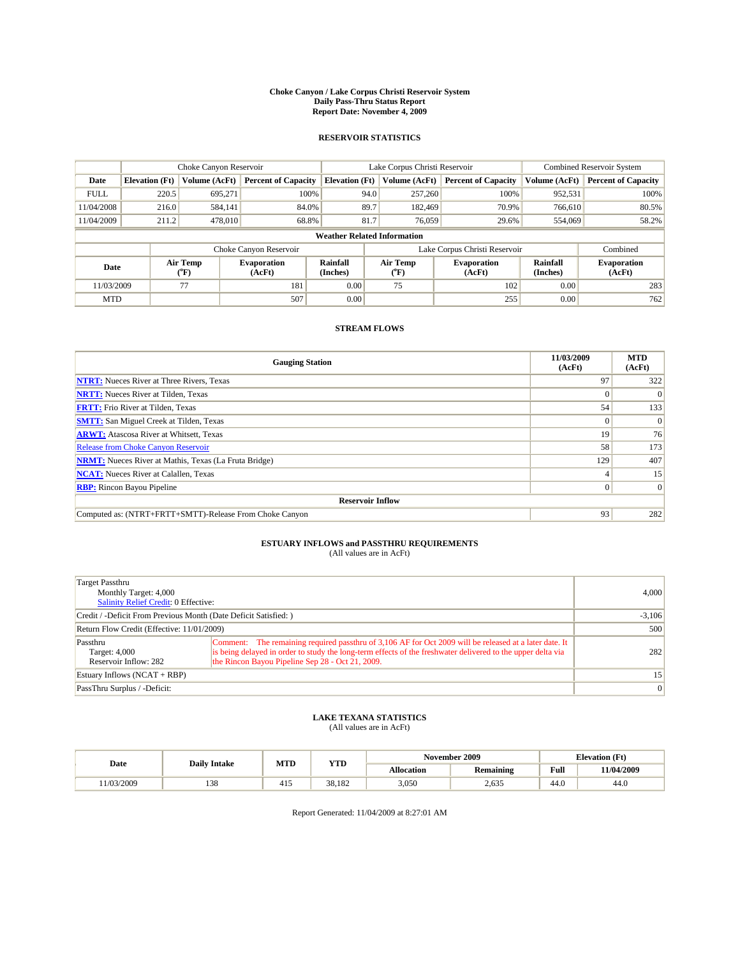#### **Choke Canyon / Lake Corpus Christi Reservoir System Daily Pass-Thru Status Report Report Date: November 4, 2009**

#### **RESERVOIR STATISTICS**

|             | Choke Canyon Reservoir             |                  |                              |                             | Lake Corpus Christi Reservoir |                               |                      | Combined Reservoir System    |  |  |
|-------------|------------------------------------|------------------|------------------------------|-----------------------------|-------------------------------|-------------------------------|----------------------|------------------------------|--|--|
| Date        | <b>Elevation</b> (Ft)              | Volume (AcFt)    | <b>Percent of Capacity</b>   | <b>Elevation</b> (Ft)       | Volume (AcFt)                 | <b>Percent of Capacity</b>    | Volume (AcFt)        | <b>Percent of Capacity</b>   |  |  |
| <b>FULL</b> | 220.5                              | 695,271          | 100%                         | 94.0                        | 257,260                       | 100%                          | 952,531              | 100%                         |  |  |
| 11/04/2008  | 216.0                              | 584,141          | 84.0%                        | 89.7                        | 182,469                       | 70.9%                         | 766.610              | 80.5%                        |  |  |
| 11/04/2009  | 211.2                              | 478,010          | 68.8%                        | 81.7                        | 76,059                        | 29.6%                         | 554,069              | 58.2%                        |  |  |
|             | <b>Weather Related Information</b> |                  |                              |                             |                               |                               |                      |                              |  |  |
|             |                                    |                  | Choke Canyon Reservoir       |                             |                               | Lake Corpus Christi Reservoir |                      | Combined                     |  |  |
| Date        |                                    | Air Temp<br>(°F) | <b>Evaporation</b><br>(AcFt) | <b>Rainfall</b><br>(Inches) | Air Temp<br>(°F)              | <b>Evaporation</b><br>(AcFt)  | Rainfall<br>(Inches) | <b>Evaporation</b><br>(AcFt) |  |  |
| 11/03/2009  |                                    | 77               | 181                          | 0.00                        | 75                            | 102                           | 0.00                 | 283                          |  |  |
| <b>MTD</b>  |                                    |                  | 507                          | 0.00                        |                               | 255                           | 0.00                 | 762                          |  |  |

### **STREAM FLOWS**

| <b>Gauging Station</b>                                       | 11/03/2009<br>(AcFt) | <b>MTD</b><br>(AcFt) |
|--------------------------------------------------------------|----------------------|----------------------|
| <b>NTRT:</b> Nueces River at Three Rivers, Texas             | 97                   | 322                  |
| <b>NRTT:</b> Nueces River at Tilden, Texas                   |                      | $\Omega$             |
| <b>FRTT:</b> Frio River at Tilden, Texas                     | 54                   | 133                  |
| <b>SMTT:</b> San Miguel Creek at Tilden, Texas               | $\theta$             | $\vert 0 \vert$      |
| <b>ARWT:</b> Atascosa River at Whitsett, Texas               | 19                   | 76                   |
| Release from Choke Canyon Reservoir                          | 58                   | 173                  |
| <b>NRMT:</b> Nueces River at Mathis, Texas (La Fruta Bridge) | 129                  | 407                  |
| <b>NCAT:</b> Nueces River at Calallen, Texas                 |                      | 15                   |
| <b>RBP:</b> Rincon Bayou Pipeline                            | $\Omega$             | $\Omega$             |
| <b>Reservoir Inflow</b>                                      |                      |                      |
| Computed as: (NTRT+FRTT+SMTT)-Release From Choke Canyon      | 93                   | 282                  |

# **ESTUARY INFLOWS and PASSTHRU REQUIREMENTS**<br>(All values are in AcFt)

| Target Passthru<br>Monthly Target: 4,000<br>Salinity Relief Credit: 0 Effective: | 4.000                                                                                                                                                                                                                                                                     |     |
|----------------------------------------------------------------------------------|---------------------------------------------------------------------------------------------------------------------------------------------------------------------------------------------------------------------------------------------------------------------------|-----|
| Credit / -Deficit From Previous Month (Date Deficit Satisfied: )                 | $-3,106$                                                                                                                                                                                                                                                                  |     |
| Return Flow Credit (Effective: 11/01/2009)                                       | 500                                                                                                                                                                                                                                                                       |     |
| Passthru<br>Target: 4,000<br>Reservoir Inflow: 282                               | Comment: The remaining required passthru of 3,106 AF for Oct 2009 will be released at a later date. It<br>is being delayed in order to study the long-term effects of the freshwater delivered to the upper delta via<br>the Rincon Bayou Pipeline Sep 28 - Oct 21, 2009. | 282 |
| Estuary Inflows $(NCAT + RBP)$                                                   | 15 <sup>1</sup>                                                                                                                                                                                                                                                           |     |
| PassThru Surplus / -Deficit:                                                     |                                                                                                                                                                                                                                                                           | 0   |

## **LAKE TEXANA STATISTICS** (All values are in AcFt)

|           |                     |     | MTD<br><b>YTD</b> | November 2009 |                  | <b>Elevation</b> (Ft) |            |
|-----------|---------------------|-----|-------------------|---------------|------------------|-----------------------|------------|
| Date      | <b>Daily Intake</b> |     |                   | Allocation    | <b>Remaining</b> | Full                  | 11/04/2009 |
| 1/03/2009 | 120<br>120          | 41. | 38.182            | 3,050         | 2,635            | 44.0                  | 44.0       |

Report Generated: 11/04/2009 at 8:27:01 AM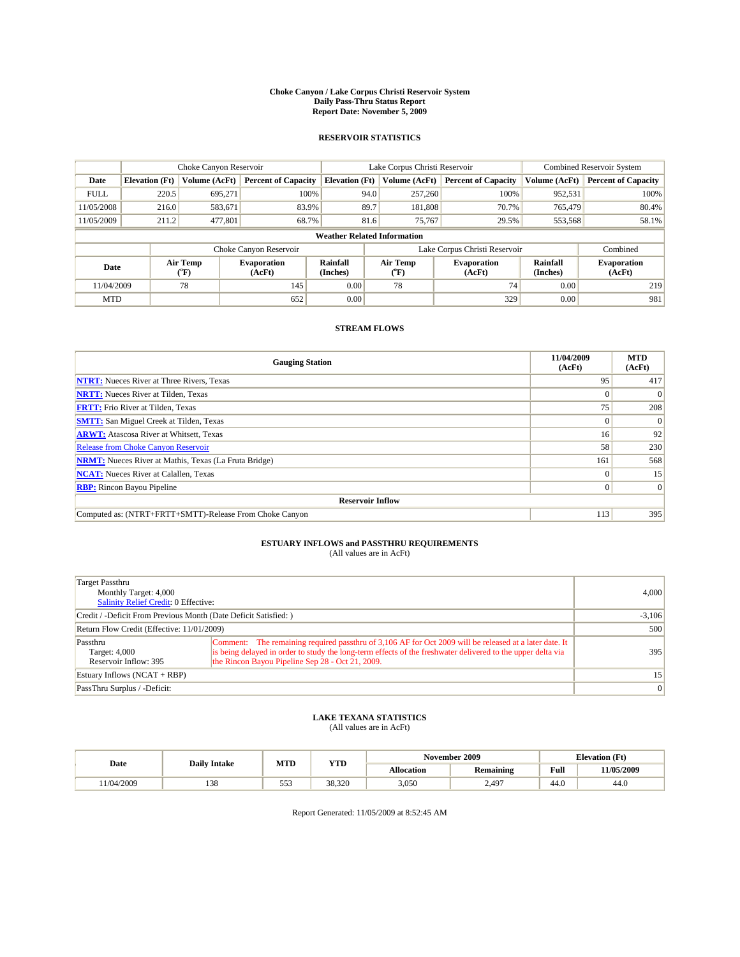#### **Choke Canyon / Lake Corpus Christi Reservoir System Daily Pass-Thru Status Report Report Date: November 5, 2009**

#### **RESERVOIR STATISTICS**

|             | Choke Canyon Reservoir             |                  |                              |                             | Lake Corpus Christi Reservoir |                               |                      | <b>Combined Reservoir System</b> |  |  |
|-------------|------------------------------------|------------------|------------------------------|-----------------------------|-------------------------------|-------------------------------|----------------------|----------------------------------|--|--|
| Date        | <b>Elevation</b> (Ft)              | Volume (AcFt)    | <b>Percent of Capacity</b>   | <b>Elevation</b> (Ft)       | Volume (AcFt)                 | <b>Percent of Capacity</b>    | Volume (AcFt)        | <b>Percent of Capacity</b>       |  |  |
| <b>FULL</b> | 220.5                              | 695,271          | 100%                         | 94.0                        | 257,260                       | 100%                          | 952,531              | 100%                             |  |  |
| 11/05/2008  | 216.0                              | 583,671          | 83.9%                        | 89.7                        | 181,808                       | 70.7%                         | 765,479              | 80.4%                            |  |  |
| 11/05/2009  | 211.2                              | 477,801          | 68.7%                        | 81.6                        | 75,767                        | 29.5%                         | 553,568              | 58.1%                            |  |  |
|             | <b>Weather Related Information</b> |                  |                              |                             |                               |                               |                      |                                  |  |  |
|             |                                    |                  | Choke Canyon Reservoir       |                             |                               | Lake Corpus Christi Reservoir |                      | Combined                         |  |  |
| Date        |                                    | Air Temp<br>(°F) | <b>Evaporation</b><br>(AcFt) | <b>Rainfall</b><br>(Inches) | Air Temp<br>(°F)              | <b>Evaporation</b><br>(AcFt)  | Rainfall<br>(Inches) | <b>Evaporation</b><br>(AcFt)     |  |  |
| 11/04/2009  |                                    | 78               | 145                          | 0.00                        | 78                            | 74                            | 0.00                 | 219                              |  |  |
| <b>MTD</b>  |                                    |                  | 652                          | 0.00                        |                               | 329                           | 0.00                 | 981                              |  |  |

### **STREAM FLOWS**

| <b>Gauging Station</b>                                       | 11/04/2009<br>(AcFt) | <b>MTD</b><br>(AcFt) |
|--------------------------------------------------------------|----------------------|----------------------|
| <b>NTRT:</b> Nueces River at Three Rivers, Texas             | 95                   | 417                  |
| <b>NRTT:</b> Nueces River at Tilden, Texas                   |                      | $\Omega$             |
| <b>FRTT:</b> Frio River at Tilden, Texas                     | 75                   | 208                  |
| <b>SMTT:</b> San Miguel Creek at Tilden, Texas               | $\theta$             | $\Omega$             |
| <b>ARWT:</b> Atascosa River at Whitsett, Texas               | 16 <sup>1</sup>      | 92                   |
| Release from Choke Canyon Reservoir                          | 58                   | 230                  |
| <b>NRMT:</b> Nueces River at Mathis, Texas (La Fruta Bridge) | 161                  | 568                  |
| <b>NCAT:</b> Nueces River at Calallen, Texas                 | $\Omega$             | 15                   |
| <b>RBP:</b> Rincon Bayou Pipeline                            | $\Omega$             | $\Omega$             |
| <b>Reservoir Inflow</b>                                      |                      |                      |
| Computed as: (NTRT+FRTT+SMTT)-Release From Choke Canyon      | 113                  | 395                  |

# **ESTUARY INFLOWS and PASSTHRU REQUIREMENTS**<br>(All values are in AcFt)

| Target Passthru<br>Monthly Target: 4,000<br>Salinity Relief Credit: 0 Effective: | 4.000                                                                                                                                                                                                                                                                     |     |
|----------------------------------------------------------------------------------|---------------------------------------------------------------------------------------------------------------------------------------------------------------------------------------------------------------------------------------------------------------------------|-----|
| Credit / -Deficit From Previous Month (Date Deficit Satisfied: )                 | $-3,106$                                                                                                                                                                                                                                                                  |     |
| Return Flow Credit (Effective: 11/01/2009)                                       | 500                                                                                                                                                                                                                                                                       |     |
| Passthru<br>Target: 4,000<br>Reservoir Inflow: 395                               | Comment: The remaining required passthru of 3,106 AF for Oct 2009 will be released at a later date. It<br>is being delayed in order to study the long-term effects of the freshwater delivered to the upper delta via<br>the Rincon Bayou Pipeline Sep 28 - Oct 21, 2009. | 395 |
| Estuary Inflows (NCAT + RBP)                                                     | 15                                                                                                                                                                                                                                                                        |     |
| PassThru Surplus / -Deficit:                                                     | $\vert 0 \vert$                                                                                                                                                                                                                                                           |     |

## **LAKE TEXANA STATISTICS** (All values are in AcFt)

|           | <b>Daily Intake</b> | MTD            | <b>YTD</b> | November 2009     |                  | <b>Elevation</b> (Ft) |            |
|-----------|---------------------|----------------|------------|-------------------|------------------|-----------------------|------------|
| Date      |                     |                |            | <b>Allocation</b> | <b>Remaining</b> | Full                  | 11/05/2009 |
| 1/04/2009 | 120<br>138          | $- - -$<br>--- | 38.320     | 3,050             | 2.497            | 44.0                  | 44.0       |

Report Generated: 11/05/2009 at 8:52:45 AM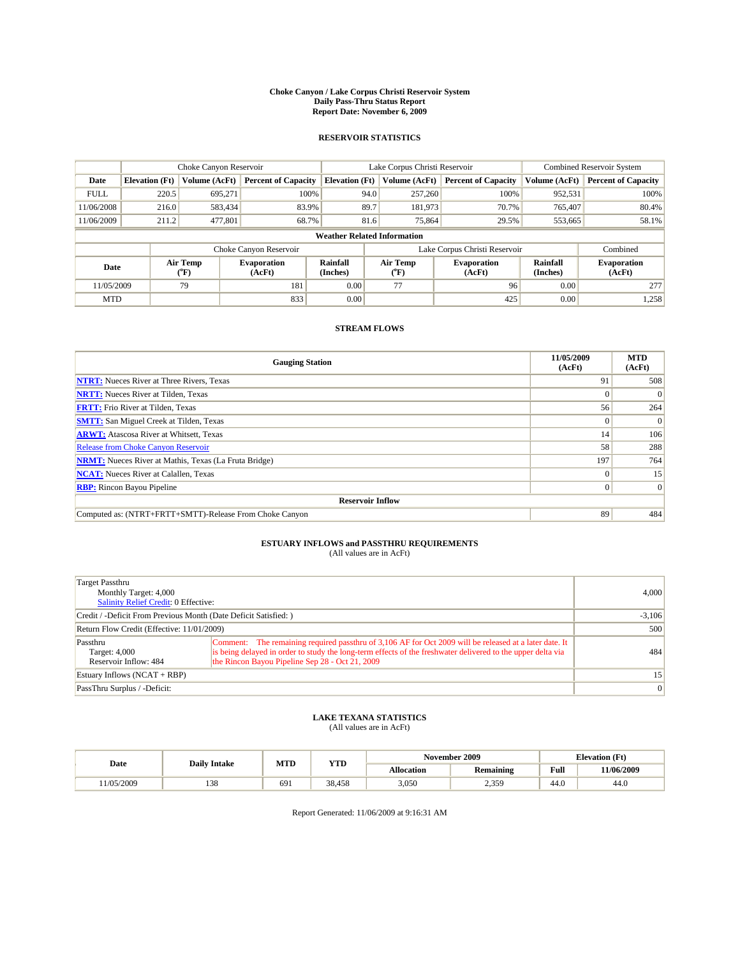#### **Choke Canyon / Lake Corpus Christi Reservoir System Daily Pass-Thru Status Report Report Date: November 6, 2009**

#### **RESERVOIR STATISTICS**

|             | Choke Canyon Reservoir             |                  |                              |                             | Lake Corpus Christi Reservoir |                              |                      | Combined Reservoir System    |  |  |
|-------------|------------------------------------|------------------|------------------------------|-----------------------------|-------------------------------|------------------------------|----------------------|------------------------------|--|--|
| Date        | <b>Elevation</b> (Ft)              | Volume (AcFt)    | <b>Percent of Capacity</b>   | <b>Elevation</b> (Ft)       | Volume (AcFt)                 | <b>Percent of Capacity</b>   | Volume (AcFt)        | <b>Percent of Capacity</b>   |  |  |
| <b>FULL</b> | 220.5                              | 695,271          | 100%                         | 94.0                        | 257,260                       | 100%                         | 952,531              | 100%                         |  |  |
| 11/06/2008  | 216.0                              | 583,434          | 83.9%                        | 89.7                        | 181,973                       | 70.7%                        | 765,407              | 80.4%                        |  |  |
| 11/06/2009  | 211.2                              | 477,801          | 68.7%                        | 81.6                        | 75,864                        | 29.5%                        | 553,665              | 58.1%                        |  |  |
|             | <b>Weather Related Information</b> |                  |                              |                             |                               |                              |                      |                              |  |  |
|             |                                    |                  | Choke Canyon Reservoir       |                             | Lake Corpus Christi Reservoir |                              |                      | Combined                     |  |  |
| Date        |                                    | Air Temp<br>(°F) | <b>Evaporation</b><br>(AcFt) | <b>Rainfall</b><br>(Inches) | Air Temp<br>(°F)              | <b>Evaporation</b><br>(AcFt) | Rainfall<br>(Inches) | <b>Evaporation</b><br>(AcFt) |  |  |
| 11/05/2009  |                                    | 79               | 181                          | 0.00                        | 77                            | 96                           | 0.00                 | 277                          |  |  |
| <b>MTD</b>  |                                    |                  | 833                          | 0.00                        |                               | 425                          | 0.00                 | 1,258                        |  |  |

### **STREAM FLOWS**

| <b>Gauging Station</b>                                       | 11/05/2009<br>(AcFt) | <b>MTD</b><br>(AcFt) |  |  |  |  |  |
|--------------------------------------------------------------|----------------------|----------------------|--|--|--|--|--|
| <b>NTRT:</b> Nueces River at Three Rivers, Texas             | 91                   | 508                  |  |  |  |  |  |
| <b>NRTT:</b> Nueces River at Tilden, Texas                   |                      | $\Omega$             |  |  |  |  |  |
| <b>FRTT:</b> Frio River at Tilden, Texas                     | 56                   | 264                  |  |  |  |  |  |
| <b>SMTT:</b> San Miguel Creek at Tilden, Texas               | $\theta$             | $\Omega$             |  |  |  |  |  |
| <b>ARWT:</b> Atascosa River at Whitsett, Texas               | 14                   | 106                  |  |  |  |  |  |
| <b>Release from Choke Canyon Reservoir</b>                   | 58                   | 288                  |  |  |  |  |  |
| <b>NRMT:</b> Nueces River at Mathis, Texas (La Fruta Bridge) | 197                  | 764                  |  |  |  |  |  |
| <b>NCAT:</b> Nueces River at Calallen, Texas                 | $\Omega$             | 15                   |  |  |  |  |  |
| <b>RBP:</b> Rincon Bayou Pipeline                            | $\Omega$             | $\Omega$             |  |  |  |  |  |
| <b>Reservoir Inflow</b>                                      |                      |                      |  |  |  |  |  |
| Computed as: (NTRT+FRTT+SMTT)-Release From Choke Canyon      | 89                   | 484                  |  |  |  |  |  |

# **ESTUARY INFLOWS and PASSTHRU REQUIREMENTS**<br>(All values are in AcFt)

| <b>Target Passthru</b><br>Monthly Target: 4,000<br>Salinity Relief Credit: 0 Effective: |                                                                                                                                                                                                                                                                          | 4,000           |
|-----------------------------------------------------------------------------------------|--------------------------------------------------------------------------------------------------------------------------------------------------------------------------------------------------------------------------------------------------------------------------|-----------------|
| Credit / -Deficit From Previous Month (Date Deficit Satisfied: )                        | $-3,106$                                                                                                                                                                                                                                                                 |                 |
| Return Flow Credit (Effective: 11/01/2009)                                              | 500                                                                                                                                                                                                                                                                      |                 |
| Passthru<br>Target: 4,000<br>Reservoir Inflow: 484                                      | Comment: The remaining required passthru of 3,106 AF for Oct 2009 will be released at a later date. It<br>is being delayed in order to study the long-term effects of the freshwater delivered to the upper delta via<br>the Rincon Bayou Pipeline Sep 28 - Oct 21, 2009 | 484             |
| Estuary Inflows $(NCAT + RBP)$                                                          |                                                                                                                                                                                                                                                                          | 15 <sup>1</sup> |
| PassThru Surplus / -Deficit:                                                            |                                                                                                                                                                                                                                                                          | 0               |

## **LAKE TEXANA STATISTICS** (All values are in AcFt)

|           |                     | MTD | <b>YTD</b> |            | November 2009  |      | <b>Elevation</b> (Ft) |
|-----------|---------------------|-----|------------|------------|----------------|------|-----------------------|
| Date      | <b>Daily Intake</b> |     |            | Allocation | Remaining      | Full | 11/06/2009            |
| 1/05/2009 | 120<br>120          | 691 | 38,458     | 3,050      | 2.350<br>. پ پ | 44.0 | 44.0                  |

Report Generated: 11/06/2009 at 9:16:31 AM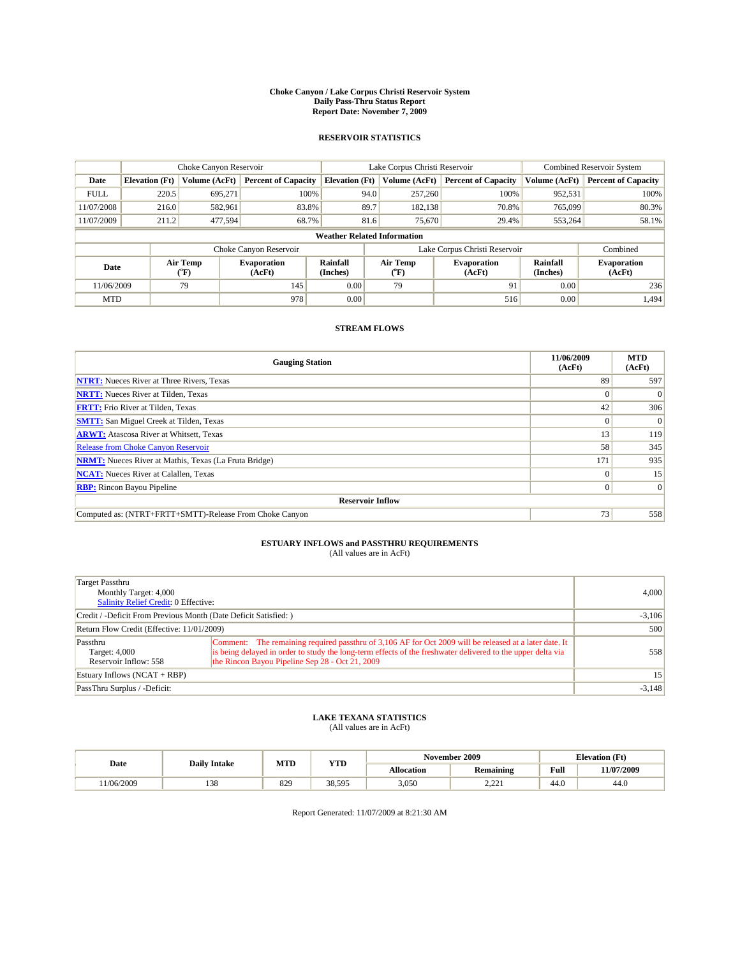#### **Choke Canyon / Lake Corpus Christi Reservoir System Daily Pass-Thru Status Report Report Date: November 7, 2009**

#### **RESERVOIR STATISTICS**

|             |                                                                                                                                      | Choke Canyon Reservoir |                            |                                    | Lake Corpus Christi Reservoir |                               |               | <b>Combined Reservoir System</b> |  |
|-------------|--------------------------------------------------------------------------------------------------------------------------------------|------------------------|----------------------------|------------------------------------|-------------------------------|-------------------------------|---------------|----------------------------------|--|
| Date        | <b>Elevation</b> (Ft)                                                                                                                | Volume (AcFt)          | <b>Percent of Capacity</b> | <b>Elevation (Ft)</b>              | Volume (AcFt)                 | <b>Percent of Capacity</b>    | Volume (AcFt) | <b>Percent of Capacity</b>       |  |
| <b>FULL</b> | 220.5                                                                                                                                | 695,271                | 100%                       |                                    | 257,260<br>94.0               | 100%                          | 952,531       | 100%                             |  |
| 11/07/2008  | 216.0                                                                                                                                | 582,961                | 83.8%                      | 89.7                               | 182,138                       | 70.8%                         | 765,099       | 80.3%                            |  |
| 11/07/2009  | 211.2                                                                                                                                | 477,594                | 68.7%                      |                                    | 81.6<br>75,670                | 29.4%                         | 553,264       | 58.1%                            |  |
|             |                                                                                                                                      |                        |                            | <b>Weather Related Information</b> |                               |                               |               |                                  |  |
|             |                                                                                                                                      |                        | Choke Canyon Reservoir     |                                    |                               | Lake Corpus Christi Reservoir |               | Combined                         |  |
|             | Air Temp<br>Air Temp<br><b>Rainfall</b><br>Evaporation<br><b>Evaporation</b><br>Date<br>(Inches)<br>(AcFt)<br>(°F)<br>(AcFt)<br>(°F) |                        |                            | Rainfall<br>(Inches)               | <b>Evaporation</b><br>(AcFt)  |                               |               |                                  |  |
| 11/06/2009  |                                                                                                                                      | 79                     | 145                        | 0.00                               | 79                            | 91                            | 0.00          | 236                              |  |
| <b>MTD</b>  |                                                                                                                                      |                        | 978                        | 0.00                               |                               | 516                           | 0.00          | 1.494                            |  |

### **STREAM FLOWS**

| <b>Gauging Station</b>                                       | 11/06/2009<br>(AcFt) | <b>MTD</b><br>(AcFt) |  |  |  |  |
|--------------------------------------------------------------|----------------------|----------------------|--|--|--|--|
| <b>NTRT:</b> Nueces River at Three Rivers, Texas             | 89                   | 597                  |  |  |  |  |
| <b>NRTT:</b> Nueces River at Tilden, Texas                   | $\Omega$             |                      |  |  |  |  |
| <b>FRTT:</b> Frio River at Tilden, Texas                     | 42                   | 306                  |  |  |  |  |
| <b>SMTT:</b> San Miguel Creek at Tilden, Texas               | $\theta$             | $\Omega$             |  |  |  |  |
| <b>ARWT:</b> Atascosa River at Whitsett, Texas               | 13                   | 119                  |  |  |  |  |
| <b>Release from Choke Canyon Reservoir</b>                   | 58                   | 345                  |  |  |  |  |
| <b>NRMT:</b> Nueces River at Mathis, Texas (La Fruta Bridge) | 171                  | 935                  |  |  |  |  |
| <b>NCAT:</b> Nueces River at Calallen, Texas                 | $\Omega$             | 15                   |  |  |  |  |
| <b>RBP:</b> Rincon Bayou Pipeline                            | $\Omega$             | $\Omega$             |  |  |  |  |
| <b>Reservoir Inflow</b>                                      |                      |                      |  |  |  |  |
| Computed as: (NTRT+FRTT+SMTT)-Release From Choke Canyon      | 73                   | 558                  |  |  |  |  |

# **ESTUARY INFLOWS and PASSTHRU REQUIREMENTS**<br>(All values are in AcFt)

| <b>Target Passthru</b><br>Monthly Target: 4,000<br>Salinity Relief Credit: 0 Effective: | 4,000                                                                                                                                                                                                                                                                    |          |
|-----------------------------------------------------------------------------------------|--------------------------------------------------------------------------------------------------------------------------------------------------------------------------------------------------------------------------------------------------------------------------|----------|
| Credit / -Deficit From Previous Month (Date Deficit Satisfied: )                        | $-3,106$                                                                                                                                                                                                                                                                 |          |
| Return Flow Credit (Effective: 11/01/2009)                                              |                                                                                                                                                                                                                                                                          | 500      |
| Passthru<br>Target: 4,000<br>Reservoir Inflow: 558                                      | Comment: The remaining required passthru of 3,106 AF for Oct 2009 will be released at a later date. It<br>is being delayed in order to study the long-term effects of the freshwater delivered to the upper delta via<br>the Rincon Bayou Pipeline Sep 28 - Oct 21, 2009 | 558      |
| Estuary Inflows $(NCAT + RBP)$                                                          | 15 <sup>1</sup>                                                                                                                                                                                                                                                          |          |
| PassThru Surplus / -Deficit:                                                            |                                                                                                                                                                                                                                                                          | $-3,148$ |

# **LAKE TEXANA STATISTICS** (All values are in AcFt)

|           | <b>Daily Intake</b> | MTD | <b>YTD</b> |            | November 2009         | <b>Elevation</b> (Ft) |            |
|-----------|---------------------|-----|------------|------------|-----------------------|-----------------------|------------|
| Date      |                     |     |            | Allocation | Remaining             | Full                  | 11/07/2009 |
| 1/06/2009 | 120<br>120          | 829 | 38.595     | 3,050      | $\sim$ $\sim$<br>---- | 44.0                  | 44.0       |

Report Generated: 11/07/2009 at 8:21:30 AM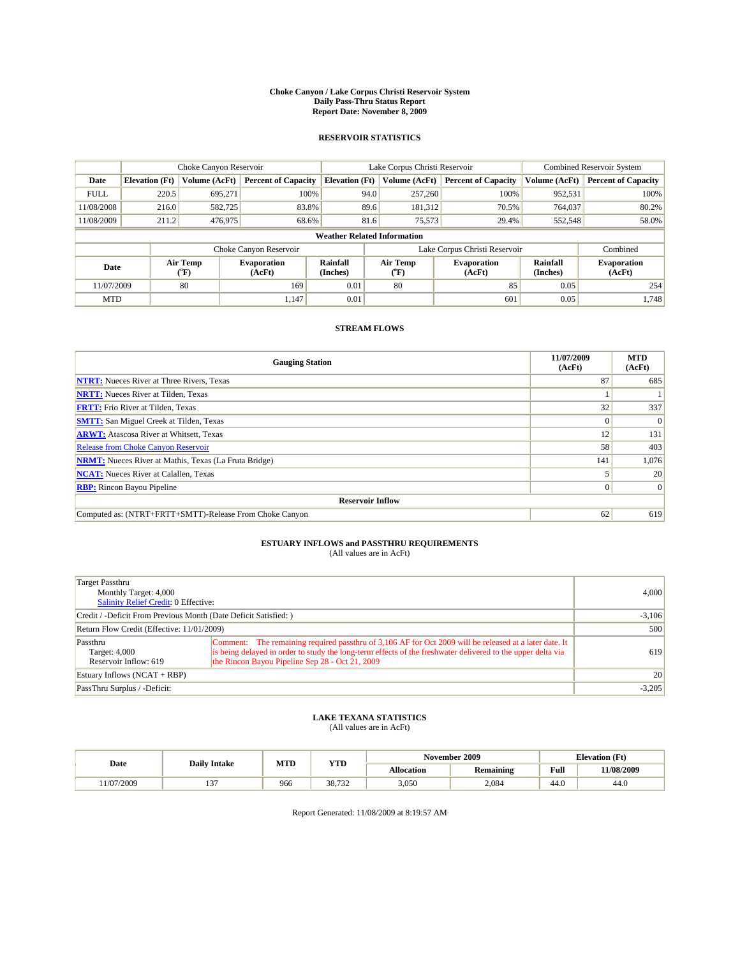#### **Choke Canyon / Lake Corpus Christi Reservoir System Daily Pass-Thru Status Report Report Date: November 8, 2009**

#### **RESERVOIR STATISTICS**

|             | Choke Canyon Reservoir |                      |                                                                                                                 |                                    | Lake Corpus Christi Reservoir | <b>Combined Reservoir System</b> |               |                            |
|-------------|------------------------|----------------------|-----------------------------------------------------------------------------------------------------------------|------------------------------------|-------------------------------|----------------------------------|---------------|----------------------------|
| Date        | <b>Elevation</b> (Ft)  | <b>Volume (AcFt)</b> | <b>Percent of Capacity</b>                                                                                      | <b>Elevation</b> (Ft)              | Volume (AcFt)                 | <b>Percent of Capacity</b>       | Volume (AcFt) | <b>Percent of Capacity</b> |
| <b>FULL</b> | 220.5                  | 695,271              | 100%                                                                                                            | 94.0                               | 257,260                       | 100%                             | 952,531       | 100%                       |
| 11/08/2008  | 216.0                  | 582,725              | 83.8%                                                                                                           | 89.6                               | 181,312                       | 70.5%                            | 764,037       | 80.2%                      |
| 11/08/2009  | 211.2                  | 476,975              | 68.6%                                                                                                           | 81.6                               | 75,573                        | 29.4%                            | 552,548       | 58.0%                      |
|             |                        |                      |                                                                                                                 | <b>Weather Related Information</b> |                               |                                  |               |                            |
|             |                        |                      | Choke Canyon Reservoir                                                                                          |                                    |                               | Lake Corpus Christi Reservoir    |               | Combined                   |
| Date        |                        | Air Temp<br>(°F)     | Air Temp<br><b>Rainfall</b><br><b>Evaporation</b><br><b>Evaporation</b><br>(Inches)<br>(AcFt)<br>(AcFt)<br>("F) |                                    | Rainfall<br>(Inches)          | <b>Evaporation</b><br>(AcFt)     |               |                            |
| 11/07/2009  |                        | 80                   | 169                                                                                                             | 0.01                               | 80                            | 85                               | 0.05          | 254                        |
| <b>MTD</b>  |                        |                      | 1.147                                                                                                           | 0.01                               |                               | 601                              | 0.05          | 1.748                      |

### **STREAM FLOWS**

| <b>Gauging Station</b>                                       | 11/07/2009<br>(AcFt) | <b>MTD</b><br>(AcFt) |  |  |  |  |
|--------------------------------------------------------------|----------------------|----------------------|--|--|--|--|
| <b>NTRT:</b> Nueces River at Three Rivers, Texas             | 87                   | 685                  |  |  |  |  |
| <b>NRTT:</b> Nueces River at Tilden, Texas                   |                      |                      |  |  |  |  |
| <b>FRTT:</b> Frio River at Tilden, Texas                     | 32                   | 337                  |  |  |  |  |
| <b>SMTT:</b> San Miguel Creek at Tilden, Texas               | $\theta$             | $\Omega$             |  |  |  |  |
| <b>ARWT:</b> Atascosa River at Whitsett, Texas               | 12                   | 131                  |  |  |  |  |
| <b>Release from Choke Canyon Reservoir</b>                   | 58                   | 403                  |  |  |  |  |
| <b>NRMT:</b> Nueces River at Mathis, Texas (La Fruta Bridge) | 141                  | 1,076                |  |  |  |  |
| <b>NCAT:</b> Nueces River at Calallen, Texas                 |                      | 20                   |  |  |  |  |
| <b>RBP:</b> Rincon Bayou Pipeline                            | $\overline{0}$       | $\Omega$             |  |  |  |  |
| <b>Reservoir Inflow</b>                                      |                      |                      |  |  |  |  |
| Computed as: (NTRT+FRTT+SMTT)-Release From Choke Canyon      | 62                   | 619                  |  |  |  |  |

# **ESTUARY INFLOWS and PASSTHRU REQUIREMENTS**

| (All values are in AcFt) |  |  |
|--------------------------|--|--|
|--------------------------|--|--|

| Target Passthru<br>Monthly Target: 4,000<br><b>Salinity Relief Credit: 0 Effective:</b> | 4,000                                                                                                                                                                                                                                                                    |          |
|-----------------------------------------------------------------------------------------|--------------------------------------------------------------------------------------------------------------------------------------------------------------------------------------------------------------------------------------------------------------------------|----------|
| Credit / -Deficit From Previous Month (Date Deficit Satisfied: )                        | $-3,106$                                                                                                                                                                                                                                                                 |          |
| Return Flow Credit (Effective: 11/01/2009)                                              | 500                                                                                                                                                                                                                                                                      |          |
| Passthru<br>Target: 4,000<br>Reservoir Inflow: 619                                      | Comment: The remaining required passthru of 3,106 AF for Oct 2009 will be released at a later date. It<br>is being delayed in order to study the long-term effects of the freshwater delivered to the upper delta via<br>the Rincon Bayou Pipeline Sep 28 - Oct 21, 2009 | 619      |
| Estuary Inflows $(NCAT + RBP)$                                                          | 20                                                                                                                                                                                                                                                                       |          |
| PassThru Surplus / -Deficit:                                                            |                                                                                                                                                                                                                                                                          | $-3,205$ |

## **LAKE TEXANA STATISTICS** (All values are in AcFt)

|           | <b>Daily Intake</b> | MTD | <b>YTD</b> | November 2009     |           | <b>Elevation</b> (Ft) |            |
|-----------|---------------------|-----|------------|-------------------|-----------|-----------------------|------------|
| Date      |                     |     |            | <b>Allocation</b> | Remaining | Full                  | 11/08/2009 |
| 1/07/2009 | $\sim$<br>. .       | 966 | 38,732     | 3,050             | 2.084     | 44.0                  | 44.0       |

Report Generated: 11/08/2009 at 8:19:57 AM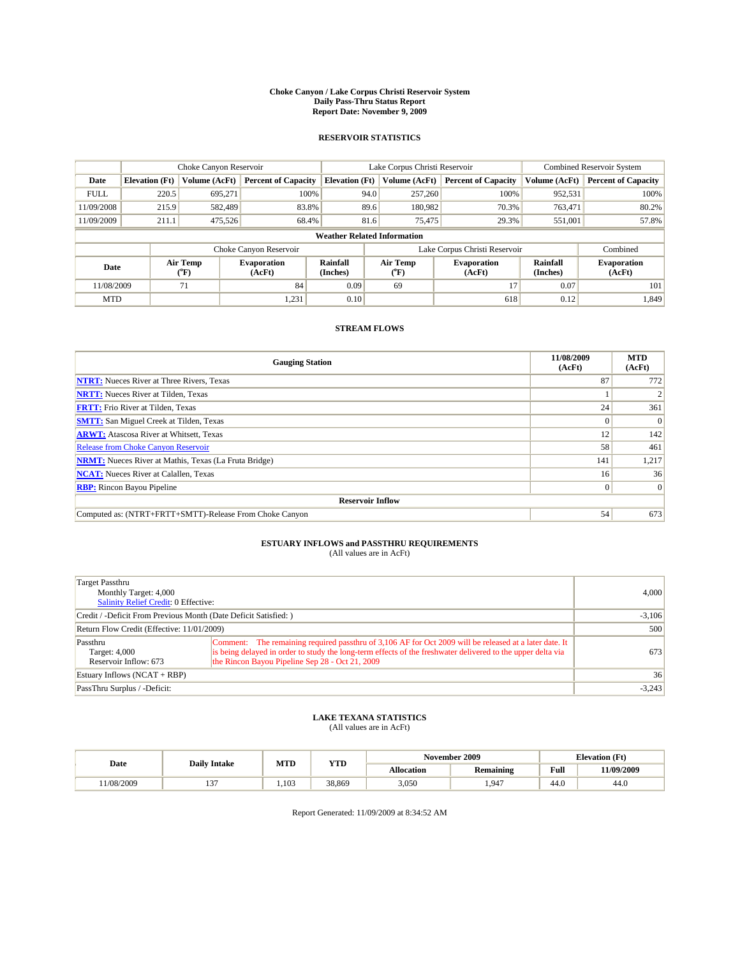#### **Choke Canyon / Lake Corpus Christi Reservoir System Daily Pass-Thru Status Report Report Date: November 9, 2009**

#### **RESERVOIR STATISTICS**

|             | Choke Canyon Reservoir |                      |                              |                                                                                 | Lake Corpus Christi Reservoir | <b>Combined Reservoir System</b> |                              |                            |
|-------------|------------------------|----------------------|------------------------------|---------------------------------------------------------------------------------|-------------------------------|----------------------------------|------------------------------|----------------------------|
| Date        | <b>Elevation</b> (Ft)  | <b>Volume (AcFt)</b> | <b>Percent of Capacity</b>   | <b>Elevation</b> (Ft)                                                           | Volume (AcFt)                 | <b>Percent of Capacity</b>       | Volume (AcFt)                | <b>Percent of Capacity</b> |
| <b>FULL</b> | 220.5                  | 695,271              | 100%                         | 94.0                                                                            | 257,260                       | 100%                             | 952,531                      | 100%                       |
| 11/09/2008  | 215.9                  | 582,489              | 83.8%                        | 89.6                                                                            | 180,982                       | 70.3%                            | 763,471                      | 80.2%                      |
| 11/09/2009  | 211.1                  | 475,526              | 68.4%                        | 81.6                                                                            | 75,475                        | 29.3%                            | 551,001                      | 57.8%                      |
|             |                        |                      |                              | <b>Weather Related Information</b>                                              |                               |                                  |                              |                            |
|             |                        |                      | Choke Canyon Reservoir       |                                                                                 |                               | Lake Corpus Christi Reservoir    |                              | Combined                   |
| Date        |                        | Air Temp<br>(°F)     | <b>Evaporation</b><br>(AcFt) | Air Temp<br><b>Rainfall</b><br><b>Evaporation</b><br>(Inches)<br>(AcFt)<br>(°F) |                               | Rainfall<br>(Inches)             | <b>Evaporation</b><br>(AcFt) |                            |
| 11/08/2009  |                        | 71                   | 84                           | 0.09                                                                            | 69                            | 17                               | 0.07                         | 101                        |
| <b>MTD</b>  |                        |                      | 1,231                        | 0.10                                                                            |                               | 618                              | 0.12                         | 1,849                      |

### **STREAM FLOWS**

| <b>Gauging Station</b>                                       | 11/08/2009<br>(AcFt) | <b>MTD</b><br>(AcFt) |  |  |  |  |
|--------------------------------------------------------------|----------------------|----------------------|--|--|--|--|
| <b>NTRT:</b> Nueces River at Three Rivers, Texas             | 87                   | 772                  |  |  |  |  |
| <b>NRTT:</b> Nueces River at Tilden, Texas                   |                      |                      |  |  |  |  |
| <b>FRTT:</b> Frio River at Tilden, Texas                     | 24                   | 361                  |  |  |  |  |
| <b>SMTT:</b> San Miguel Creek at Tilden, Texas               |                      | $\Omega$             |  |  |  |  |
| <b>ARWT:</b> Atascosa River at Whitsett, Texas               | 12                   | 142                  |  |  |  |  |
| Release from Choke Canyon Reservoir                          | 58                   | 461                  |  |  |  |  |
| <b>NRMT:</b> Nueces River at Mathis, Texas (La Fruta Bridge) | 141                  | 1,217                |  |  |  |  |
| <b>NCAT:</b> Nueces River at Calallen, Texas                 | 16 <sup>1</sup>      | 36                   |  |  |  |  |
| <b>RBP:</b> Rincon Bayou Pipeline                            | $\overline{0}$       | $\Omega$             |  |  |  |  |
| <b>Reservoir Inflow</b>                                      |                      |                      |  |  |  |  |
| Computed as: (NTRT+FRTT+SMTT)-Release From Choke Canyon      | 54                   | 673                  |  |  |  |  |

# **ESTUARY INFLOWS and PASSTHRU REQUIREMENTS**<br>(All values are in AcFt)

| Target Passthru<br>Monthly Target: 4,000<br><b>Salinity Relief Credit: 0 Effective:</b> | 4,000                                                                                                                                                                                                                                                                    |          |
|-----------------------------------------------------------------------------------------|--------------------------------------------------------------------------------------------------------------------------------------------------------------------------------------------------------------------------------------------------------------------------|----------|
| Credit / -Deficit From Previous Month (Date Deficit Satisfied: )                        | $-3,106$                                                                                                                                                                                                                                                                 |          |
| Return Flow Credit (Effective: 11/01/2009)                                              | 500                                                                                                                                                                                                                                                                      |          |
| Passthru<br>Target: 4,000<br>Reservoir Inflow: 673                                      | Comment: The remaining required passthru of 3,106 AF for Oct 2009 will be released at a later date. It<br>is being delayed in order to study the long-term effects of the freshwater delivered to the upper delta via<br>the Rincon Bayou Pipeline Sep 28 - Oct 21, 2009 | 673      |
| Estuary Inflows $(NCAT + RBP)$                                                          | 36                                                                                                                                                                                                                                                                       |          |
| PassThru Surplus / -Deficit:                                                            |                                                                                                                                                                                                                                                                          | $-3,243$ |

## **LAKE TEXANA STATISTICS** (All values are in AcFt)

|           | MTD<br><b>YTD</b><br><b>Daily Intake</b> |      |        | November 2009 |                  | <b>Elevation</b> (Ft) |            |
|-----------|------------------------------------------|------|--------|---------------|------------------|-----------------------|------------|
| Date      |                                          |      |        | Allocation    | <b>Remaining</b> | <b>Full</b>           | 11/09/2009 |
| 1/08/2009 | $\sim$<br>…                              | .103 | 38.869 | 3,050         | .947             | 44.0                  | 44.0       |

Report Generated: 11/09/2009 at 8:34:52 AM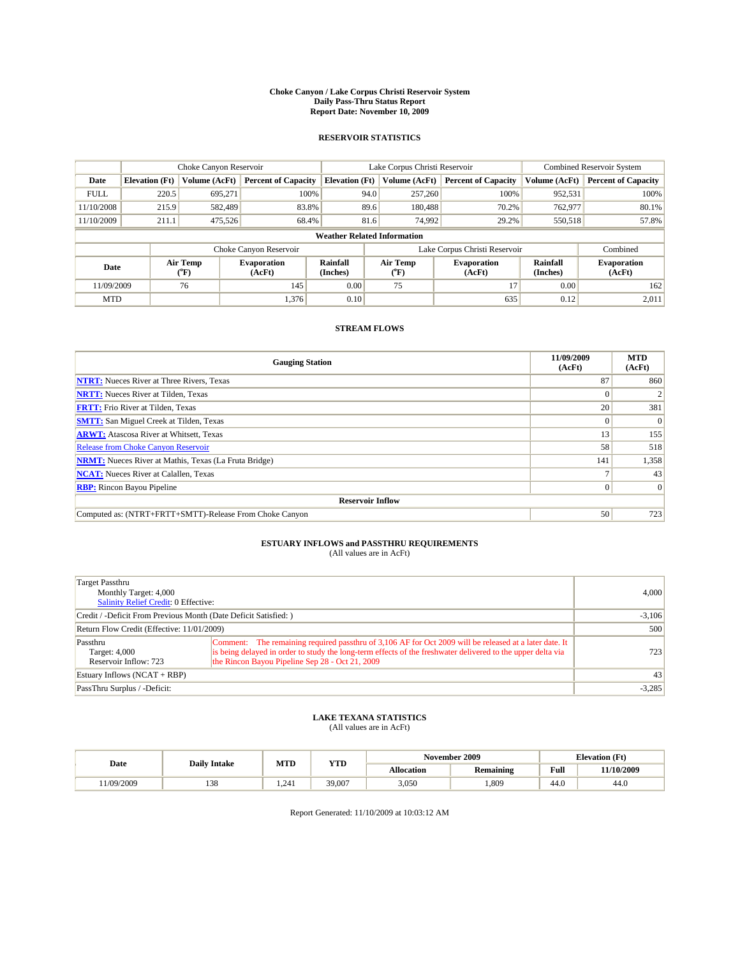#### **Choke Canyon / Lake Corpus Christi Reservoir System Daily Pass-Thru Status Report Report Date: November 10, 2009**

#### **RESERVOIR STATISTICS**

|             | Choke Canyon Reservoir |                  |                            |                                    | Lake Corpus Christi Reservoir |                                                      |               | <b>Combined Reservoir System</b> |  |
|-------------|------------------------|------------------|----------------------------|------------------------------------|-------------------------------|------------------------------------------------------|---------------|----------------------------------|--|
| Date        | <b>Elevation</b> (Ft)  | Volume (AcFt)    | <b>Percent of Capacity</b> | <b>Elevation</b> (Ft)              | Volume (AcFt)                 | <b>Percent of Capacity</b>                           | Volume (AcFt) | <b>Percent of Capacity</b>       |  |
| <b>FULL</b> | 220.5                  | 695,271          | 100%                       | 94.0                               | 257,260                       | 100%                                                 | 952,531       | 100%                             |  |
| 11/10/2008  | 215.9                  | 582,489          | 83.8%                      |                                    | 89.6<br>180,488               | 70.2%                                                | 762,977       | 80.1%                            |  |
| 11/10/2009  | 211.1                  | 475,526          | 68.4%                      | 81.6                               | 74,992                        | 29.2%                                                | 550,518       | 57.8%                            |  |
|             |                        |                  |                            | <b>Weather Related Information</b> |                               |                                                      |               |                                  |  |
|             |                        |                  | Choke Canyon Reservoir     |                                    | Lake Corpus Christi Reservoir |                                                      |               | Combined                         |  |
| Date        |                        | Air Temp<br>(°F) | Evaporation<br>(AcFt)      | <b>Rainfall</b><br>(Inches)        | Air Temp<br>(°F)              | Rainfall<br><b>Evaporation</b><br>(Inches)<br>(AcFt) |               | <b>Evaporation</b><br>(AcFt)     |  |
| 11/09/2009  |                        | 76               | 145                        | 0.00                               | 75                            | 17                                                   | 0.00          | 162                              |  |
| <b>MTD</b>  |                        |                  | 1,376                      | 0.10                               |                               | 635                                                  | 0.12          | 2,011                            |  |

### **STREAM FLOWS**

| <b>Gauging Station</b>                                       | 11/09/2009<br>(AcFt) | <b>MTD</b><br>(AcFt) |
|--------------------------------------------------------------|----------------------|----------------------|
| <b>NTRT:</b> Nueces River at Three Rivers, Texas             | 87                   | 860                  |
| <b>NRTT:</b> Nueces River at Tilden, Texas                   |                      |                      |
| <b>FRTT:</b> Frio River at Tilden, Texas                     | 20                   | 381                  |
| <b>SMTT:</b> San Miguel Creek at Tilden, Texas               |                      | $\Omega$             |
| <b>ARWT:</b> Atascosa River at Whitsett, Texas               | 13                   | 155                  |
| <b>Release from Choke Canyon Reservoir</b>                   | 58                   | 518                  |
| <b>NRMT:</b> Nueces River at Mathis, Texas (La Fruta Bridge) | 141                  | 1,358                |
| <b>NCAT:</b> Nueces River at Calallen, Texas                 |                      | 43                   |
| <b>RBP:</b> Rincon Bayou Pipeline                            | 0                    | $\Omega$             |
| <b>Reservoir Inflow</b>                                      |                      |                      |
| Computed as: (NTRT+FRTT+SMTT)-Release From Choke Canyon      | 50                   | 723                  |

# **ESTUARY INFLOWS and PASSTHRU REQUIREMENTS**<br>(All values are in AcFt)

| Target Passthru<br>Monthly Target: 4,000<br>Salinity Relief Credit: 0 Effective: |                                                                                                                                                                                                                                                                          | 4.000    |
|----------------------------------------------------------------------------------|--------------------------------------------------------------------------------------------------------------------------------------------------------------------------------------------------------------------------------------------------------------------------|----------|
| Credit / -Deficit From Previous Month (Date Deficit Satisfied: )                 | $-3,106$                                                                                                                                                                                                                                                                 |          |
| Return Flow Credit (Effective: 11/01/2009)                                       | 500                                                                                                                                                                                                                                                                      |          |
| Passthru<br>Target: 4,000<br>Reservoir Inflow: 723                               | Comment: The remaining required passthru of 3,106 AF for Oct 2009 will be released at a later date. It<br>is being delayed in order to study the long-term effects of the freshwater delivered to the upper delta via<br>the Rincon Bayou Pipeline Sep 28 - Oct 21, 2009 | 723      |
| Estuary Inflows $(NCAT + RBP)$                                                   |                                                                                                                                                                                                                                                                          | 43       |
| PassThru Surplus / -Deficit:                                                     |                                                                                                                                                                                                                                                                          | $-3,285$ |

## **LAKE TEXANA STATISTICS** (All values are in AcFt)

|           | MTD<br>VTF<br><b>Daily Intake</b> |       |        | November 2009 |                  | <b>Elevation</b> (Ft) |            |
|-----------|-----------------------------------|-------|--------|---------------|------------------|-----------------------|------------|
| Date      |                                   |       | * ID   | Allocation    | <b>Remaining</b> | Full                  | 11/10/2009 |
| 1/09/2009 | 12C<br>190                        | 1.241 | 39,007 | 3,050         | 1.809            | 44.0                  | 44.6       |

Report Generated: 11/10/2009 at 10:03:12 AM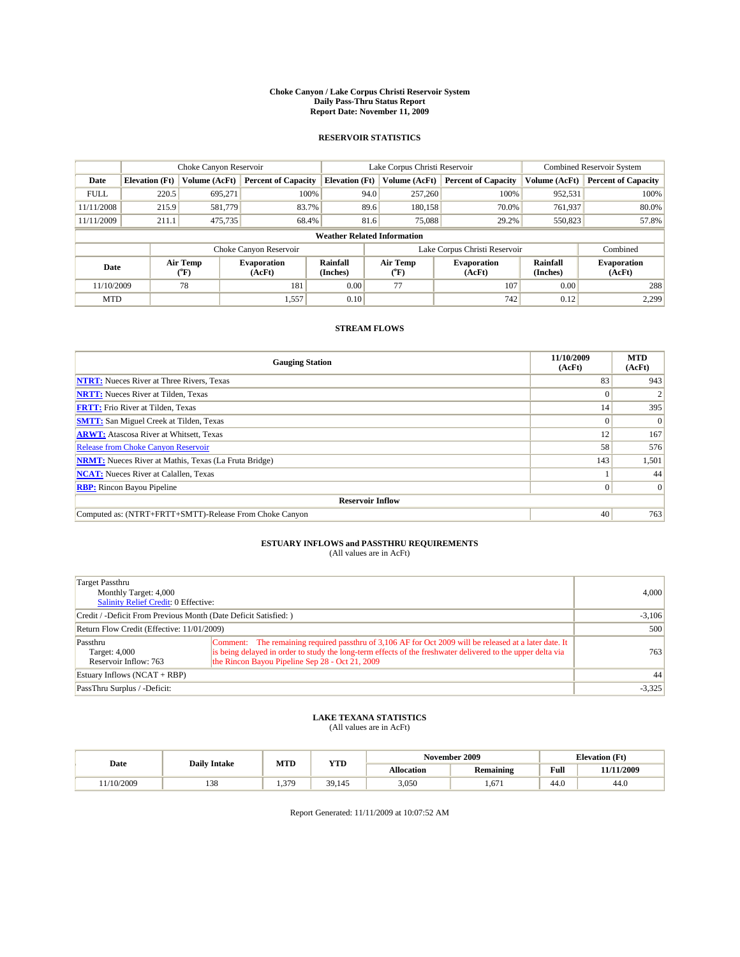#### **Choke Canyon / Lake Corpus Christi Reservoir System Daily Pass-Thru Status Report Report Date: November 11, 2009**

#### **RESERVOIR STATISTICS**

|             | Choke Canyon Reservoir |                      |                              |                                    | Lake Corpus Christi Reservoir |                              |                      | <b>Combined Reservoir System</b> |  |
|-------------|------------------------|----------------------|------------------------------|------------------------------------|-------------------------------|------------------------------|----------------------|----------------------------------|--|
| Date        | <b>Elevation</b> (Ft)  | <b>Volume (AcFt)</b> | <b>Percent of Capacity</b>   | <b>Elevation</b> (Ft)              | Volume (AcFt)                 | <b>Percent of Capacity</b>   | Volume (AcFt)        | <b>Percent of Capacity</b>       |  |
| <b>FULL</b> | 220.5                  | 695,271              | 100%                         | 94.0                               | 257,260                       | 100%                         | 952,531              | 100%                             |  |
| 11/11/2008  | 215.9                  | 581,779              | 83.7%                        | 89.6                               | 180,158                       | 70.0%                        | 761,937              | 80.0%                            |  |
| 11/11/2009  | 211.1                  | 475,735              | 68.4%                        | 81.6                               | 75,088                        | 29.2%                        | 550,823              | 57.8%                            |  |
|             |                        |                      |                              | <b>Weather Related Information</b> |                               |                              |                      |                                  |  |
|             |                        |                      | Choke Canyon Reservoir       |                                    | Lake Corpus Christi Reservoir |                              |                      | Combined                         |  |
| Date        |                        | Air Temp<br>(°F)     | <b>Evaporation</b><br>(AcFt) | Rainfall<br>(Inches)               | Air Temp<br>("F)              | <b>Evaporation</b><br>(AcFt) | Rainfall<br>(Inches) | <b>Evaporation</b><br>(AcFt)     |  |
| 11/10/2009  |                        | 78                   | 181                          | 0.00                               | 77                            | 107                          | 0.00                 | 288                              |  |
| <b>MTD</b>  |                        |                      | 1,557                        | 0.10                               |                               | 742                          | 0.12                 | 2.299                            |  |

### **STREAM FLOWS**

| <b>Gauging Station</b>                                       | 11/10/2009<br>(AcFt) | <b>MTD</b><br>(AcFt) |
|--------------------------------------------------------------|----------------------|----------------------|
| <b>NTRT:</b> Nueces River at Three Rivers, Texas             | 83                   | 943                  |
| <b>NRTT:</b> Nueces River at Tilden, Texas                   | $\Omega$             |                      |
| <b>FRTT:</b> Frio River at Tilden, Texas                     | 14                   | 395                  |
| <b>SMTT:</b> San Miguel Creek at Tilden, Texas               | $\theta$             | $\Omega$             |
| <b>ARWT:</b> Atascosa River at Whitsett, Texas               | 12                   | 167                  |
| <b>Release from Choke Canyon Reservoir</b>                   | 58                   | 576                  |
| <b>NRMT:</b> Nueces River at Mathis, Texas (La Fruta Bridge) | 143                  | 1,501                |
| <b>NCAT:</b> Nueces River at Calallen, Texas                 |                      | 44                   |
| <b>RBP:</b> Rincon Bayou Pipeline                            | $\overline{0}$       | $\Omega$             |
| <b>Reservoir Inflow</b>                                      |                      |                      |
| Computed as: (NTRT+FRTT+SMTT)-Release From Choke Canyon      | 40                   | 763                  |

# **ESTUARY INFLOWS and PASSTHRU REQUIREMENTS**<br>(All values are in AcFt)

| Target Passthru<br>Monthly Target: 4,000<br><b>Salinity Relief Credit: 0 Effective:</b> |                                                                                                                                                                                                                                                                          | 4,000    |
|-----------------------------------------------------------------------------------------|--------------------------------------------------------------------------------------------------------------------------------------------------------------------------------------------------------------------------------------------------------------------------|----------|
| Credit / -Deficit From Previous Month (Date Deficit Satisfied: )                        |                                                                                                                                                                                                                                                                          | $-3,106$ |
| Return Flow Credit (Effective: 11/01/2009)                                              |                                                                                                                                                                                                                                                                          | 500      |
| Passthru<br>Target: 4,000<br>Reservoir Inflow: 763                                      | Comment: The remaining required passthru of 3,106 AF for Oct 2009 will be released at a later date. It<br>is being delayed in order to study the long-term effects of the freshwater delivered to the upper delta via<br>the Rincon Bayou Pipeline Sep 28 - Oct 21, 2009 | 763      |
| Estuary Inflows $(NCAT + RBP)$                                                          |                                                                                                                                                                                                                                                                          | 44       |
| PassThru Surplus / -Deficit:                                                            |                                                                                                                                                                                                                                                                          | $-3,325$ |

## **LAKE TEXANA STATISTICS** (All values are in AcFt)

|           |                     | MTD      |        | November 2009<br><b>YTD</b> |           | <b>Elevation</b> (Ft)                       |            |
|-----------|---------------------|----------|--------|-----------------------------|-----------|---------------------------------------------|------------|
| Date      | <b>Daily Intake</b> |          |        | Allocation                  | Remaining | Full<br>the contract of the contract of the | 11/11/2009 |
| 1/10/2009 | 120<br>120          | 370<br>. | 39,145 | 3,050                       | .671      | 44.0                                        | 44.0       |

Report Generated: 11/11/2009 at 10:07:52 AM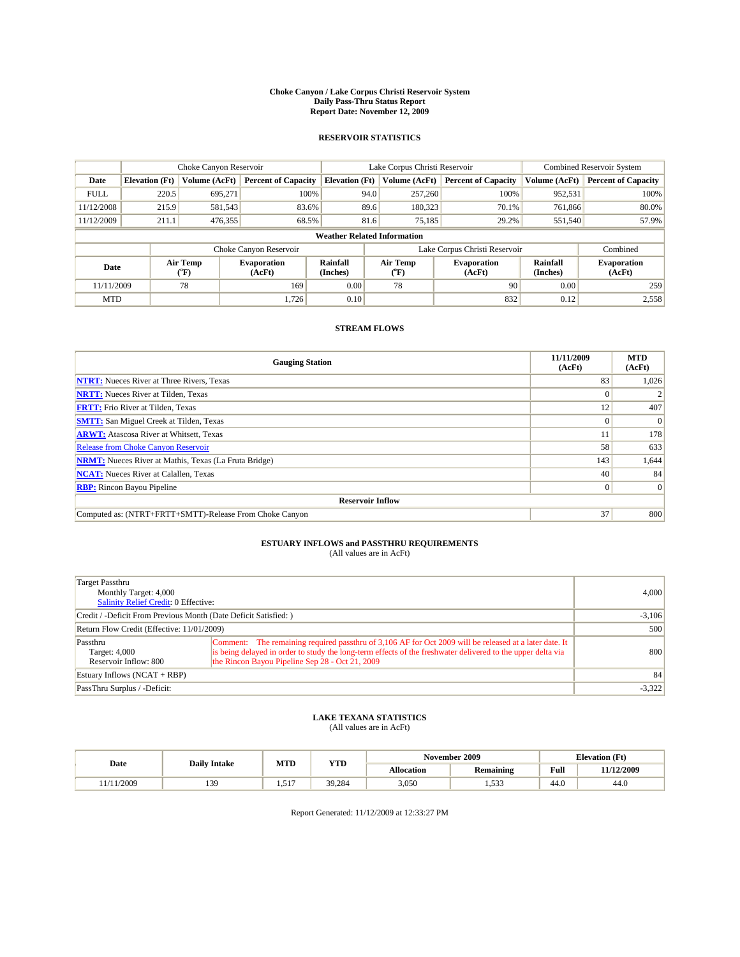#### **Choke Canyon / Lake Corpus Christi Reservoir System Daily Pass-Thru Status Report Report Date: November 12, 2009**

#### **RESERVOIR STATISTICS**

|             | Choke Canyon Reservoir |                  |                              |                                    | Lake Corpus Christi Reservoir | <b>Combined Reservoir System</b>                     |               |                              |
|-------------|------------------------|------------------|------------------------------|------------------------------------|-------------------------------|------------------------------------------------------|---------------|------------------------------|
| Date        | <b>Elevation</b> (Ft)  | Volume (AcFt)    | <b>Percent of Capacity</b>   | <b>Elevation</b> (Ft)              | Volume (AcFt)                 | <b>Percent of Capacity</b>                           | Volume (AcFt) | <b>Percent of Capacity</b>   |
| <b>FULL</b> | 220.5                  | 695,271          | 100%                         | 94.0                               | 257,260                       | 100%                                                 | 952,531       | 100%                         |
| 11/12/2008  | 215.9                  | 581,543          | 83.6%                        |                                    | 89.6<br>180,323               | 70.1%                                                | 761,866       | 80.0%                        |
| 11/12/2009  | 211.1                  | 476,355          | 68.5%                        | 81.6                               | 75,185                        | 29.2%                                                | 551,540       | 57.9%                        |
|             |                        |                  |                              | <b>Weather Related Information</b> |                               |                                                      |               |                              |
|             |                        |                  | Choke Canyon Reservoir       |                                    | Lake Corpus Christi Reservoir |                                                      |               | Combined                     |
| Date        |                        | Air Temp<br>(°F) | <b>Evaporation</b><br>(AcFt) | Rainfall<br>(Inches)               | Air Temp<br>("F)              | Rainfall<br><b>Evaporation</b><br>(Inches)<br>(AcFt) |               | <b>Evaporation</b><br>(AcFt) |
| 11/11/2009  |                        | 78               | 169                          | 0.00                               | 78                            | 90                                                   | 0.00          | 259                          |
| <b>MTD</b>  |                        |                  | 1.726                        | 0.10                               |                               | 832                                                  | 0.12          | 2,558                        |

### **STREAM FLOWS**

| <b>Gauging Station</b>                                       | 11/11/2009<br>(AcFt) | <b>MTD</b><br>(AcFt) |
|--------------------------------------------------------------|----------------------|----------------------|
| <b>NTRT:</b> Nueces River at Three Rivers, Texas             | 83                   | 1,026                |
| <b>NRTT:</b> Nueces River at Tilden, Texas                   |                      |                      |
| <b>FRTT:</b> Frio River at Tilden, Texas                     | 12                   | 407                  |
| <b>SMTT:</b> San Miguel Creek at Tilden, Texas               |                      | $\Omega$             |
| <b>ARWT:</b> Atascosa River at Whitsett, Texas               |                      | 178                  |
| Release from Choke Canyon Reservoir                          | 58                   | 633                  |
| <b>NRMT:</b> Nueces River at Mathis, Texas (La Fruta Bridge) | 143                  | 1,644                |
| <b>NCAT:</b> Nueces River at Calallen, Texas                 | 40                   | 84                   |
| <b>RBP:</b> Rincon Bayou Pipeline                            | $\overline{0}$       | $\Omega$             |
| <b>Reservoir Inflow</b>                                      |                      |                      |
| Computed as: (NTRT+FRTT+SMTT)-Release From Choke Canyon      | 37                   | 800                  |

# **ESTUARY INFLOWS and PASSTHRU REQUIREMENTS**<br>(All values are in AcFt)

| Target Passthru<br>Monthly Target: 4,000<br>Salinity Relief Credit: 0 Effective: |                                                                                                                                                                                                                                                                          | 4,000    |
|----------------------------------------------------------------------------------|--------------------------------------------------------------------------------------------------------------------------------------------------------------------------------------------------------------------------------------------------------------------------|----------|
| Credit / -Deficit From Previous Month (Date Deficit Satisfied: )                 | $-3,106$                                                                                                                                                                                                                                                                 |          |
| Return Flow Credit (Effective: 11/01/2009)                                       |                                                                                                                                                                                                                                                                          | 500      |
| Passthru<br>Target: 4,000<br>Reservoir Inflow: 800                               | Comment: The remaining required passthru of 3,106 AF for Oct 2009 will be released at a later date. It<br>is being delayed in order to study the long-term effects of the freshwater delivered to the upper delta via<br>the Rincon Bayou Pipeline Sep 28 - Oct 21, 2009 | 800      |
| Estuary Inflows $(NCAT + RBP)$                                                   |                                                                                                                                                                                                                                                                          | 84       |
| PassThru Surplus / -Deficit:                                                     |                                                                                                                                                                                                                                                                          | $-3,322$ |

## **LAKE TEXANA STATISTICS** (All values are in AcFt)

|       |                     | MTD<br><b>YTD</b>    |        |            | November 2009         |                                             | <b>Elevation</b> (Ft) |
|-------|---------------------|----------------------|--------|------------|-----------------------|---------------------------------------------|-----------------------|
| Date  | <b>Daily Intake</b> |                      |        | Allocation | Remaining             | Full<br>the contract of the contract of the | 11/12/2009            |
| /2009 | 130<br>             | $51^{\circ}$<br>1.71 | 39,284 | 3,050      | $52^{\circ}$<br>ن رن. | 44.0                                        | 44.0                  |

Report Generated: 11/12/2009 at 12:33:27 PM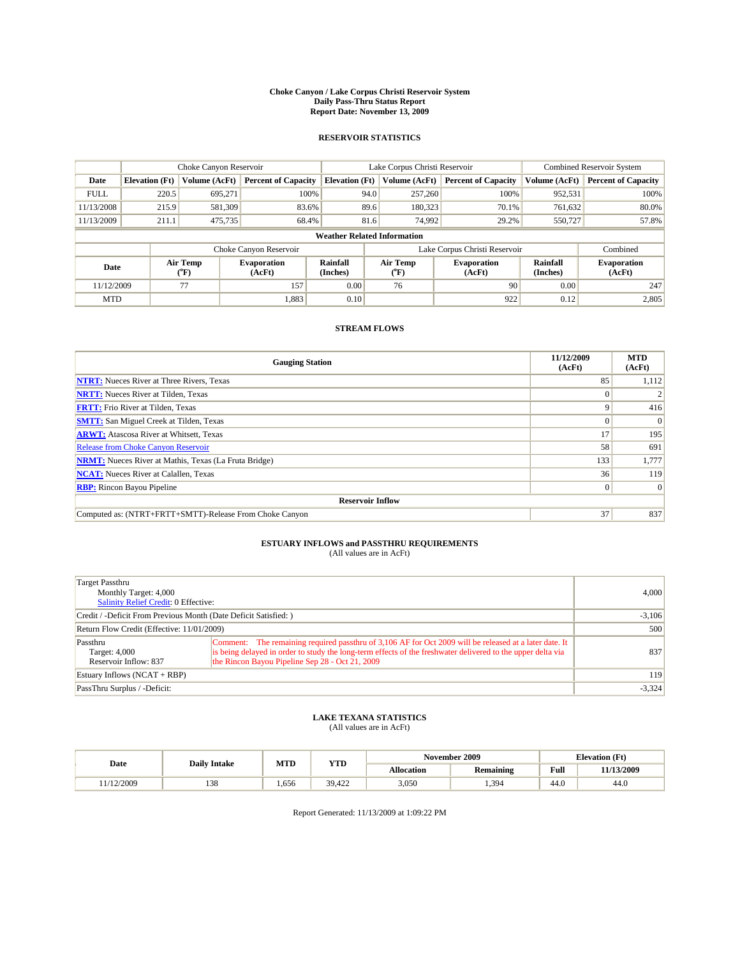#### **Choke Canyon / Lake Corpus Christi Reservoir System Daily Pass-Thru Status Report Report Date: November 13, 2009**

#### **RESERVOIR STATISTICS**

|             | Choke Canyon Reservoir |                      |                              |                                    | Lake Corpus Christi Reservoir | Combined Reservoir System    |                      |                              |
|-------------|------------------------|----------------------|------------------------------|------------------------------------|-------------------------------|------------------------------|----------------------|------------------------------|
| Date        | <b>Elevation</b> (Ft)  | <b>Volume (AcFt)</b> | <b>Percent of Capacity</b>   | <b>Elevation (Ft)</b>              | Volume (AcFt)                 | <b>Percent of Capacity</b>   | Volume (AcFt)        | <b>Percent of Capacity</b>   |
| <b>FULL</b> | 220.5                  | 695,271              | 100%                         | 94.0                               | 257,260                       | 100%                         | 952,531              | 100%                         |
| 11/13/2008  | 215.9                  | 581,309              | 83.6%                        | 89.6                               | 180,323                       | 70.1%                        | 761,632              | 80.0%                        |
| 11/13/2009  | 211.1                  | 475,735              | 68.4%                        | 81.6                               | 74,992                        | 29.2%                        | 550,727              | 57.8%                        |
|             |                        |                      |                              | <b>Weather Related Information</b> |                               |                              |                      |                              |
|             |                        |                      | Choke Canyon Reservoir       |                                    | Lake Corpus Christi Reservoir |                              |                      | Combined                     |
| Date        |                        | Air Temp<br>(°F)     | <b>Evaporation</b><br>(AcFt) | Rainfall<br>(Inches)               | Air Temp<br>("F)              | <b>Evaporation</b><br>(AcFt) | Rainfall<br>(Inches) | <b>Evaporation</b><br>(AcFt) |
| 11/12/2009  |                        | 77                   | 157                          | 0.00                               | 76                            | 90                           | 0.00                 | 247                          |
| <b>MTD</b>  |                        |                      | 1,883                        | 0.10                               |                               | 922                          | 0.12                 | 2,805                        |

### **STREAM FLOWS**

| <b>Gauging Station</b>                                       | 11/12/2009<br>(AcFt) | <b>MTD</b><br>(AcFt) |
|--------------------------------------------------------------|----------------------|----------------------|
| <b>NTRT:</b> Nueces River at Three Rivers, Texas             | 85                   | 1,112                |
| <b>NRTT:</b> Nueces River at Tilden, Texas                   |                      |                      |
| <b>FRTT:</b> Frio River at Tilden, Texas                     | Q                    | 416                  |
| <b>SMTT:</b> San Miguel Creek at Tilden, Texas               |                      | $\Omega$             |
| <b>ARWT:</b> Atascosa River at Whitsett, Texas               | 17                   | 195                  |
| Release from Choke Canyon Reservoir                          | 58                   | 691                  |
| <b>NRMT:</b> Nueces River at Mathis, Texas (La Fruta Bridge) | 133                  | 1,777                |
| <b>NCAT:</b> Nueces River at Calallen, Texas                 | 36                   | 119                  |
| <b>RBP:</b> Rincon Bayou Pipeline                            | $\overline{0}$       | $\Omega$             |
| <b>Reservoir Inflow</b>                                      |                      |                      |
| Computed as: (NTRT+FRTT+SMTT)-Release From Choke Canyon      | 37                   | 837                  |

# **ESTUARY INFLOWS and PASSTHRU REQUIREMENTS**<br>(All values are in AcFt)

| Target Passthru<br>Monthly Target: 4,000<br>Salinity Relief Credit: 0 Effective: |                                                                                                                                                                                                                                                                          | 4,000    |
|----------------------------------------------------------------------------------|--------------------------------------------------------------------------------------------------------------------------------------------------------------------------------------------------------------------------------------------------------------------------|----------|
| Credit / -Deficit From Previous Month (Date Deficit Satisfied: )                 |                                                                                                                                                                                                                                                                          | $-3,106$ |
| Return Flow Credit (Effective: 11/01/2009)                                       |                                                                                                                                                                                                                                                                          | 500      |
| Passthru<br>Target: 4,000<br>Reservoir Inflow: 837                               | Comment: The remaining required passthru of 3,106 AF for Oct 2009 will be released at a later date. It<br>is being delayed in order to study the long-term effects of the freshwater delivered to the upper delta via<br>the Rincon Bayou Pipeline Sep 28 - Oct 21, 2009 | 837      |
| Estuary Inflows $(NCAT + RBP)$                                                   |                                                                                                                                                                                                                                                                          | 119      |
| PassThru Surplus / -Deficit:                                                     |                                                                                                                                                                                                                                                                          | $-3,324$ |

## **LAKE TEXANA STATISTICS** (All values are in AcFt)

|           | <b>Daily Intake</b> | MTD   | <b>YTD</b> |            | November 2009    |      | <b>Elevation</b> (Ft) |  |
|-----------|---------------------|-------|------------|------------|------------------|------|-----------------------|--|
| Date      |                     |       |            | Allocation | <b>Remaining</b> | Full | 11/13/2009            |  |
| 1/12/2009 | 129<br>120          | .,656 | 39,422     | 3,050      | 1.394            | 44.0 | 44.0                  |  |

Report Generated: 11/13/2009 at 1:09:22 PM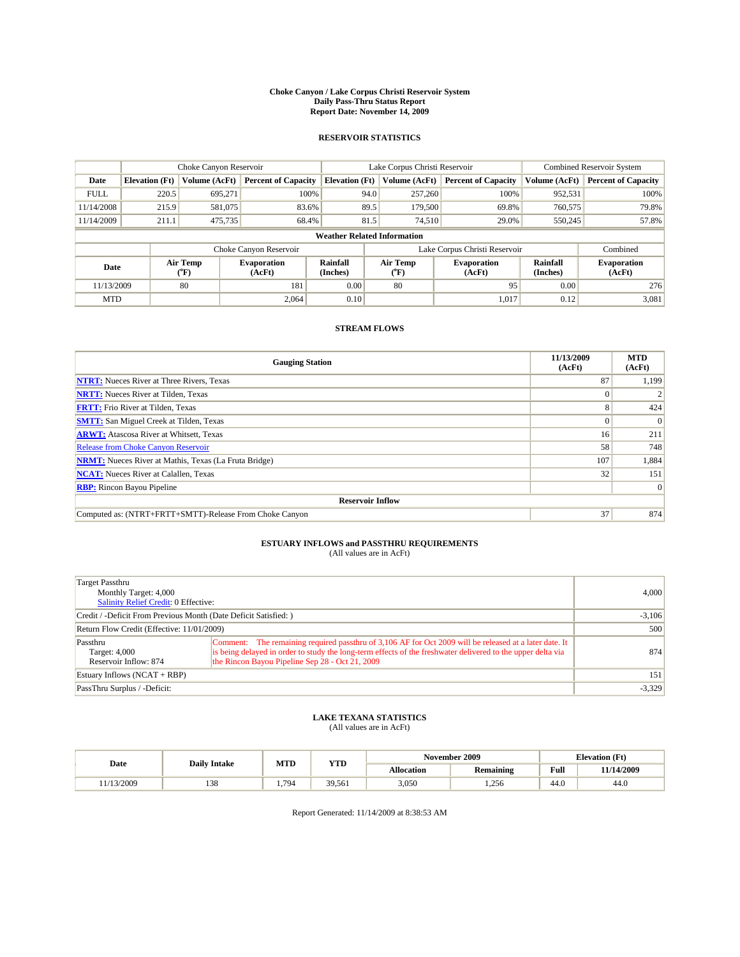#### **Choke Canyon / Lake Corpus Christi Reservoir System Daily Pass-Thru Status Report Report Date: November 14, 2009**

#### **RESERVOIR STATISTICS**

|             | Choke Canyon Reservoir |                  |                              |                                    | Lake Corpus Christi Reservoir | <b>Combined Reservoir System</b> |                      |                              |
|-------------|------------------------|------------------|------------------------------|------------------------------------|-------------------------------|----------------------------------|----------------------|------------------------------|
| Date        | <b>Elevation</b> (Ft)  | Volume (AcFt)    | <b>Percent of Capacity</b>   | <b>Elevation</b> (Ft)              | Volume (AcFt)                 | <b>Percent of Capacity</b>       | Volume (AcFt)        | <b>Percent of Capacity</b>   |
| <b>FULL</b> | 220.5                  | 695,271          | 100%                         |                                    | 257,260<br>94.0               | 100%                             | 952,531              | 100%                         |
| 11/14/2008  | 215.9                  | 581,075          | 83.6%                        |                                    | 89.5<br>179,500               | 69.8%                            | 760,575              | 79.8%                        |
| 11/14/2009  | 211.1                  | 475,735          | 68.4%                        | 81.5                               | 74,510                        | 29.0%                            | 550,245              | 57.8%                        |
|             |                        |                  |                              | <b>Weather Related Information</b> |                               |                                  |                      |                              |
|             |                        |                  | Choke Canyon Reservoir       |                                    | Lake Corpus Christi Reservoir |                                  |                      | Combined                     |
| Date        |                        | Air Temp<br>(°F) | <b>Evaporation</b><br>(AcFt) | <b>Rainfall</b><br>(Inches)        | Air Temp<br>(°F)              | <b>Evaporation</b><br>(AcFt)     | Rainfall<br>(Inches) | <b>Evaporation</b><br>(AcFt) |
| 11/13/2009  |                        | 80               | 181                          | 0.00                               | 80                            | 95                               | 0.00                 | 276                          |
| <b>MTD</b>  |                        |                  | 2.064                        | 0.10                               |                               | 1,017                            | 0.12                 | 3,081                        |

### **STREAM FLOWS**

| <b>Gauging Station</b>                                       | 11/13/2009<br>(AcFt) | <b>MTD</b><br>(AcFt) |  |  |  |  |
|--------------------------------------------------------------|----------------------|----------------------|--|--|--|--|
| <b>NTRT:</b> Nueces River at Three Rivers, Texas             | 87                   | 1,199                |  |  |  |  |
| <b>NRTT:</b> Nueces River at Tilden, Texas                   |                      |                      |  |  |  |  |
| <b>FRTT:</b> Frio River at Tilden, Texas                     | 8                    | 424                  |  |  |  |  |
| <b>SMTT:</b> San Miguel Creek at Tilden, Texas               | $\theta$             | $\Omega$             |  |  |  |  |
| <b>ARWT:</b> Atascosa River at Whitsett, Texas               | 16 <sup>1</sup>      | 211                  |  |  |  |  |
| <b>Release from Choke Canyon Reservoir</b>                   | 58                   | 748                  |  |  |  |  |
| <b>NRMT:</b> Nueces River at Mathis, Texas (La Fruta Bridge) | 107                  | 1,884                |  |  |  |  |
| <b>NCAT:</b> Nueces River at Calallen, Texas                 | 32                   | 151                  |  |  |  |  |
| <b>RBP:</b> Rincon Bayou Pipeline                            |                      | $\Omega$             |  |  |  |  |
| <b>Reservoir Inflow</b>                                      |                      |                      |  |  |  |  |
| Computed as: (NTRT+FRTT+SMTT)-Release From Choke Canyon      | 37                   | 874                  |  |  |  |  |

# **ESTUARY INFLOWS and PASSTHRU REQUIREMENTS**<br>(All values are in AcFt)

| Target Passthru<br>Monthly Target: 4,000<br>Salinity Relief Credit: 0 Effective: |                                                                                                                                                                                                                                                                          | 4,000    |
|----------------------------------------------------------------------------------|--------------------------------------------------------------------------------------------------------------------------------------------------------------------------------------------------------------------------------------------------------------------------|----------|
| Credit / -Deficit From Previous Month (Date Deficit Satisfied: )                 |                                                                                                                                                                                                                                                                          | $-3,106$ |
| Return Flow Credit (Effective: 11/01/2009)                                       |                                                                                                                                                                                                                                                                          | 500      |
| Passthru<br>Target: 4,000<br>Reservoir Inflow: 874                               | Comment: The remaining required passthru of 3,106 AF for Oct 2009 will be released at a later date. It<br>is being delayed in order to study the long-term effects of the freshwater delivered to the upper delta via<br>the Rincon Bayou Pipeline Sep 28 - Oct 21, 2009 | 874      |
| Estuary Inflows $(NCAT + RBP)$                                                   |                                                                                                                                                                                                                                                                          | 151      |
| PassThru Surplus / -Deficit:                                                     |                                                                                                                                                                                                                                                                          | $-3,329$ |

## **LAKE TEXANA STATISTICS** (All values are in AcFt)

|           | <b>Daily Intake</b> | MTD  | <b>YTD</b> |            | November 2009    | <b>Elevation</b> (Ft) |            |
|-----------|---------------------|------|------------|------------|------------------|-----------------------|------------|
| Date      |                     |      |            | Allocation | <b>Remaining</b> | Full                  | 11/14/2009 |
| 1/13/2009 | 129<br>120          | .794 | 39,561     | 3,050      | 256<br>1.200     | 44.0                  | 44.0       |

Report Generated: 11/14/2009 at 8:38:53 AM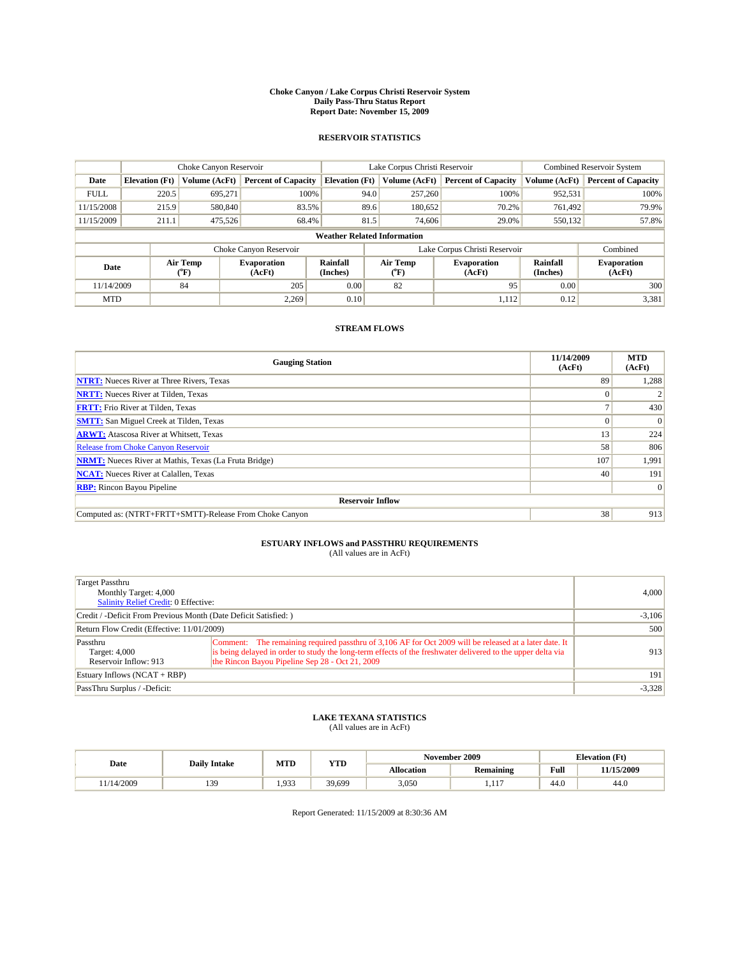#### **Choke Canyon / Lake Corpus Christi Reservoir System Daily Pass-Thru Status Report Report Date: November 15, 2009**

#### **RESERVOIR STATISTICS**

|             | Choke Canyon Reservoir |                      |                              |                       | Lake Corpus Christi Reservoir      | <b>Combined Reservoir System</b> |                      |                              |
|-------------|------------------------|----------------------|------------------------------|-----------------------|------------------------------------|----------------------------------|----------------------|------------------------------|
| Date        | <b>Elevation</b> (Ft)  | <b>Volume (AcFt)</b> | <b>Percent of Capacity</b>   | <b>Elevation (Ft)</b> | Volume (AcFt)                      | <b>Percent of Capacity</b>       | Volume (AcFt)        | <b>Percent of Capacity</b>   |
| <b>FULL</b> | 220.5                  | 695,271              | 100%                         |                       | 257,260<br>94.0                    | 100%                             | 952,531              | 100%                         |
| 11/15/2008  | 215.9                  | 580,840              | 83.5%                        |                       | 89.6<br>180,652                    | 70.2%                            | 761.492              | 79.9%                        |
| 11/15/2009  | 211.1                  | 475,526              | 68.4%                        |                       | 81.5<br>74,606                     | 29.0%                            | 550,132              | 57.8%                        |
|             |                        |                      |                              |                       | <b>Weather Related Information</b> |                                  |                      |                              |
|             |                        |                      | Choke Canyon Reservoir       |                       | Lake Corpus Christi Reservoir      |                                  |                      | Combined                     |
| Date        |                        | Air Temp<br>(°F)     | <b>Evaporation</b><br>(AcFt) | Rainfall<br>(Inches)  | Air Temp<br>("F)                   | <b>Evaporation</b><br>(AcFt)     | Rainfall<br>(Inches) | <b>Evaporation</b><br>(AcFt) |
| 11/14/2009  |                        | 84                   | 205                          | 0.00                  | 82                                 | 95                               | 0.00                 | 300                          |
| <b>MTD</b>  |                        |                      | 2.269                        | 0.10                  |                                    | 1,112                            | 0.12                 | 3,381                        |

### **STREAM FLOWS**

| <b>Gauging Station</b>                                       | 11/14/2009<br>(AcFt) | <b>MTD</b><br>(AcFt) |  |  |  |  |
|--------------------------------------------------------------|----------------------|----------------------|--|--|--|--|
| <b>NTRT:</b> Nueces River at Three Rivers, Texas             | 89                   | 1,288                |  |  |  |  |
| <b>NRTT:</b> Nueces River at Tilden, Texas                   |                      |                      |  |  |  |  |
| <b>FRTT:</b> Frio River at Tilden, Texas                     |                      | 430                  |  |  |  |  |
| <b>SMTT:</b> San Miguel Creek at Tilden, Texas               |                      | $\Omega$             |  |  |  |  |
| <b>ARWT:</b> Atascosa River at Whitsett, Texas               | 13                   | 224                  |  |  |  |  |
| <b>Release from Choke Canyon Reservoir</b>                   | 58                   | 806                  |  |  |  |  |
| <b>NRMT:</b> Nueces River at Mathis, Texas (La Fruta Bridge) | 107                  | 1,991                |  |  |  |  |
| <b>NCAT:</b> Nueces River at Calallen, Texas                 | 40                   | 191                  |  |  |  |  |
| <b>RBP:</b> Rincon Bayou Pipeline                            |                      | $\Omega$             |  |  |  |  |
| <b>Reservoir Inflow</b>                                      |                      |                      |  |  |  |  |
| Computed as: (NTRT+FRTT+SMTT)-Release From Choke Canyon      | 38                   | 913                  |  |  |  |  |

# **ESTUARY INFLOWS and PASSTHRU REQUIREMENTS**<br>(All values are in AcFt)

| Target Passthru<br>Monthly Target: 4,000<br>Salinity Relief Credit: 0 Effective: |                                                                                                                                                                                                                                                                          | 4,000    |
|----------------------------------------------------------------------------------|--------------------------------------------------------------------------------------------------------------------------------------------------------------------------------------------------------------------------------------------------------------------------|----------|
| Credit / -Deficit From Previous Month (Date Deficit Satisfied: )                 |                                                                                                                                                                                                                                                                          | $-3,106$ |
| Return Flow Credit (Effective: 11/01/2009)                                       |                                                                                                                                                                                                                                                                          | 500      |
| Passthru<br>Target: 4,000<br>Reservoir Inflow: 913                               | Comment: The remaining required passthru of 3,106 AF for Oct 2009 will be released at a later date. It<br>is being delayed in order to study the long-term effects of the freshwater delivered to the upper delta via<br>the Rincon Bayou Pipeline Sep 28 - Oct 21, 2009 | 913      |
| Estuary Inflows $(NCAT + RBP)$                                                   |                                                                                                                                                                                                                                                                          | 191      |
| PassThru Surplus / -Deficit:                                                     |                                                                                                                                                                                                                                                                          | $-3,328$ |

## **LAKE TEXANA STATISTICS** (All values are in AcFt)

|           |                     | MTD<br><b>YTD</b> |        |            | November 2009    |                | <b>Elevation</b> (Ft) |
|-----------|---------------------|-------------------|--------|------------|------------------|----------------|-----------------------|
| Date      | <b>Daily Intake</b> |                   |        | Allocation | <b>Remaining</b> | Full           | 11/15/2009            |
| 1/14/2009 | 130<br>122          | 1.933             | 39,699 | 3,050      | .117             | $\sim$<br>44.v | 44.0                  |

Report Generated: 11/15/2009 at 8:30:36 AM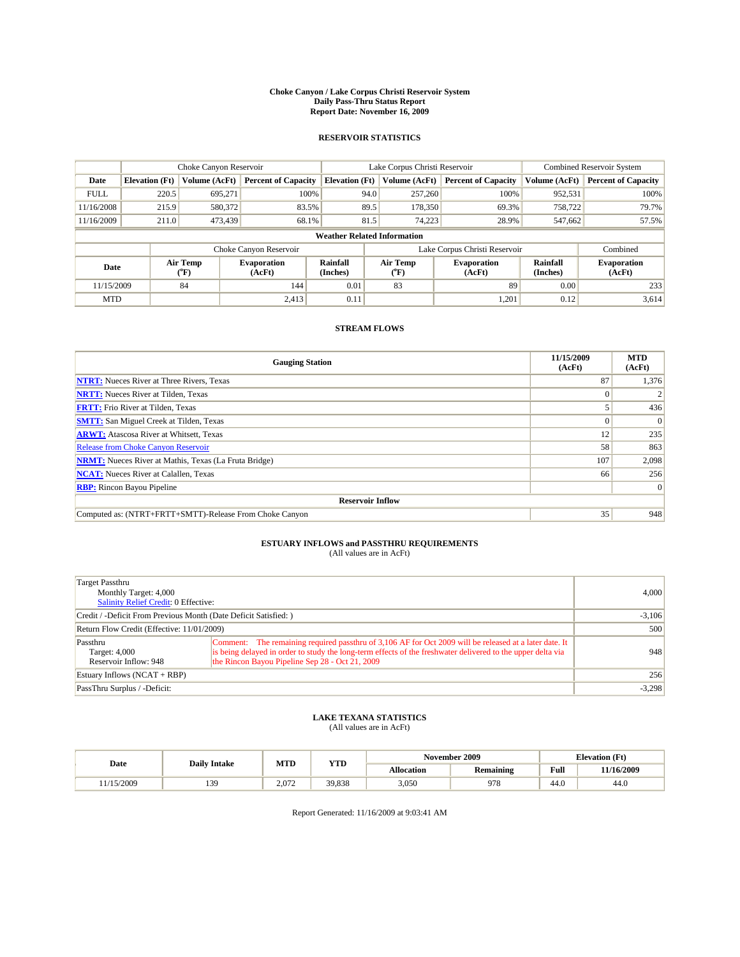#### **Choke Canyon / Lake Corpus Christi Reservoir System Daily Pass-Thru Status Report Report Date: November 16, 2009**

#### **RESERVOIR STATISTICS**

|             | Choke Canyon Reservoir |                  |                            |                             | Lake Corpus Christi Reservoir                    | Combined Reservoir System  |                      |                              |
|-------------|------------------------|------------------|----------------------------|-----------------------------|--------------------------------------------------|----------------------------|----------------------|------------------------------|
| Date        | <b>Elevation</b> (Ft)  | Volume (AcFt)    | <b>Percent of Capacity</b> | <b>Elevation</b> (Ft)       | Volume (AcFt)                                    | <b>Percent of Capacity</b> | Volume (AcFt)        | <b>Percent of Capacity</b>   |
| <b>FULL</b> | 220.5                  | 695,271          | 100%                       |                             | 257,260<br>94.0                                  | 100%                       | 952,531              | 100%                         |
| 11/16/2008  | 215.9                  | 580,372          | 83.5%                      |                             | 89.5<br>178,350                                  | 69.3%                      | 758,722              | 79.7%                        |
| 11/16/2009  | 211.0                  | 473,439          | 68.1%                      |                             | 81.5<br>74,223                                   | 28.9%                      | 547,662              | 57.5%                        |
|             |                        |                  |                            |                             | <b>Weather Related Information</b>               |                            |                      |                              |
|             |                        |                  | Choke Canyon Reservoir     |                             | Lake Corpus Christi Reservoir                    |                            |                      | Combined                     |
| Date        |                        | Air Temp<br>(°F) | Evaporation<br>(AcFt)      | <b>Rainfall</b><br>(Inches) | Air Temp<br><b>Evaporation</b><br>(AcFt)<br>(°F) |                            | Rainfall<br>(Inches) | <b>Evaporation</b><br>(AcFt) |
| 11/15/2009  |                        | 84               | 144                        | 0.01                        | 83                                               | 89                         | 0.00                 | 233                          |
| <b>MTD</b>  |                        |                  | 2,413                      | 0.11                        |                                                  | 1,201                      | 0.12                 | 3,614                        |

### **STREAM FLOWS**

| <b>Gauging Station</b>                                       | 11/15/2009<br>(AcFt) | <b>MTD</b><br>(AcFt) |  |  |  |  |
|--------------------------------------------------------------|----------------------|----------------------|--|--|--|--|
| <b>NTRT:</b> Nueces River at Three Rivers, Texas             | 87                   | 1,376                |  |  |  |  |
| <b>NRTT:</b> Nueces River at Tilden, Texas                   |                      |                      |  |  |  |  |
| <b>FRTT:</b> Frio River at Tilden, Texas                     |                      | 436                  |  |  |  |  |
| <b>SMTT:</b> San Miguel Creek at Tilden, Texas               |                      | $\Omega$             |  |  |  |  |
| <b>ARWT:</b> Atascosa River at Whitsett, Texas               | 12                   | 235                  |  |  |  |  |
| <b>Release from Choke Canyon Reservoir</b>                   | 58                   | 863                  |  |  |  |  |
| <b>NRMT:</b> Nueces River at Mathis, Texas (La Fruta Bridge) | 107                  | 2,098                |  |  |  |  |
| <b>NCAT:</b> Nueces River at Calallen, Texas                 | 66                   | 256                  |  |  |  |  |
| <b>RBP:</b> Rincon Bayou Pipeline                            |                      | $\Omega$             |  |  |  |  |
| <b>Reservoir Inflow</b>                                      |                      |                      |  |  |  |  |
| Computed as: (NTRT+FRTT+SMTT)-Release From Choke Canyon      | 35                   | 948                  |  |  |  |  |

# **ESTUARY INFLOWS and PASSTHRU REQUIREMENTS**<br>(All values are in AcFt)

| Target Passthru<br>Monthly Target: 4,000<br>Salinity Relief Credit: 0 Effective: |                                                                                                                                                                                                                                                                          | 4,000    |
|----------------------------------------------------------------------------------|--------------------------------------------------------------------------------------------------------------------------------------------------------------------------------------------------------------------------------------------------------------------------|----------|
| Credit / -Deficit From Previous Month (Date Deficit Satisfied: )                 | $-3,106$                                                                                                                                                                                                                                                                 |          |
| Return Flow Credit (Effective: 11/01/2009)                                       |                                                                                                                                                                                                                                                                          | 500      |
| Passthru<br>Target: 4,000<br>Reservoir Inflow: 948                               | Comment: The remaining required passthru of 3,106 AF for Oct 2009 will be released at a later date. It<br>is being delayed in order to study the long-term effects of the freshwater delivered to the upper delta via<br>the Rincon Bayou Pipeline Sep 28 - Oct 21, 2009 | 948      |
| Estuary Inflows $(NCAT + RBP)$                                                   |                                                                                                                                                                                                                                                                          | 256      |
| PassThru Surplus / -Deficit:                                                     |                                                                                                                                                                                                                                                                          | $-3,298$ |

## **LAKE TEXANA STATISTICS** (All values are in AcFt)

|          | <b>Daily Intake</b> | MTD   | <b>YTD</b> | November 2009 |                  |      | <b>Elevation</b> (Ft) |
|----------|---------------------|-------|------------|---------------|------------------|------|-----------------------|
| Date     |                     |       |            | Allocation    | <b>Remaining</b> | Full | 11/16/2009            |
| /15/2009 | 130<br>122          | 2.072 | 39,838     | 3,050         | 978              | 44.0 | 44.0                  |

Report Generated: 11/16/2009 at 9:03:41 AM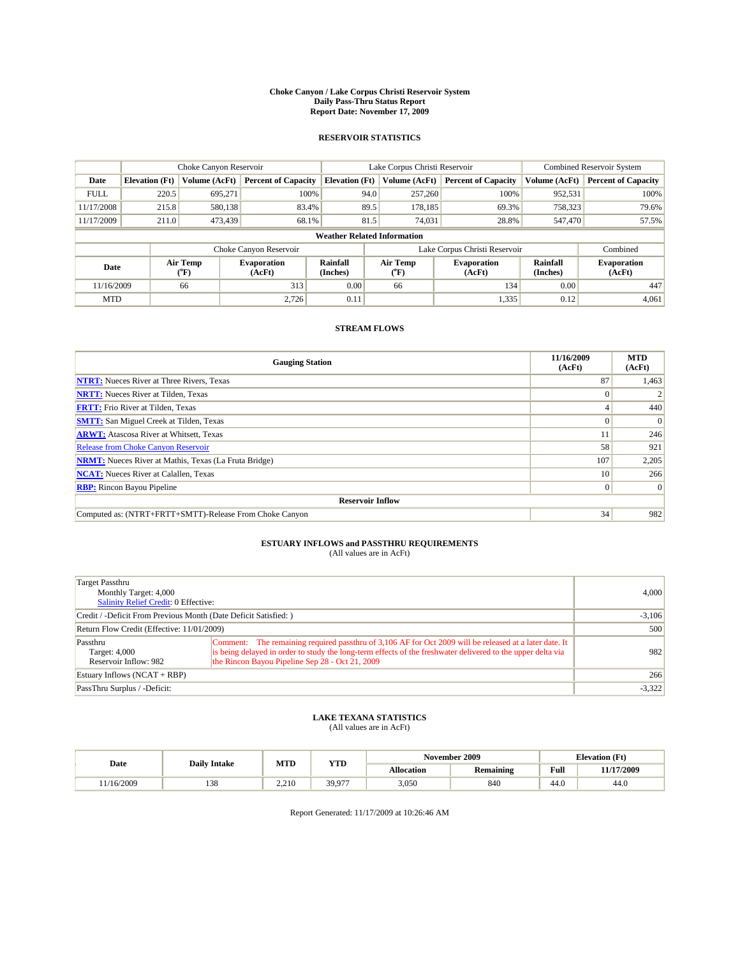#### **Choke Canyon / Lake Corpus Christi Reservoir System Daily Pass-Thru Status Report Report Date: November 17, 2009**

#### **RESERVOIR STATISTICS**

|             | Choke Canyon Reservoir |                          |                                                                                                          |                                    | Lake Corpus Christi Reservoir | <b>Combined Reservoir System</b> |               |                            |
|-------------|------------------------|--------------------------|----------------------------------------------------------------------------------------------------------|------------------------------------|-------------------------------|----------------------------------|---------------|----------------------------|
| Date        | <b>Elevation</b> (Ft)  | Volume (AcFt)            | <b>Percent of Capacity</b>                                                                               | <b>Elevation</b> (Ft)              | Volume (AcFt)                 | <b>Percent of Capacity</b>       | Volume (AcFt) | <b>Percent of Capacity</b> |
| <b>FULL</b> | 220.5                  | 695,271                  | 100%                                                                                                     | 94.0                               | 257,260                       | 100%                             | 952,531       | 100%                       |
| 11/17/2008  | 215.8                  | 580.138                  | 83.4%                                                                                                    | 89.5                               | 178,185                       | 69.3%                            | 758,323       | 79.6%                      |
| 11/17/2009  | 211.0                  | 473,439                  | 68.1%                                                                                                    | 81.5                               | 74.031                        | 28.8%                            | 547,470       | 57.5%                      |
|             |                        |                          |                                                                                                          | <b>Weather Related Information</b> |                               |                                  |               |                            |
|             |                        |                          | Choke Canyon Reservoir                                                                                   |                                    | Lake Corpus Christi Reservoir |                                  |               | Combined                   |
| Date        |                        | Air Temp<br>$\rm ^{o}F)$ | Rainfall<br>Air Temp<br><b>Evaporation</b><br><b>Evaporation</b><br>(AcFt)<br>(Inches)<br>(AcFt)<br>("F) |                                    | Rainfall<br>(Inches)          | <b>Evaporation</b><br>(AcFt)     |               |                            |
| 11/16/2009  |                        | 66                       | 313                                                                                                      | 0.00                               | 66                            | 134                              | 0.00          | 447                        |
| <b>MTD</b>  |                        |                          | 2.726                                                                                                    | 0.11                               |                               | 1,335                            | 0.12          | 4,061                      |

### **STREAM FLOWS**

| <b>Gauging Station</b>                                       | 11/16/2009<br>(AcFt) | <b>MTD</b><br>(AcFt) |  |  |  |  |
|--------------------------------------------------------------|----------------------|----------------------|--|--|--|--|
| <b>NTRT:</b> Nueces River at Three Rivers, Texas             | 87                   | 1,463                |  |  |  |  |
| <b>NRTT:</b> Nueces River at Tilden, Texas                   |                      |                      |  |  |  |  |
| <b>FRTT:</b> Frio River at Tilden, Texas                     |                      | 440                  |  |  |  |  |
| <b>SMTT:</b> San Miguel Creek at Tilden, Texas               |                      | $\Omega$             |  |  |  |  |
| <b>ARWT:</b> Atascosa River at Whitsett, Texas               |                      | 246                  |  |  |  |  |
| Release from Choke Canyon Reservoir                          | 58                   | 921                  |  |  |  |  |
| <b>NRMT:</b> Nueces River at Mathis, Texas (La Fruta Bridge) | 107                  | 2,205                |  |  |  |  |
| <b>NCAT:</b> Nueces River at Calallen, Texas                 | 10                   | 266                  |  |  |  |  |
| <b>RBP:</b> Rincon Bayou Pipeline                            | $\Omega$             | $\Omega$             |  |  |  |  |
| <b>Reservoir Inflow</b>                                      |                      |                      |  |  |  |  |
| Computed as: (NTRT+FRTT+SMTT)-Release From Choke Canyon      | 34                   | 982                  |  |  |  |  |

# **ESTUARY INFLOWS and PASSTHRU REQUIREMENTS**<br>(All values are in AcFt)

| Target Passthru<br>Monthly Target: 4,000<br><b>Salinity Relief Credit: 0 Effective:</b> |                                                                                                                                                                                                                                                                          | 4,000    |
|-----------------------------------------------------------------------------------------|--------------------------------------------------------------------------------------------------------------------------------------------------------------------------------------------------------------------------------------------------------------------------|----------|
| Credit / -Deficit From Previous Month (Date Deficit Satisfied: )                        | $-3,106$                                                                                                                                                                                                                                                                 |          |
| Return Flow Credit (Effective: 11/01/2009)                                              |                                                                                                                                                                                                                                                                          | 500      |
| Passthru<br>Target: 4,000<br>Reservoir Inflow: 982                                      | Comment: The remaining required passthru of 3,106 AF for Oct 2009 will be released at a later date. It<br>is being delayed in order to study the long-term effects of the freshwater delivered to the upper delta via<br>the Rincon Bayou Pipeline Sep 28 - Oct 21, 2009 | 982      |
| Estuary Inflows $(NCAT + RBP)$                                                          |                                                                                                                                                                                                                                                                          | 266      |
| PassThru Surplus / -Deficit:                                                            |                                                                                                                                                                                                                                                                          | $-3,322$ |

## **LAKE TEXANA STATISTICS** (All values are in AcFt)

|           | <b>Daily Intake</b> | MTD<br><b>YTD</b> |        |            | November 2009    |      | <b>Elevation</b> (Ft) |
|-----------|---------------------|-------------------|--------|------------|------------------|------|-----------------------|
| Date      |                     |                   |        | Allocation | <b>Remaining</b> | Full | 11/17/2009            |
| 1/16/2009 | 129<br>120          | 2.210             | 39.977 | 3,050      | 840              | 44.0 | 44.0                  |

Report Generated: 11/17/2009 at 10:26:46 AM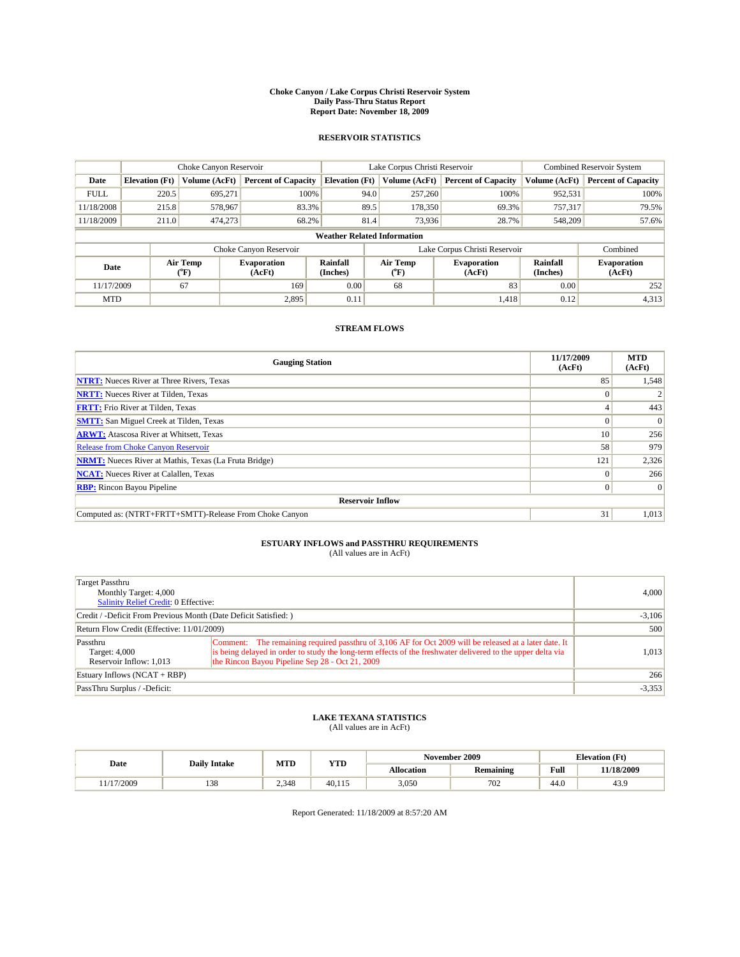#### **Choke Canyon / Lake Corpus Christi Reservoir System Daily Pass-Thru Status Report Report Date: November 18, 2009**

#### **RESERVOIR STATISTICS**

|             | Choke Canyon Reservoir |                      |                              |                                    | Lake Corpus Christi Reservoir | <b>Combined Reservoir System</b> |                      |                              |
|-------------|------------------------|----------------------|------------------------------|------------------------------------|-------------------------------|----------------------------------|----------------------|------------------------------|
| Date        | <b>Elevation</b> (Ft)  | <b>Volume (AcFt)</b> | <b>Percent of Capacity</b>   | <b>Elevation</b> (Ft)              | Volume (AcFt)                 | <b>Percent of Capacity</b>       | Volume (AcFt)        | <b>Percent of Capacity</b>   |
| <b>FULL</b> | 220.5                  | 695,271              | 100%                         | 94.0                               | 257,260                       | 100%                             | 952,531              | 100%                         |
| 11/18/2008  | 215.8                  | 578,967              | 83.3%                        |                                    | 89.5<br>178,350               | 69.3%                            | 757,317              | 79.5%                        |
| 11/18/2009  | 211.0                  | 474,273              | 68.2%                        | 81.4                               | 73,936                        | 28.7%                            | 548,209              | 57.6%                        |
|             |                        |                      |                              | <b>Weather Related Information</b> |                               |                                  |                      |                              |
|             |                        |                      | Choke Canyon Reservoir       |                                    | Lake Corpus Christi Reservoir |                                  |                      | Combined                     |
| Date        |                        | Air Temp<br>(°F)     | <b>Evaporation</b><br>(AcFt) | <b>Rainfall</b><br>(Inches)        | Air Temp<br>(°F)              | <b>Evaporation</b><br>(AcFt)     | Rainfall<br>(Inches) | <b>Evaporation</b><br>(AcFt) |
| 11/17/2009  |                        | 67                   | 169                          | 0.00                               | 68                            | 83                               | 0.00                 | 252                          |
| <b>MTD</b>  |                        |                      | 2.895                        | 0.11                               |                               | 1,418                            | 0.12                 | 4,313                        |

### **STREAM FLOWS**

| <b>Gauging Station</b>                                       | 11/17/2009<br>(AcFt) | <b>MTD</b><br>(AcFt) |  |  |  |  |
|--------------------------------------------------------------|----------------------|----------------------|--|--|--|--|
| <b>NTRT:</b> Nueces River at Three Rivers, Texas             | 85                   | 1,548                |  |  |  |  |
| <b>NRTT:</b> Nueces River at Tilden, Texas                   |                      |                      |  |  |  |  |
| <b>FRTT:</b> Frio River at Tilden, Texas                     |                      | 443                  |  |  |  |  |
| <b>SMTT:</b> San Miguel Creek at Tilden, Texas               |                      | $\Omega$             |  |  |  |  |
| <b>ARWT:</b> Atascosa River at Whitsett, Texas               | 10 <sup>1</sup>      | 256                  |  |  |  |  |
| <b>Release from Choke Canyon Reservoir</b>                   | 58                   | 979                  |  |  |  |  |
| <b>NRMT:</b> Nueces River at Mathis, Texas (La Fruta Bridge) | 121                  | 2,326                |  |  |  |  |
| <b>NCAT:</b> Nueces River at Calallen, Texas                 | $\Omega$             | 266                  |  |  |  |  |
| <b>RBP:</b> Rincon Bayou Pipeline                            | $\overline{0}$       | $\Omega$             |  |  |  |  |
| <b>Reservoir Inflow</b>                                      |                      |                      |  |  |  |  |
| Computed as: (NTRT+FRTT+SMTT)-Release From Choke Canyon      | 31                   | 1,013                |  |  |  |  |

# **ESTUARY INFLOWS and PASSTHRU REQUIREMENTS**<br>(All values are in AcFt)

| <b>Target Passthru</b><br>Monthly Target: 4,000<br><b>Salinity Relief Credit: 0 Effective:</b> |                                                                                                                                                                                                                                                                          | 4.000    |
|------------------------------------------------------------------------------------------------|--------------------------------------------------------------------------------------------------------------------------------------------------------------------------------------------------------------------------------------------------------------------------|----------|
| Credit / -Deficit From Previous Month (Date Deficit Satisfied: )                               | $-3,106$                                                                                                                                                                                                                                                                 |          |
| Return Flow Credit (Effective: 11/01/2009)                                                     |                                                                                                                                                                                                                                                                          | 500      |
| Passthru<br>Target: 4,000<br>Reservoir Inflow: 1,013                                           | Comment: The remaining required passthru of 3,106 AF for Oct 2009 will be released at a later date. It<br>is being delayed in order to study the long-term effects of the freshwater delivered to the upper delta via<br>the Rincon Bayou Pipeline Sep 28 - Oct 21, 2009 | 1.013    |
| Estuary Inflows (NCAT + RBP)                                                                   | 266                                                                                                                                                                                                                                                                      |          |
| PassThru Surplus / -Deficit:                                                                   |                                                                                                                                                                                                                                                                          | $-3,353$ |

## **LAKE TEXANA STATISTICS** (All values are in AcFt)

|          | <b>Daily Intake</b>    | MTD   | <b>VTD</b> |            | November 2009    |                            | <b>Elevation</b> (Ft) |
|----------|------------------------|-------|------------|------------|------------------|----------------------------|-----------------------|
| Date     |                        |       | 1 I D      | Allocation | <b>Remaining</b> | Full                       | 11/18/2009            |
| /17/2009 | 0 <sup>2</sup><br>1.JO | 2.348 | 40.115     | 3,050      | 702              | $\sim$<br>44. <sub>V</sub> | 43.9                  |

Report Generated: 11/18/2009 at 8:57:20 AM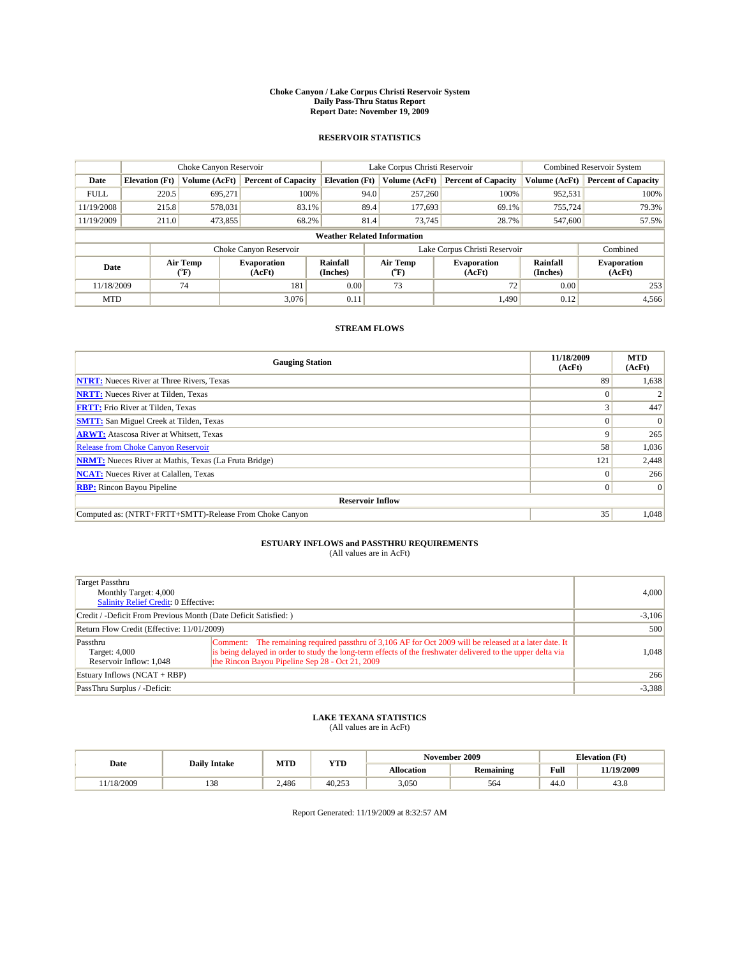#### **Choke Canyon / Lake Corpus Christi Reservoir System Daily Pass-Thru Status Report Report Date: November 19, 2009**

#### **RESERVOIR STATISTICS**

|             | Choke Canyon Reservoir |                  |                              |                                    | Lake Corpus Christi Reservoir | Combined Reservoir System                            |               |                              |
|-------------|------------------------|------------------|------------------------------|------------------------------------|-------------------------------|------------------------------------------------------|---------------|------------------------------|
| Date        | <b>Elevation</b> (Ft)  | Volume (AcFt)    | <b>Percent of Capacity</b>   | <b>Elevation (Ft)</b>              | Volume (AcFt)                 | <b>Percent of Capacity</b>                           | Volume (AcFt) | <b>Percent of Capacity</b>   |
| <b>FULL</b> | 220.5                  | 695,271          | 100%                         | 94.0                               | 257,260                       | 100%                                                 | 952,531       | 100%                         |
| 11/19/2008  | 215.8                  | 578,031          | 83.1%                        | 89.4                               | 177,693                       | 69.1%                                                | 755,724       | 79.3%                        |
| 11/19/2009  | 211.0                  | 473,855          | 68.2%                        | 81.4                               | 73.745                        | 28.7%                                                | 547,600       | 57.5%                        |
|             |                        |                  |                              | <b>Weather Related Information</b> |                               |                                                      |               |                              |
|             |                        |                  | Choke Canyon Reservoir       |                                    | Lake Corpus Christi Reservoir |                                                      |               | Combined                     |
| Date        |                        | Air Temp<br>(°F) | <b>Evaporation</b><br>(AcFt) | Rainfall<br>(Inches)               | Air Temp<br>("F)              | Rainfall<br><b>Evaporation</b><br>(Inches)<br>(AcFt) |               | <b>Evaporation</b><br>(AcFt) |
| 11/18/2009  |                        | 74               | 181                          | 0.00                               | 73                            | 72                                                   | 0.00          | 253                          |
| <b>MTD</b>  |                        |                  | 3.076                        | 0.11                               |                               | 1,490                                                | 0.12          | 4,566                        |

### **STREAM FLOWS**

| <b>Gauging Station</b>                                       | 11/18/2009<br>(AcFt) | <b>MTD</b><br>(AcFt) |
|--------------------------------------------------------------|----------------------|----------------------|
| <b>NTRT:</b> Nueces River at Three Rivers, Texas             | 89                   | 1,638                |
| <b>NRTT:</b> Nueces River at Tilden, Texas                   |                      |                      |
| <b>FRTT:</b> Frio River at Tilden, Texas                     |                      | 447                  |
| <b>SMTT:</b> San Miguel Creek at Tilden, Texas               |                      | $\Omega$             |
| <b>ARWT:</b> Atascosa River at Whitsett, Texas               | 9                    | 265                  |
| Release from Choke Canyon Reservoir                          | 58                   | 1,036                |
| <b>NRMT:</b> Nueces River at Mathis, Texas (La Fruta Bridge) | 121                  | 2,448                |
| <b>NCAT:</b> Nueces River at Calallen, Texas                 | $\Omega$             | 266                  |
| <b>RBP:</b> Rincon Bayou Pipeline                            | $\Omega$             | $\Omega$             |
| <b>Reservoir Inflow</b>                                      |                      |                      |
| Computed as: (NTRT+FRTT+SMTT)-Release From Choke Canyon      | 35                   | 1,048                |

# **ESTUARY INFLOWS and PASSTHRU REQUIREMENTS**<br>(All values are in AcFt)

| Target Passthru<br>Monthly Target: 4,000<br>Salinity Relief Credit: 0 Effective: | 4,000                                                                                                                                                                                                                                                                    |          |
|----------------------------------------------------------------------------------|--------------------------------------------------------------------------------------------------------------------------------------------------------------------------------------------------------------------------------------------------------------------------|----------|
| Credit / -Deficit From Previous Month (Date Deficit Satisfied: )                 | $-3,106$                                                                                                                                                                                                                                                                 |          |
| Return Flow Credit (Effective: 11/01/2009)                                       |                                                                                                                                                                                                                                                                          | 500      |
| Passthru<br>Target: 4,000<br>Reservoir Inflow: 1,048                             | Comment: The remaining required passthru of 3,106 AF for Oct 2009 will be released at a later date. It<br>is being delayed in order to study the long-term effects of the freshwater delivered to the upper delta via<br>the Rincon Bayou Pipeline Sep 28 - Oct 21, 2009 | 1,048    |
| Estuary Inflows $(NCAT + RBP)$                                                   |                                                                                                                                                                                                                                                                          | 266      |
| PassThru Surplus / -Deficit:                                                     |                                                                                                                                                                                                                                                                          | $-3,388$ |

## **LAKE TEXANA STATISTICS** (All values are in AcFt)

|          | <b>Daily Intake</b>    | MTD   | <b>VTD</b> | November 2009 |                  | <b>Elevation</b> (Ft)      |                |
|----------|------------------------|-------|------------|---------------|------------------|----------------------------|----------------|
| Date     |                        |       | 1 I D      | Allocation    | <b>Remaining</b> | Full                       | 11/19/2009     |
| /18/2009 | 0 <sup>2</sup><br>1.JO | 2,486 | 40.253     | 3,050         | 564              | $\sim$<br>44. <sub>V</sub> | $\sim$<br>43.8 |

Report Generated: 11/19/2009 at 8:32:57 AM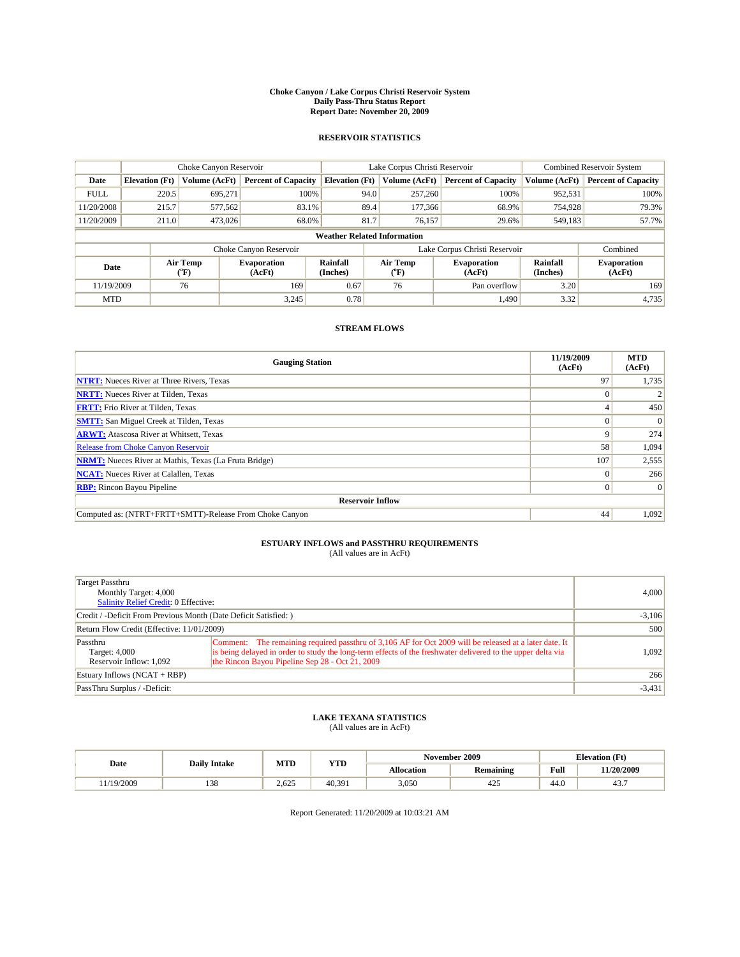#### **Choke Canyon / Lake Corpus Christi Reservoir System Daily Pass-Thru Status Report Report Date: November 20, 2009**

#### **RESERVOIR STATISTICS**

|             | Choke Canyon Reservoir                                                                                                                                |               |                            |                              | Lake Corpus Christi Reservoir      | Combined Reservoir System  |               |                            |
|-------------|-------------------------------------------------------------------------------------------------------------------------------------------------------|---------------|----------------------------|------------------------------|------------------------------------|----------------------------|---------------|----------------------------|
| Date        | <b>Elevation</b> (Ft)                                                                                                                                 | Volume (AcFt) | <b>Percent of Capacity</b> | <b>Elevation (Ft)</b>        | Volume (AcFt)                      | <b>Percent of Capacity</b> | Volume (AcFt) | <b>Percent of Capacity</b> |
| <b>FULL</b> | 220.5                                                                                                                                                 | 695,271       | 100%                       |                              | 257,260<br>94.0                    | 100%                       | 952,531       | 100%                       |
| 11/20/2008  | 215.7                                                                                                                                                 | 577,562       | 83.1%                      |                              | 89.4<br>177,366                    | 68.9%                      | 754,928       | 79.3%                      |
| 11/20/2009  | 211.0                                                                                                                                                 | 473,026       | 68.0%                      | 81.7                         | 76.157                             | 29.6%                      | 549,183       | 57.7%                      |
|             |                                                                                                                                                       |               |                            |                              | <b>Weather Related Information</b> |                            |               |                            |
|             |                                                                                                                                                       |               | Choke Canyon Reservoir     |                              | Lake Corpus Christi Reservoir      |                            |               |                            |
|             | Rainfall<br>Air Temp<br>Air Temp<br>Rainfall<br>Evaporation<br><b>Evaporation</b><br>Date<br>(Inches)<br>(Inches)<br>(AcFt)<br>(°F)<br>(AcFt)<br>(°F) |               |                            | <b>Evaporation</b><br>(AcFt) |                                    |                            |               |                            |
| 11/19/2009  |                                                                                                                                                       | 76            | 169                        | 0.67                         | 76                                 | Pan overflow               | 3.20          | 169                        |
| <b>MTD</b>  |                                                                                                                                                       |               | 3.245                      | 0.78                         |                                    | 1.490                      | 3.32          | 4,735                      |

### **STREAM FLOWS**

| <b>Gauging Station</b>                                       | 11/19/2009<br>(AcFt) | <b>MTD</b><br>(AcFt) |
|--------------------------------------------------------------|----------------------|----------------------|
| <b>NTRT:</b> Nueces River at Three Rivers, Texas             | 97                   | 1,735                |
| <b>NRTT:</b> Nueces River at Tilden, Texas                   |                      |                      |
| <b>FRTT:</b> Frio River at Tilden, Texas                     |                      | 450                  |
| <b>SMTT:</b> San Miguel Creek at Tilden, Texas               |                      | $\Omega$             |
| <b>ARWT:</b> Atascosa River at Whitsett, Texas               | 9                    | 274                  |
| <b>Release from Choke Canyon Reservoir</b>                   | 58                   | 1,094                |
| <b>NRMT:</b> Nueces River at Mathis, Texas (La Fruta Bridge) | 107                  | 2,555                |
| <b>NCAT:</b> Nueces River at Calallen, Texas                 | $\Omega$             | 266                  |
| <b>RBP:</b> Rincon Bayou Pipeline                            | $\overline{0}$       | $\Omega$             |
| <b>Reservoir Inflow</b>                                      |                      |                      |
| Computed as: (NTRT+FRTT+SMTT)-Release From Choke Canyon      | 44                   | 1,092                |

# **ESTUARY INFLOWS and PASSTHRU REQUIREMENTS**<br>(All values are in AcFt)

| Target Passthru<br>Monthly Target: 4,000<br><b>Salinity Relief Credit: 0 Effective:</b> | 4,000                                                                                                                                                                                                                                                                    |          |
|-----------------------------------------------------------------------------------------|--------------------------------------------------------------------------------------------------------------------------------------------------------------------------------------------------------------------------------------------------------------------------|----------|
| Credit / -Deficit From Previous Month (Date Deficit Satisfied: )                        | $-3,106$                                                                                                                                                                                                                                                                 |          |
| Return Flow Credit (Effective: 11/01/2009)                                              |                                                                                                                                                                                                                                                                          | 500      |
| Passthru<br>Target: 4,000<br>Reservoir Inflow: 1.092                                    | Comment: The remaining required passthru of 3,106 AF for Oct 2009 will be released at a later date. It<br>is being delayed in order to study the long-term effects of the freshwater delivered to the upper delta via<br>the Rincon Bayou Pipeline Sep 28 - Oct 21, 2009 | 1,092    |
| Estuary Inflows $(NCAT + RBP)$                                                          |                                                                                                                                                                                                                                                                          | 266      |
| PassThru Surplus / -Deficit:                                                            |                                                                                                                                                                                                                                                                          | $-3,431$ |

## **LAKE TEXANA STATISTICS** (All values are in AcFt)

|           | <b>Daily Intake</b> |       | <b>YTD</b> | November 2009     |            | <b>Elevation</b> (Ft)                       |            |
|-----------|---------------------|-------|------------|-------------------|------------|---------------------------------------------|------------|
| Date      |                     | MTD   |            | <b>Allocation</b> | Remaining  | Full<br>the contract of the contract of the | 11/20/2009 |
| 1/19/2009 | 120<br>120          | 2.625 | 40.391     | 3,050             | 105<br>423 | 44.0                                        | 43.7       |

Report Generated: 11/20/2009 at 10:03:21 AM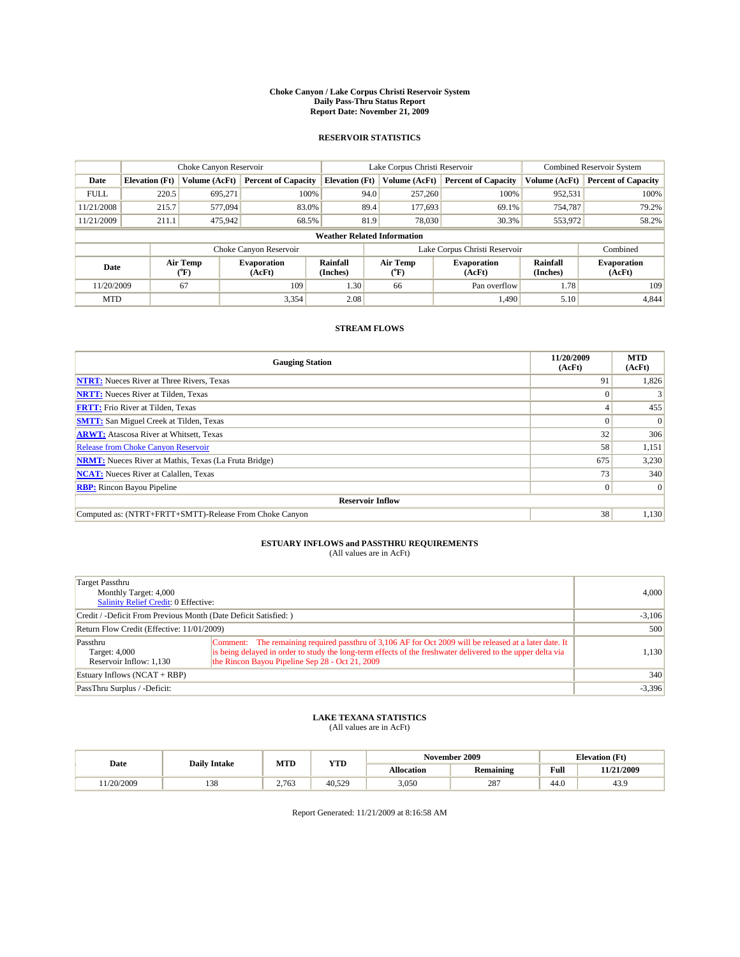#### **Choke Canyon / Lake Corpus Christi Reservoir System Daily Pass-Thru Status Report Report Date: November 21, 2009**

#### **RESERVOIR STATISTICS**

|             | Choke Canyon Reservoir |                                                                                                                                                                    |                            |                                    | Lake Corpus Christi Reservoir |               |                            |               | <b>Combined Reservoir System</b> |  |
|-------------|------------------------|--------------------------------------------------------------------------------------------------------------------------------------------------------------------|----------------------------|------------------------------------|-------------------------------|---------------|----------------------------|---------------|----------------------------------|--|
| Date        | <b>Elevation</b> (Ft)  | Volume (AcFt)                                                                                                                                                      | <b>Percent of Capacity</b> | <b>Elevation</b> (Ft)              |                               | Volume (AcFt) | <b>Percent of Capacity</b> | Volume (AcFt) | <b>Percent of Capacity</b>       |  |
| <b>FULL</b> | 220.5                  | 695.271                                                                                                                                                            | 100%                       |                                    | 94.0                          | 257,260       | 100%                       | 952,531       | 100%                             |  |
| 11/21/2008  | 215.7                  | 577,094                                                                                                                                                            | 83.0%                      |                                    | 89.4                          | 177,693       | 69.1%                      | 754,787       | 79.2%                            |  |
| 11/21/2009  | 211.1                  | 475,942                                                                                                                                                            | 68.5%                      |                                    | 81.9                          | 78,030        | 30.3%                      | 553,972       | 58.2%                            |  |
|             |                        |                                                                                                                                                                    |                            | <b>Weather Related Information</b> |                               |               |                            |               |                                  |  |
|             |                        |                                                                                                                                                                    | Choke Canyon Reservoir     |                                    | Lake Corpus Christi Reservoir |               |                            |               | Combined                         |  |
| Date        |                        | Air Temp<br>Rainfall<br>Air Temp<br>Rainfall<br><b>Evaporation</b><br><b>Evaporation</b><br>(°F)<br>(Inches)<br>(AcFt)<br>(AcFt)<br>(Inches)<br>$({}^o\mathrm{F})$ |                            |                                    | <b>Evaporation</b><br>(AcFt)  |               |                            |               |                                  |  |
| 11/20/2009  |                        | 67                                                                                                                                                                 | 109                        | 1.30                               |                               | 66            | Pan overflow               | 1.78          | 109                              |  |
| <b>MTD</b>  |                        |                                                                                                                                                                    | 3,354                      | 2.08                               |                               |               | 1,490                      | 5.10          | 4,844                            |  |

### **STREAM FLOWS**

| <b>Gauging Station</b>                                       | 11/20/2009<br>(AcFt) | <b>MTD</b><br>(AcFt) |
|--------------------------------------------------------------|----------------------|----------------------|
| <b>NTRT:</b> Nueces River at Three Rivers, Texas             | 91                   | 1,826                |
| <b>NRTT:</b> Nueces River at Tilden, Texas                   |                      |                      |
| <b>FRTT:</b> Frio River at Tilden, Texas                     |                      | 455                  |
| <b>SMTT:</b> San Miguel Creek at Tilden, Texas               |                      | $\Omega$             |
| <b>ARWT:</b> Atascosa River at Whitsett, Texas               | 32                   | 306                  |
| <b>Release from Choke Canyon Reservoir</b>                   | 58                   | 1,151                |
| <b>NRMT:</b> Nueces River at Mathis, Texas (La Fruta Bridge) | 675                  | 3,230                |
| <b>NCAT:</b> Nueces River at Calallen, Texas                 | 73                   | 340                  |
| <b>RBP:</b> Rincon Bayou Pipeline                            | $\overline{0}$       | $\Omega$             |
| <b>Reservoir Inflow</b>                                      |                      |                      |
| Computed as: (NTRT+FRTT+SMTT)-Release From Choke Canyon      | 38                   | 1,130                |

# **ESTUARY INFLOWS and PASSTHRU REQUIREMENTS**<br>(All values are in AcFt)

| Target Passthru<br>Monthly Target: 4,000<br><b>Salinity Relief Credit: 0 Effective:</b> | 4,000                                                                                                                                                                                                                                                                    |          |
|-----------------------------------------------------------------------------------------|--------------------------------------------------------------------------------------------------------------------------------------------------------------------------------------------------------------------------------------------------------------------------|----------|
| Credit / -Deficit From Previous Month (Date Deficit Satisfied: )                        | $-3,106$                                                                                                                                                                                                                                                                 |          |
| Return Flow Credit (Effective: 11/01/2009)                                              |                                                                                                                                                                                                                                                                          | 500      |
| Passthru<br>Target: 4,000<br>Reservoir Inflow: 1,130                                    | Comment: The remaining required passthru of 3,106 AF for Oct 2009 will be released at a later date. It<br>is being delayed in order to study the long-term effects of the freshwater delivered to the upper delta via<br>the Rincon Bayou Pipeline Sep 28 - Oct 21, 2009 | 1,130    |
| Estuary Inflows $(NCAT + RBP)$                                                          |                                                                                                                                                                                                                                                                          | 340      |
| PassThru Surplus / -Deficit:                                                            |                                                                                                                                                                                                                                                                          | $-3,396$ |

## **LAKE TEXANA STATISTICS** (All values are in AcFt)

|           | <b>Daily Intake</b>    | MTD   | <b>YTD</b> |            | November 2009    | <b>Elevation</b> (Ft)      |            |
|-----------|------------------------|-------|------------|------------|------------------|----------------------------|------------|
| Date      |                        |       |            | Allocation | <b>Remaining</b> | Full                       | 11/21/2009 |
| 1/20/2009 | 0 <sup>2</sup><br>1.JO | 2.763 | 40.529     | 3,050      | 287              | $\sim$<br>44. <sub>V</sub> | 43.9       |

Report Generated: 11/21/2009 at 8:16:58 AM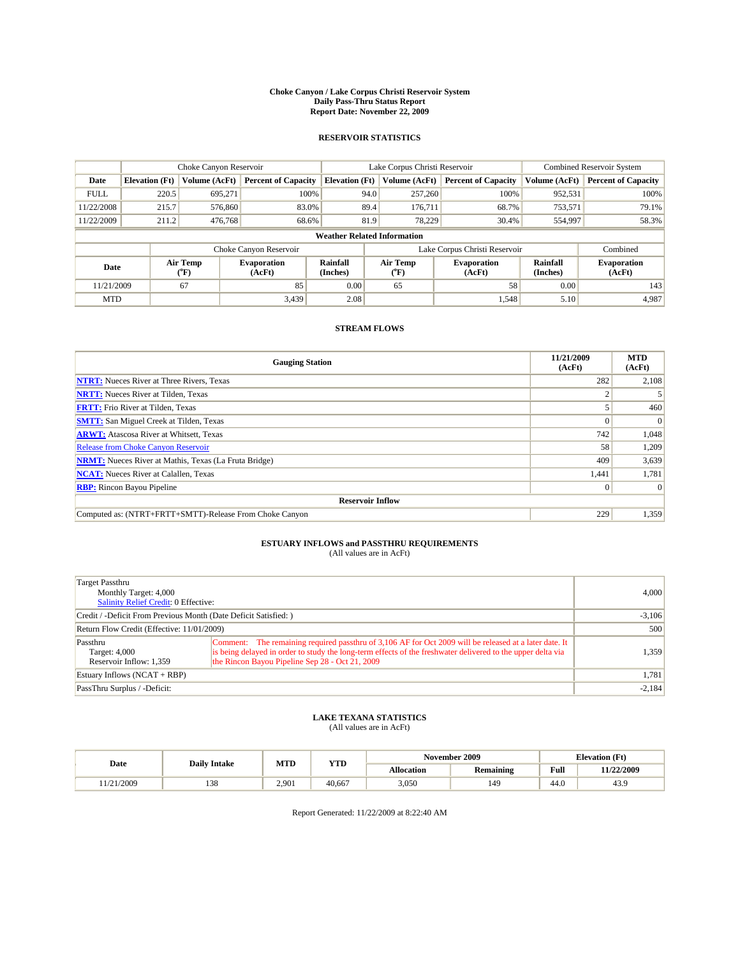#### **Choke Canyon / Lake Corpus Christi Reservoir System Daily Pass-Thru Status Report Report Date: November 22, 2009**

#### **RESERVOIR STATISTICS**

|             | Choke Canyon Reservoir |                  |                              |                                    | Lake Corpus Christi Reservoir | <b>Combined Reservoir System</b> |                      |                              |
|-------------|------------------------|------------------|------------------------------|------------------------------------|-------------------------------|----------------------------------|----------------------|------------------------------|
| Date        | <b>Elevation</b> (Ft)  | Volume (AcFt)    | <b>Percent of Capacity</b>   | <b>Elevation (Ft)</b>              | Volume (AcFt)                 | <b>Percent of Capacity</b>       | Volume (AcFt)        | <b>Percent of Capacity</b>   |
| <b>FULL</b> | 220.5                  | 695,271          | 100%                         | 94.0                               | 257,260                       | 100%                             | 952,531              | 100%                         |
| 11/22/2008  | 215.7                  | 576,860          | 83.0%                        | 89.4                               | 176,711                       | 68.7%                            | 753,571              | 79.1%                        |
| 11/22/2009  | 211.2                  | 476,768          | 68.6%                        | 81.9                               | 78.229                        | 30.4%                            | 554,997              | 58.3%                        |
|             |                        |                  |                              | <b>Weather Related Information</b> |                               |                                  |                      |                              |
|             |                        |                  | Choke Canyon Reservoir       |                                    | Lake Corpus Christi Reservoir |                                  |                      | Combined                     |
| Date        |                        | Air Temp<br>(°F) | <b>Evaporation</b><br>(AcFt) | Rainfall<br>(Inches)               | Air Temp<br>("F)              | <b>Evaporation</b><br>(AcFt)     | Rainfall<br>(Inches) | <b>Evaporation</b><br>(AcFt) |
| 11/21/2009  |                        | 67               | 85                           | 0.00                               | 65                            | 58                               | 0.00                 | 143                          |
| <b>MTD</b>  |                        |                  | 3.439                        | 2.08                               |                               | 1,548                            | 5.10                 | 4,987                        |

### **STREAM FLOWS**

| <b>Gauging Station</b>                                       | 11/21/2009<br>(AcFt) | <b>MTD</b><br>(AcFt) |  |  |  |  |  |
|--------------------------------------------------------------|----------------------|----------------------|--|--|--|--|--|
| <b>NTRT:</b> Nueces River at Three Rivers, Texas             | 282                  | 2,108                |  |  |  |  |  |
| <b>NRTT:</b> Nueces River at Tilden, Texas                   |                      |                      |  |  |  |  |  |
| <b>FRTT:</b> Frio River at Tilden, Texas                     |                      | 460                  |  |  |  |  |  |
| <b>SMTT:</b> San Miguel Creek at Tilden, Texas               |                      | $\Omega$             |  |  |  |  |  |
| <b>ARWT:</b> Atascosa River at Whitsett, Texas               | 742                  | 1,048                |  |  |  |  |  |
| <b>Release from Choke Canyon Reservoir</b>                   | 58                   | 1,209                |  |  |  |  |  |
| <b>NRMT:</b> Nueces River at Mathis, Texas (La Fruta Bridge) | 409                  | 3,639                |  |  |  |  |  |
| <b>NCAT:</b> Nueces River at Calallen, Texas                 | 1,441                | 1,781                |  |  |  |  |  |
| <b>RBP:</b> Rincon Bayou Pipeline                            | $\vert 0 \vert$      | $\Omega$             |  |  |  |  |  |
| <b>Reservoir Inflow</b>                                      |                      |                      |  |  |  |  |  |
| Computed as: (NTRT+FRTT+SMTT)-Release From Choke Canyon      | 229                  | 1,359                |  |  |  |  |  |

# **ESTUARY INFLOWS and PASSTHRU REQUIREMENTS**<br>(All values are in AcFt)

| Target Passthru<br>Monthly Target: 4,000<br><b>Salinity Relief Credit: 0 Effective:</b> | 4.000                                                                                                                                                                                                                                                                    |          |
|-----------------------------------------------------------------------------------------|--------------------------------------------------------------------------------------------------------------------------------------------------------------------------------------------------------------------------------------------------------------------------|----------|
| Credit / -Deficit From Previous Month (Date Deficit Satisfied:)                         | $-3,106$                                                                                                                                                                                                                                                                 |          |
| Return Flow Credit (Effective: 11/01/2009)                                              |                                                                                                                                                                                                                                                                          | 500      |
| Passthru<br>Target: 4,000<br>Reservoir Inflow: 1,359                                    | Comment: The remaining required passthru of 3,106 AF for Oct 2009 will be released at a later date. It<br>is being delayed in order to study the long-term effects of the freshwater delivered to the upper delta via<br>the Rincon Bayou Pipeline Sep 28 - Oct 21, 2009 | 1.359    |
| Estuary Inflows $(NCAT + RBP)$                                                          |                                                                                                                                                                                                                                                                          | 1,781    |
| PassThru Surplus / -Deficit:                                                            |                                                                                                                                                                                                                                                                          | $-2,184$ |

## **LAKE TEXANA STATISTICS** (All values are in AcFt)

|           |                        | MTD   | November 2009<br><b>YTD</b> |            |                  |                | <b>Elevation</b> (Ft) |
|-----------|------------------------|-------|-----------------------------|------------|------------------|----------------|-----------------------|
| Date      | <b>Daily Intake</b>    |       |                             | Allocation | <b>Remaining</b> | Full           | 11/22/2009            |
| 1/21/2009 | 0 <sup>2</sup><br>1.JO | 2.901 | 40,667                      | 3,050      | 149              | $\sim$<br>44.v | 43.9                  |

Report Generated: 11/22/2009 at 8:22:40 AM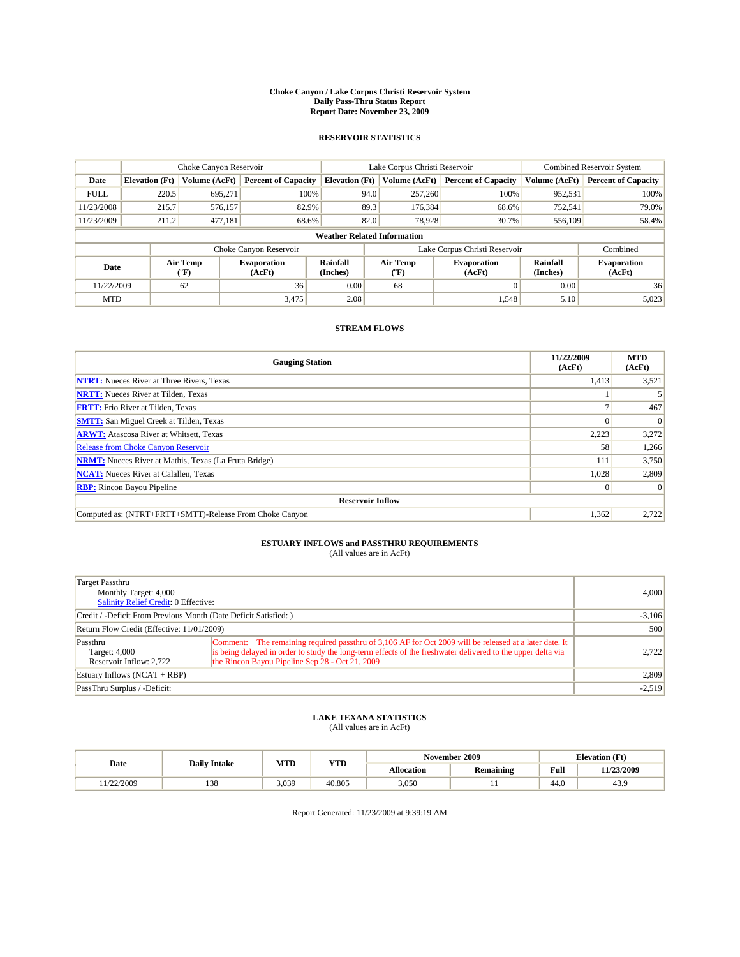#### **Choke Canyon / Lake Corpus Christi Reservoir System Daily Pass-Thru Status Report Report Date: November 23, 2009**

#### **RESERVOIR STATISTICS**

|             | Choke Canyon Reservoir |                          |                              |                       | Lake Corpus Christi Reservoir      |                              |                      | <b>Combined Reservoir System</b> |  |
|-------------|------------------------|--------------------------|------------------------------|-----------------------|------------------------------------|------------------------------|----------------------|----------------------------------|--|
| Date        | <b>Elevation</b> (Ft)  | Volume (AcFt)            | <b>Percent of Capacity</b>   | <b>Elevation</b> (Ft) | Volume (AcFt)                      | <b>Percent of Capacity</b>   | Volume (AcFt)        | <b>Percent of Capacity</b>       |  |
| <b>FULL</b> | 220.5                  | 695,271                  | 100%                         |                       | 257,260<br>94.0                    | 100%                         | 952,531              | 100%                             |  |
| 11/23/2008  | 215.7                  | 576.157                  | 82.9%                        |                       | 89.3<br>176,384                    | 68.6%                        | 752,541              | 79.0%                            |  |
| 11/23/2009  | 211.2                  | 477,181                  | 68.6%                        |                       | 82.0<br>78.928                     | 30.7%                        | 556,109              | 58.4%                            |  |
|             |                        |                          |                              |                       | <b>Weather Related Information</b> |                              |                      |                                  |  |
|             |                        |                          | Choke Canyon Reservoir       |                       | Lake Corpus Christi Reservoir      |                              |                      | Combined                         |  |
| Date        |                        | Air Temp<br>$\rm ^{o}F)$ | <b>Evaporation</b><br>(AcFt) | Rainfall<br>(Inches)  | Air Temp<br>("F)                   | <b>Evaporation</b><br>(AcFt) | Rainfall<br>(Inches) | <b>Evaporation</b><br>(AcFt)     |  |
| 11/22/2009  |                        | 62                       | 36                           | 0.00                  | 68                                 |                              | 0.00                 | 36                               |  |
| <b>MTD</b>  |                        |                          | 3,475                        | 2.08                  |                                    | 1,548                        | 5.10                 | 5,023                            |  |

### **STREAM FLOWS**

| <b>Gauging Station</b>                                       | 11/22/2009<br>(AcFt) | <b>MTD</b><br>(AcFt) |  |  |  |  |  |
|--------------------------------------------------------------|----------------------|----------------------|--|--|--|--|--|
| <b>NTRT:</b> Nueces River at Three Rivers, Texas             | 1,413                | 3,521                |  |  |  |  |  |
| <b>NRTT:</b> Nueces River at Tilden, Texas                   |                      |                      |  |  |  |  |  |
| <b>FRTT:</b> Frio River at Tilden, Texas                     |                      | 467                  |  |  |  |  |  |
| <b>SMTT:</b> San Miguel Creek at Tilden, Texas               |                      | $\Omega$             |  |  |  |  |  |
| <b>ARWT:</b> Atascosa River at Whitsett, Texas               | 2,223                | 3,272                |  |  |  |  |  |
| <b>Release from Choke Canyon Reservoir</b>                   | 58                   | 1,266                |  |  |  |  |  |
| <b>NRMT:</b> Nueces River at Mathis, Texas (La Fruta Bridge) | 111                  | 3,750                |  |  |  |  |  |
| <b>NCAT:</b> Nueces River at Calallen, Texas                 | 1,028                | 2,809                |  |  |  |  |  |
| <b>RBP:</b> Rincon Bayou Pipeline                            | $\vert 0 \vert$      | $\Omega$             |  |  |  |  |  |
| <b>Reservoir Inflow</b>                                      |                      |                      |  |  |  |  |  |
| Computed as: (NTRT+FRTT+SMTT)-Release From Choke Canyon      | 1,362                | 2,722                |  |  |  |  |  |

# **ESTUARY INFLOWS and PASSTHRU REQUIREMENTS**<br>(All values are in AcFt)

| Target Passthru<br>Monthly Target: 4,000<br><b>Salinity Relief Credit: 0 Effective:</b> |                                                                                                                                                                                                                                                                          | 4.000    |
|-----------------------------------------------------------------------------------------|--------------------------------------------------------------------------------------------------------------------------------------------------------------------------------------------------------------------------------------------------------------------------|----------|
| Credit / -Deficit From Previous Month (Date Deficit Satisfied: )                        | $-3,106$                                                                                                                                                                                                                                                                 |          |
| Return Flow Credit (Effective: 11/01/2009)                                              | 500                                                                                                                                                                                                                                                                      |          |
| Passthru<br>Target: 4,000<br>Reservoir Inflow: 2.722                                    | Comment: The remaining required passthru of 3,106 AF for Oct 2009 will be released at a later date. It<br>is being delayed in order to study the long-term effects of the freshwater delivered to the upper delta via<br>the Rincon Bayou Pipeline Sep 28 - Oct 21, 2009 | 2.722    |
| Estuary Inflows $(NCAT + RBP)$                                                          |                                                                                                                                                                                                                                                                          | 2,809    |
| PassThru Surplus / -Deficit:                                                            |                                                                                                                                                                                                                                                                          | $-2,519$ |

## **LAKE TEXANA STATISTICS** (All values are in AcFt)

|           | <b>Daily Intake</b> | MTD   | <b>YTD</b> |                   | November 2009 |      | <b>Elevation</b> (Ft) |
|-----------|---------------------|-------|------------|-------------------|---------------|------|-----------------------|
| Date      |                     |       |            | <b>Allocation</b> | Remaining     | Full | 11/23/2009            |
| 1/22/2009 | 120<br>138          | 3,039 | 40.805     | 3,050             |               | 44.0 | 43.9                  |

Report Generated: 11/23/2009 at 9:39:19 AM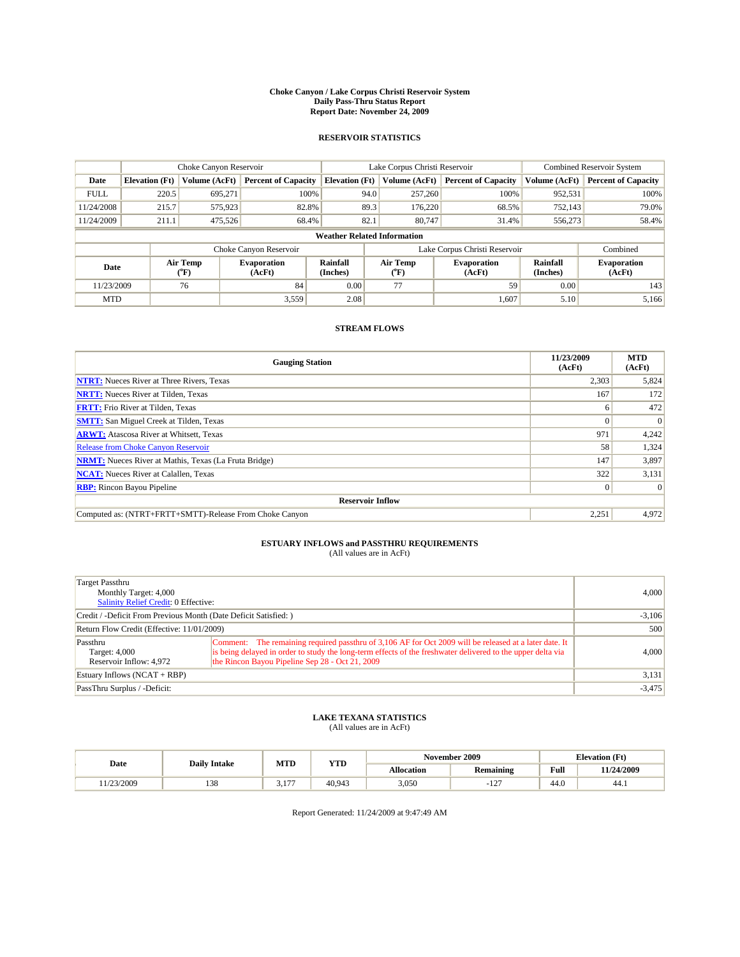#### **Choke Canyon / Lake Corpus Christi Reservoir System Daily Pass-Thru Status Report Report Date: November 24, 2009**

#### **RESERVOIR STATISTICS**

|             | Choke Canyon Reservoir |                  |                              |                                    | Lake Corpus Christi Reservoir |                              |                      | Combined Reservoir System    |  |
|-------------|------------------------|------------------|------------------------------|------------------------------------|-------------------------------|------------------------------|----------------------|------------------------------|--|
| Date        | <b>Elevation</b> (Ft)  | Volume (AcFt)    | <b>Percent of Capacity</b>   | <b>Elevation (Ft)</b>              | Volume (AcFt)                 | <b>Percent of Capacity</b>   | Volume (AcFt)        | <b>Percent of Capacity</b>   |  |
| <b>FULL</b> | 220.5                  | 695,271          | 100%                         | 94.0                               | 257,260                       | 100%                         | 952,531              | 100%                         |  |
| 11/24/2008  | 215.7                  | 575,923          | 82.8%                        | 89.3                               | 176,220                       | 68.5%                        | 752,143              | 79.0%                        |  |
| 11/24/2009  | 211.1                  | 475,526          | 68.4%                        | 82.1                               | 80,747                        | 31.4%                        | 556,273              | 58.4%                        |  |
|             |                        |                  |                              | <b>Weather Related Information</b> |                               |                              |                      |                              |  |
|             |                        |                  | Choke Canyon Reservoir       |                                    | Lake Corpus Christi Reservoir |                              |                      | Combined                     |  |
| Date        |                        | Air Temp<br>(°F) | <b>Evaporation</b><br>(AcFt) | Rainfall<br>(Inches)               | Air Temp<br>("F)              | <b>Evaporation</b><br>(AcFt) | Rainfall<br>(Inches) | <b>Evaporation</b><br>(AcFt) |  |
| 11/23/2009  |                        | 76               | 84                           | 0.00                               | 77                            | 59                           | 0.00                 | 143                          |  |
| <b>MTD</b>  |                        |                  | 3,559                        | 2.08                               |                               | 1,607                        | 5.10                 | 5.166                        |  |

### **STREAM FLOWS**

| <b>Gauging Station</b>                                       | 11/23/2009<br>(AcFt) | <b>MTD</b><br>(AcFt) |  |  |  |  |
|--------------------------------------------------------------|----------------------|----------------------|--|--|--|--|
| <b>NTRT:</b> Nueces River at Three Rivers, Texas             | 2,303                | 5,824                |  |  |  |  |
| <b>NRTT:</b> Nueces River at Tilden, Texas                   | 167                  | 172                  |  |  |  |  |
| <b>FRTT:</b> Frio River at Tilden, Texas                     | 6                    | 472                  |  |  |  |  |
| <b>SMTT:</b> San Miguel Creek at Tilden, Texas               | $\Omega$             | $\Omega$             |  |  |  |  |
| <b>ARWT:</b> Atascosa River at Whitsett, Texas               | 971                  | 4,242                |  |  |  |  |
| <b>Release from Choke Canyon Reservoir</b>                   | 58                   | 1,324                |  |  |  |  |
| <b>NRMT:</b> Nueces River at Mathis, Texas (La Fruta Bridge) | 147                  | 3,897                |  |  |  |  |
| <b>NCAT:</b> Nueces River at Calallen, Texas                 | 322                  | 3,131                |  |  |  |  |
| <b>RBP:</b> Rincon Bayou Pipeline                            | $\vert 0 \vert$      | $\Omega$             |  |  |  |  |
| <b>Reservoir Inflow</b>                                      |                      |                      |  |  |  |  |
| Computed as: (NTRT+FRTT+SMTT)-Release From Choke Canyon      | 2,251                | 4,972                |  |  |  |  |

# **ESTUARY INFLOWS and PASSTHRU REQUIREMENTS**<br>(All values are in AcFt)

| Target Passthru<br>Monthly Target: 4,000<br>Salinity Relief Credit: 0 Effective: | 4,000                                                                                                                                                                                                                                                                    |          |
|----------------------------------------------------------------------------------|--------------------------------------------------------------------------------------------------------------------------------------------------------------------------------------------------------------------------------------------------------------------------|----------|
| Credit / -Deficit From Previous Month (Date Deficit Satisfied: )                 |                                                                                                                                                                                                                                                                          | $-3,106$ |
| Return Flow Credit (Effective: 11/01/2009)                                       |                                                                                                                                                                                                                                                                          | 500      |
| Passthru<br>Target: 4,000<br>Reservoir Inflow: 4,972                             | Comment: The remaining required passthru of 3,106 AF for Oct 2009 will be released at a later date. It<br>is being delayed in order to study the long-term effects of the freshwater delivered to the upper delta via<br>the Rincon Bayou Pipeline Sep 28 - Oct 21, 2009 | 4,000    |
| Estuary Inflows $(NCAT + RBP)$                                                   |                                                                                                                                                                                                                                                                          | 3,131    |
| PassThru Surplus / -Deficit:                                                     |                                                                                                                                                                                                                                                                          | $-3,475$ |

## **LAKE TEXANA STATISTICS** (All values are in AcFt)

|           | <b>Daily Intake</b>              | MTD  | <b>YTD</b> | November 2009 |                |                | <b>Elevation</b> (Ft) |
|-----------|----------------------------------|------|------------|---------------|----------------|----------------|-----------------------|
| Date      |                                  |      |            | Allocation    | Remaining      | Full           | 11/24/2009            |
| 1/23/2009 | $\overline{\phantom{a}}$<br>1.JO | 1.77 | 40.943     | 3,050         | $\sim$<br>- 11 | $\sim$<br>44.0 | 44.1                  |

Report Generated: 11/24/2009 at 9:47:49 AM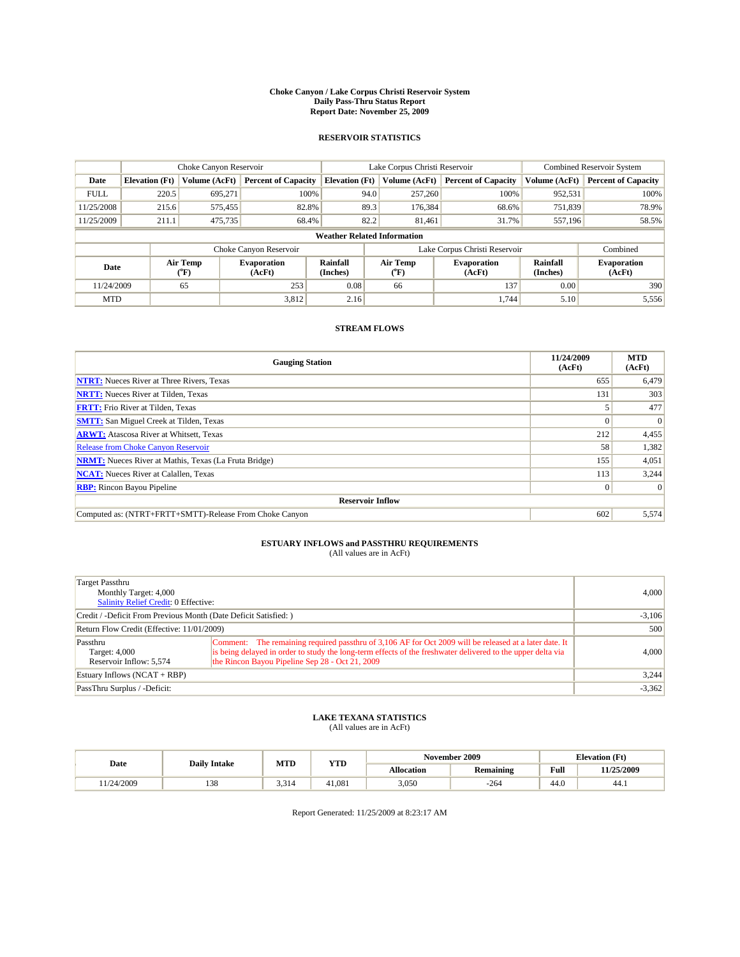#### **Choke Canyon / Lake Corpus Christi Reservoir System Daily Pass-Thru Status Report Report Date: November 25, 2009**

#### **RESERVOIR STATISTICS**

|             | Choke Canyon Reservoir |                             |                              |                                    | Lake Corpus Christi Reservoir |                  |                                                      |               | <b>Combined Reservoir System</b> |  |
|-------------|------------------------|-----------------------------|------------------------------|------------------------------------|-------------------------------|------------------|------------------------------------------------------|---------------|----------------------------------|--|
| Date        | <b>Elevation</b> (Ft)  | Volume (AcFt)               | <b>Percent of Capacity</b>   | <b>Elevation</b> (Ft)              |                               | Volume (AcFt)    | <b>Percent of Capacity</b>                           | Volume (AcFt) | <b>Percent of Capacity</b>       |  |
| <b>FULL</b> | 220.5                  | 695.271                     | 100%                         |                                    | 94.0                          | 257,260          | 100%                                                 | 952,531       | 100%                             |  |
| 11/25/2008  | 215.6                  | 575,455                     | 82.8%                        |                                    | 89.3                          | 176,384          | 68.6%                                                | 751,839       | 78.9%                            |  |
| 11/25/2009  | 211.1                  | 475,735                     | 68.4%                        |                                    | 82.2                          | 81.461           | 31.7%                                                | 557,196       | 58.5%                            |  |
|             |                        |                             |                              | <b>Weather Related Information</b> |                               |                  |                                                      |               |                                  |  |
|             |                        |                             | Choke Canyon Reservoir       |                                    |                               |                  | Lake Corpus Christi Reservoir                        |               | Combined                         |  |
| Date        |                        | Air Temp<br>${}^{\circ}$ F) | <b>Evaporation</b><br>(AcFt) | Rainfall<br>(Inches)               |                               | Air Temp<br>("F) | Rainfall<br><b>Evaporation</b><br>(AcFt)<br>(Inches) |               | <b>Evaporation</b><br>(AcFt)     |  |
| 11/24/2009  |                        | 65                          | 253                          | 0.08                               |                               | 66               | 137                                                  | 0.00          | 390                              |  |
| <b>MTD</b>  |                        |                             | 3,812                        | 2.16                               |                               |                  | 1.744                                                | 5.10          | 5,556                            |  |

### **STREAM FLOWS**

| <b>Gauging Station</b>                                       | 11/24/2009<br>(AcFt) | <b>MTD</b><br>(AcFt) |
|--------------------------------------------------------------|----------------------|----------------------|
| <b>NTRT:</b> Nueces River at Three Rivers, Texas             | 655                  | 6,479                |
| <b>NRTT:</b> Nueces River at Tilden, Texas                   | 131                  | 303                  |
| <b>FRTT:</b> Frio River at Tilden, Texas                     |                      | 477                  |
| <b>SMTT:</b> San Miguel Creek at Tilden, Texas               |                      | $\Omega$             |
| <b>ARWT:</b> Atascosa River at Whitsett, Texas               | 212                  | 4,455                |
| <b>Release from Choke Canyon Reservoir</b>                   | 58                   | 1,382                |
| <b>NRMT:</b> Nueces River at Mathis, Texas (La Fruta Bridge) | 155                  | 4,051                |
| <b>NCAT:</b> Nueces River at Calallen, Texas                 | 113                  | 3,244                |
| <b>RBP:</b> Rincon Bayou Pipeline                            | $\overline{0}$       | $\Omega$             |
| <b>Reservoir Inflow</b>                                      |                      |                      |
| Computed as: (NTRT+FRTT+SMTT)-Release From Choke Canyon      | 602                  | 5,574                |

# **ESTUARY INFLOWS and PASSTHRU REQUIREMENTS**<br>(All values are in AcFt)

| Target Passthru<br>Monthly Target: 4,000<br><b>Salinity Relief Credit: 0 Effective:</b> | 4.000                                                                                                                                                                                                                                                                    |          |
|-----------------------------------------------------------------------------------------|--------------------------------------------------------------------------------------------------------------------------------------------------------------------------------------------------------------------------------------------------------------------------|----------|
| Credit / -Deficit From Previous Month (Date Deficit Satisfied:)                         | $-3,106$                                                                                                                                                                                                                                                                 |          |
| Return Flow Credit (Effective: 11/01/2009)                                              | 500                                                                                                                                                                                                                                                                      |          |
| Passthru<br>Target: 4,000<br>Reservoir Inflow: 5,574                                    | Comment: The remaining required passthru of 3,106 AF for Oct 2009 will be released at a later date. It<br>is being delayed in order to study the long-term effects of the freshwater delivered to the upper delta via<br>the Rincon Bayou Pipeline Sep 28 - Oct 21, 2009 | 4.000    |
| Estuary Inflows $(NCAT + RBP)$                                                          | 3,244                                                                                                                                                                                                                                                                    |          |
| PassThru Surplus / -Deficit:                                                            |                                                                                                                                                                                                                                                                          | $-3,362$ |

## **LAKE TEXANA STATISTICS** (All values are in AcFt)

|           | <b>Daily Intake</b> | MTD   | <b>YTD</b> | November 2009 |                  |                | <b>Elevation</b> (Ft) |
|-----------|---------------------|-------|------------|---------------|------------------|----------------|-----------------------|
| Date      |                     |       |            | Allocation    | <b>Remaining</b> | Full           | 11/25/2009            |
| 1/24/2009 | 120<br>1.JO         | 3.314 | 41.081     | 3,050         | $-264$           | $\sim$<br>44.v | 44.1                  |

Report Generated: 11/25/2009 at 8:23:17 AM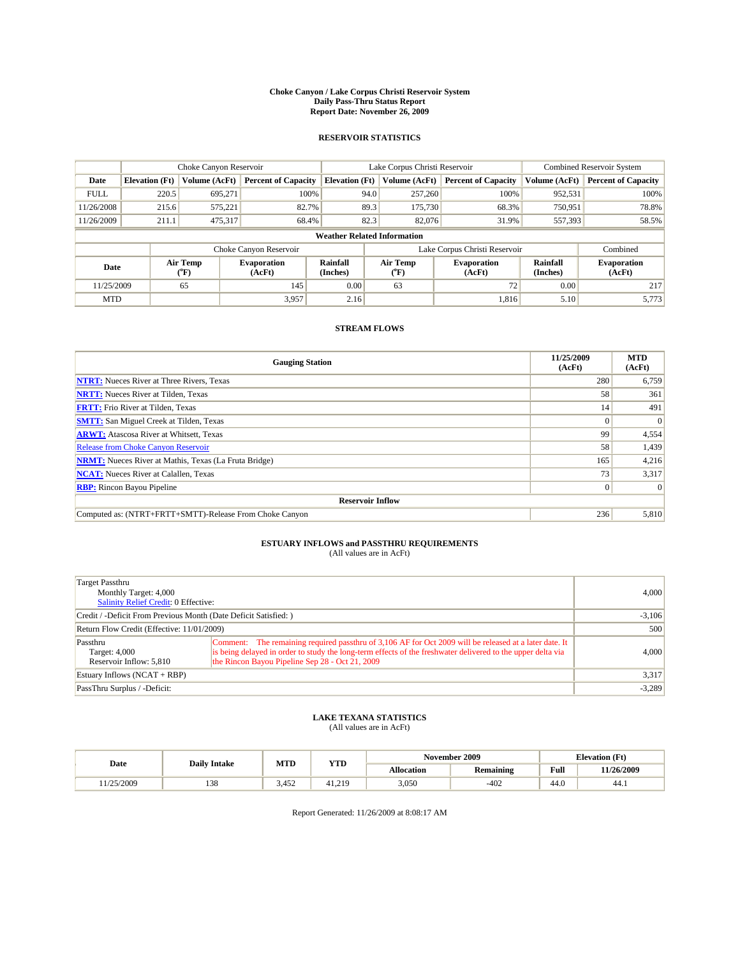#### **Choke Canyon / Lake Corpus Christi Reservoir System Daily Pass-Thru Status Report Report Date: November 26, 2009**

#### **RESERVOIR STATISTICS**

|             | Choke Canyon Reservoir |                             |                              |                                    | Lake Corpus Christi Reservoir |                  |                                                      |               | <b>Combined Reservoir System</b> |  |
|-------------|------------------------|-----------------------------|------------------------------|------------------------------------|-------------------------------|------------------|------------------------------------------------------|---------------|----------------------------------|--|
| Date        | <b>Elevation</b> (Ft)  | Volume (AcFt)               | <b>Percent of Capacity</b>   | <b>Elevation</b> (Ft)              |                               | Volume (AcFt)    | <b>Percent of Capacity</b>                           | Volume (AcFt) | <b>Percent of Capacity</b>       |  |
| <b>FULL</b> | 220.5                  | 695.271                     | 100%                         |                                    | 94.0                          | 257,260          | 100%                                                 | 952,531       | 100%                             |  |
| 11/26/2008  | 215.6                  | 575.221                     | 82.7%                        |                                    | 89.3                          | 175,730          | 68.3%                                                | 750,951       | 78.8%                            |  |
| 11/26/2009  | 211.1                  | 475,317                     | 68.4%                        |                                    | 82.3                          | 82,076           | 31.9%                                                | 557,393       | 58.5%                            |  |
|             |                        |                             |                              | <b>Weather Related Information</b> |                               |                  |                                                      |               |                                  |  |
|             |                        |                             | Choke Canyon Reservoir       |                                    |                               |                  | Lake Corpus Christi Reservoir                        |               | Combined                         |  |
| Date        |                        | Air Temp<br>${}^{\circ}$ F) | <b>Evaporation</b><br>(AcFt) | Rainfall<br>(Inches)               |                               | Air Temp<br>("F) | Rainfall<br><b>Evaporation</b><br>(AcFt)<br>(Inches) |               | <b>Evaporation</b><br>(AcFt)     |  |
| 11/25/2009  |                        | 65                          | 145                          | 0.00                               |                               | 63               | 72                                                   | 0.00          | 217                              |  |
| <b>MTD</b>  |                        |                             | 3,957                        | 2.16                               |                               |                  | 1,816                                                | 5.10          | 5,773                            |  |

### **STREAM FLOWS**

| <b>Gauging Station</b>                                       | 11/25/2009<br>(AcFt) | <b>MTD</b><br>(AcFt) |
|--------------------------------------------------------------|----------------------|----------------------|
| <b>NTRT:</b> Nueces River at Three Rivers, Texas             | 280                  | 6,759                |
| <b>NRTT:</b> Nueces River at Tilden, Texas                   | 58                   | 361                  |
| <b>FRTT:</b> Frio River at Tilden, Texas                     | 14                   | 491                  |
| <b>SMTT:</b> San Miguel Creek at Tilden, Texas               | $\Omega$             | $\Omega$             |
| <b>ARWT:</b> Atascosa River at Whitsett, Texas               | 99                   | 4,554                |
| <b>Release from Choke Canyon Reservoir</b>                   | 58                   | 1,439                |
| <b>NRMT:</b> Nueces River at Mathis, Texas (La Fruta Bridge) | 165                  | 4,216                |
| <b>NCAT:</b> Nueces River at Calallen, Texas                 | 73                   | 3,317                |
| <b>RBP:</b> Rincon Bayou Pipeline                            | $\overline{0}$       | $\Omega$             |
| <b>Reservoir Inflow</b>                                      |                      |                      |
| Computed as: (NTRT+FRTT+SMTT)-Release From Choke Canyon      | 236                  | 5,810                |

# **ESTUARY INFLOWS and PASSTHRU REQUIREMENTS**<br>(All values are in AcFt)

| Target Passthru<br>Monthly Target: 4,000<br><b>Salinity Relief Credit: 0 Effective:</b> | 4,000                                                                                                                                                                                                                                                                    |          |
|-----------------------------------------------------------------------------------------|--------------------------------------------------------------------------------------------------------------------------------------------------------------------------------------------------------------------------------------------------------------------------|----------|
| Credit / -Deficit From Previous Month (Date Deficit Satisfied: )                        | $-3,106$                                                                                                                                                                                                                                                                 |          |
| Return Flow Credit (Effective: 11/01/2009)                                              | 500                                                                                                                                                                                                                                                                      |          |
| Passthru<br>Target: 4,000<br>Reservoir Inflow: 5,810                                    | Comment: The remaining required passthru of 3,106 AF for Oct 2009 will be released at a later date. It<br>is being delayed in order to study the long-term effects of the freshwater delivered to the upper delta via<br>the Rincon Bayou Pipeline Sep 28 - Oct 21, 2009 | 4,000    |
| Estuary Inflows $(NCAT + RBP)$                                                          |                                                                                                                                                                                                                                                                          | 3,317    |
| PassThru Surplus / -Deficit:                                                            |                                                                                                                                                                                                                                                                          | $-3,289$ |

## **LAKE TEXANA STATISTICS** (All values are in AcFt)

|           | <b>Daily Intake</b> | MTD   | <b>VTD</b> | November 2009 |                  |                            | <b>Elevation</b> (Ft) |
|-----------|---------------------|-------|------------|---------------|------------------|----------------------------|-----------------------|
| Date      |                     |       | 1 I D      | Allocation    | <b>Remaining</b> | Full                       | 11/26/2009            |
| 1/25/2009 | 120<br>1.JO         | 3.452 | 41.219     | 3,050         | $-402$           | $\sim$<br>44. <sub>V</sub> | 44.1                  |

Report Generated: 11/26/2009 at 8:08:17 AM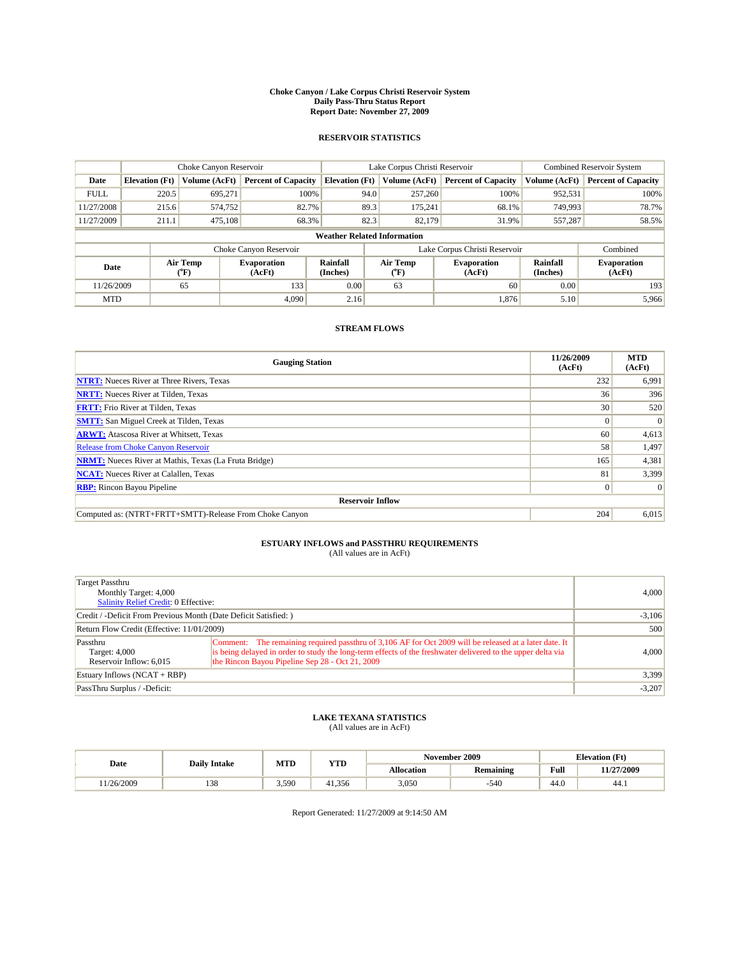#### **Choke Canyon / Lake Corpus Christi Reservoir System Daily Pass-Thru Status Report Report Date: November 27, 2009**

#### **RESERVOIR STATISTICS**

|             | Choke Canyon Reservoir<br>Lake Corpus Christi Reservoir |                  |                              |                                    | Combined Reservoir System |                                                      |               |                              |
|-------------|---------------------------------------------------------|------------------|------------------------------|------------------------------------|---------------------------|------------------------------------------------------|---------------|------------------------------|
| Date        | <b>Elevation</b> (Ft)                                   | Volume (AcFt)    | <b>Percent of Capacity</b>   | <b>Elevation (Ft)</b>              | Volume (AcFt)             | <b>Percent of Capacity</b>                           | Volume (AcFt) | <b>Percent of Capacity</b>   |
| <b>FULL</b> | 220.5                                                   | 695,271          | 100%                         | 94.0                               | 257,260                   | 100%                                                 | 952,531       | 100%                         |
| 11/27/2008  | 215.6                                                   | 574.752          | 82.7%                        | 89.3                               | 175,241                   | 68.1%                                                | 749,993       | 78.7%                        |
| 11/27/2009  | 211.1                                                   | 475.108          | 68.3%                        | 82.3                               | 82.179                    | 31.9%                                                | 557,287       | 58.5%                        |
|             |                                                         |                  |                              | <b>Weather Related Information</b> |                           |                                                      |               |                              |
|             |                                                         |                  | Choke Canyon Reservoir       |                                    |                           | Lake Corpus Christi Reservoir                        |               | Combined                     |
| Date        |                                                         | Air Temp<br>(°F) | <b>Evaporation</b><br>(AcFt) | Rainfall<br>(Inches)               | Air Temp<br>("F)          | Rainfall<br><b>Evaporation</b><br>(Inches)<br>(AcFt) |               | <b>Evaporation</b><br>(AcFt) |
| 11/26/2009  |                                                         | 65               | 133                          | 0.00                               | 63                        | 60                                                   | 0.00          | 193                          |
| <b>MTD</b>  |                                                         |                  | 4.090                        | 2.16                               |                           | 1,876                                                | 5.10          | 5,966                        |

### **STREAM FLOWS**

| <b>Gauging Station</b>                                       | 11/26/2009<br>(AcFt) | <b>MTD</b><br>(AcFt) |  |  |  |  |  |
|--------------------------------------------------------------|----------------------|----------------------|--|--|--|--|--|
| <b>NTRT:</b> Nueces River at Three Rivers, Texas             | 232                  | 6,991                |  |  |  |  |  |
| <b>NRTT:</b> Nueces River at Tilden, Texas                   | 36                   | 396                  |  |  |  |  |  |
| <b>FRTT:</b> Frio River at Tilden, Texas                     | 30                   | 520                  |  |  |  |  |  |
| <b>SMTT:</b> San Miguel Creek at Tilden, Texas               | $\Omega$             | $\Omega$             |  |  |  |  |  |
| <b>ARWT:</b> Atascosa River at Whitsett, Texas               | 60                   | 4,613                |  |  |  |  |  |
| <b>Release from Choke Canyon Reservoir</b>                   | 58                   | 1,497                |  |  |  |  |  |
| <b>NRMT:</b> Nueces River at Mathis, Texas (La Fruta Bridge) | 165                  | 4,381                |  |  |  |  |  |
| <b>NCAT:</b> Nueces River at Calallen, Texas                 | 81                   | 3,399                |  |  |  |  |  |
| <b>RBP:</b> Rincon Bayou Pipeline                            | $\overline{0}$       | $\Omega$             |  |  |  |  |  |
| <b>Reservoir Inflow</b>                                      |                      |                      |  |  |  |  |  |
| Computed as: (NTRT+FRTT+SMTT)-Release From Choke Canyon      | 204                  | 6,015                |  |  |  |  |  |

# **ESTUARY INFLOWS and PASSTHRU REQUIREMENTS**<br>(All values are in AcFt)

| Target Passthru<br>Monthly Target: 4,000<br>Salinity Relief Credit: 0 Effective: | 4,000                                                                                                                                                                                                                                                                    |          |
|----------------------------------------------------------------------------------|--------------------------------------------------------------------------------------------------------------------------------------------------------------------------------------------------------------------------------------------------------------------------|----------|
| Credit / -Deficit From Previous Month (Date Deficit Satisfied: )                 | $-3,106$                                                                                                                                                                                                                                                                 |          |
| Return Flow Credit (Effective: 11/01/2009)                                       | 500                                                                                                                                                                                                                                                                      |          |
| Passthru<br>Target: 4,000<br>Reservoir Inflow: 6,015                             | Comment: The remaining required passthru of 3,106 AF for Oct 2009 will be released at a later date. It<br>is being delayed in order to study the long-term effects of the freshwater delivered to the upper delta via<br>the Rincon Bayou Pipeline Sep 28 - Oct 21, 2009 | 4,000    |
| Estuary Inflows $(NCAT + RBP)$                                                   |                                                                                                                                                                                                                                                                          | 3,399    |
| PassThru Surplus / -Deficit:                                                     |                                                                                                                                                                                                                                                                          | $-3,207$ |

## **LAKE TEXANA STATISTICS** (All values are in AcFt)

|           |                     | MTD | <b>YTD</b> |            | November 2009    |                | <b>Elevation</b> (Ft) |
|-----------|---------------------|-----|------------|------------|------------------|----------------|-----------------------|
| Date      | <b>Daily Intake</b> |     |            | Allocation | <b>Remaining</b> | Full           | 11/27/2009            |
| 1/26/2009 | 120<br>1.JO         | 590 | 41.356     | 3,050      | 540              | $\sim$<br>44.v | 44.)                  |

Report Generated: 11/27/2009 at 9:14:50 AM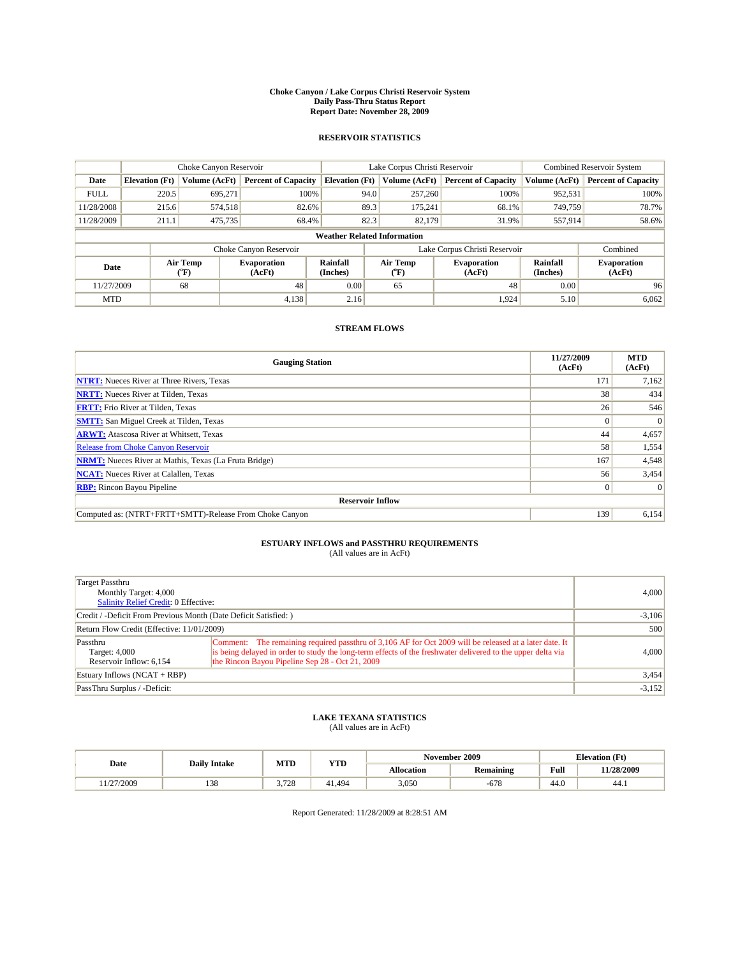#### **Choke Canyon / Lake Corpus Christi Reservoir System Daily Pass-Thru Status Report Report Date: November 28, 2009**

#### **RESERVOIR STATISTICS**

|             | Choke Canyon Reservoir |                  |                              |                                    | Lake Corpus Christi Reservoir | Combined Reservoir System    |                      |                              |
|-------------|------------------------|------------------|------------------------------|------------------------------------|-------------------------------|------------------------------|----------------------|------------------------------|
| Date        | <b>Elevation</b> (Ft)  | Volume (AcFt)    | <b>Percent of Capacity</b>   | <b>Elevation (Ft)</b>              | Volume (AcFt)                 | <b>Percent of Capacity</b>   | Volume (AcFt)        | <b>Percent of Capacity</b>   |
| <b>FULL</b> | 220.5                  | 695,271          | 100%                         | 94.0                               | 257,260                       | 100%                         | 952,531              | 100%                         |
| 11/28/2008  | 215.6                  | 574,518          | 82.6%                        | 89.3                               | 175,241                       | 68.1%                        | 749,759              | 78.7%                        |
| 11/28/2009  | 211.1                  | 475,735          | 68.4%                        | 82.3                               | 82.179                        | 31.9%                        | 557,914              | 58.6%                        |
|             |                        |                  |                              | <b>Weather Related Information</b> |                               |                              |                      |                              |
|             |                        |                  | Choke Canyon Reservoir       |                                    | Lake Corpus Christi Reservoir |                              |                      | Combined                     |
| Date        |                        | Air Temp<br>(°F) | <b>Evaporation</b><br>(AcFt) | Rainfall<br>(Inches)               | Air Temp<br>("F)              | <b>Evaporation</b><br>(AcFt) | Rainfall<br>(Inches) | <b>Evaporation</b><br>(AcFt) |
| 11/27/2009  |                        | 68               | 48                           | 0.00                               | 65                            | 48                           | 0.00                 | 96                           |
| <b>MTD</b>  |                        |                  | 4,138                        | 2.16                               |                               | 1,924                        | 5.10                 | 6.062                        |

### **STREAM FLOWS**

| <b>Gauging Station</b>                                       | 11/27/2009<br>(AcFt) | <b>MTD</b><br>(AcFt) |
|--------------------------------------------------------------|----------------------|----------------------|
| <b>NTRT:</b> Nueces River at Three Rivers, Texas             | 171                  | 7,162                |
| <b>NRTT:</b> Nueces River at Tilden, Texas                   | 38                   | 434                  |
| <b>FRTT:</b> Frio River at Tilden, Texas                     | 26                   | 546                  |
| <b>SMTT:</b> San Miguel Creek at Tilden, Texas               | $\Omega$             | $\Omega$             |
| <b>ARWT:</b> Atascosa River at Whitsett, Texas               | 44                   | 4,657                |
| <b>Release from Choke Canyon Reservoir</b>                   | 58                   | 1,554                |
| <b>NRMT:</b> Nueces River at Mathis, Texas (La Fruta Bridge) | 167                  | 4,548                |
| <b>NCAT:</b> Nueces River at Calallen, Texas                 | 56                   | 3,454                |
| <b>RBP:</b> Rincon Bayou Pipeline                            | $\overline{0}$       | $\Omega$             |
| <b>Reservoir Inflow</b>                                      |                      |                      |
| Computed as: (NTRT+FRTT+SMTT)-Release From Choke Canyon      | 139                  | 6,154                |

# **ESTUARY INFLOWS and PASSTHRU REQUIREMENTS**<br>(All values are in AcFt)

| Target Passthru<br>Monthly Target: 4,000<br><b>Salinity Relief Credit: 0 Effective:</b> | 4,000                                                                                                                                                                                                                                                                    |          |
|-----------------------------------------------------------------------------------------|--------------------------------------------------------------------------------------------------------------------------------------------------------------------------------------------------------------------------------------------------------------------------|----------|
| Credit / -Deficit From Previous Month (Date Deficit Satisfied: )                        | $-3,106$                                                                                                                                                                                                                                                                 |          |
| Return Flow Credit (Effective: 11/01/2009)                                              |                                                                                                                                                                                                                                                                          | 500      |
| Passthru<br>Target: 4,000<br>Reservoir Inflow: 6.154                                    | Comment: The remaining required passthru of 3,106 AF for Oct 2009 will be released at a later date. It<br>is being delayed in order to study the long-term effects of the freshwater delivered to the upper delta via<br>the Rincon Bayou Pipeline Sep 28 - Oct 21, 2009 | 4,000    |
| Estuary Inflows $(NCAT + RBP)$                                                          |                                                                                                                                                                                                                                                                          | 3,454    |
| PassThru Surplus / -Deficit:                                                            |                                                                                                                                                                                                                                                                          | $-3,152$ |

## **LAKE TEXANA STATISTICS** (All values are in AcFt)

|          |                     | MTD               | <b>VTD</b> |            | November 2009    | <b>Elevation</b> (Ft)      |            |
|----------|---------------------|-------------------|------------|------------|------------------|----------------------------|------------|
| Date     | <b>Daily Intake</b> |                   | 1 I D      | Allocation | <b>Remaining</b> | Full                       | 11/28/2009 |
| /27/2009 | 120<br>1.JO         | 700<br>1/20<br>J. | 41.494     | 3,050      | $-678$           | $\sim$<br>44. <sub>V</sub> | 44.1       |

Report Generated: 11/28/2009 at 8:28:51 AM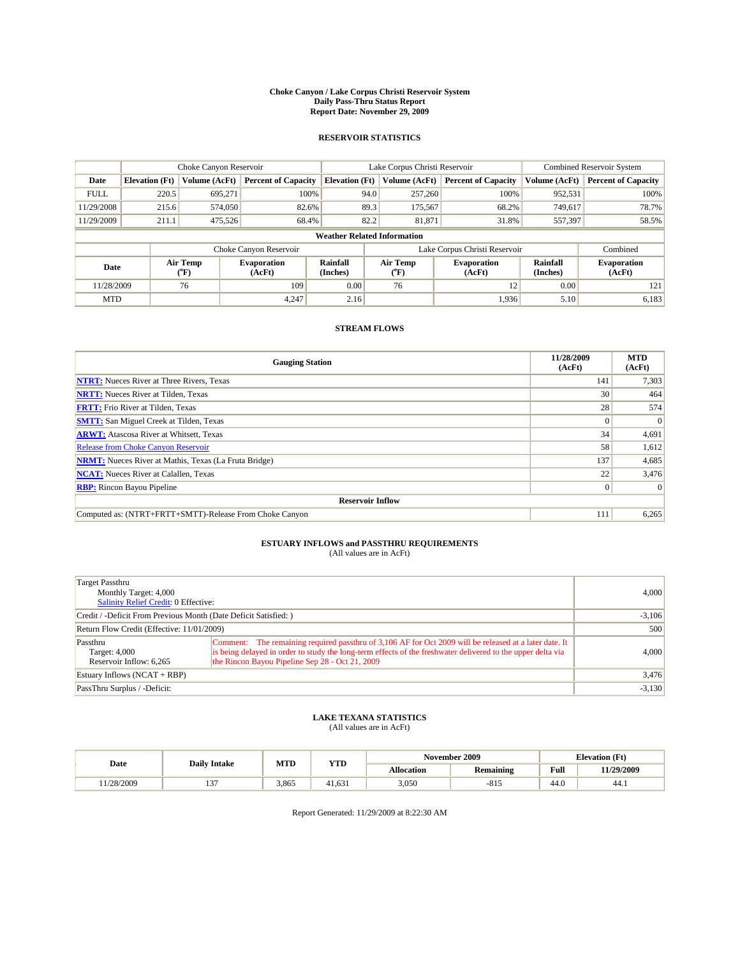#### **Choke Canyon / Lake Corpus Christi Reservoir System Daily Pass-Thru Status Report Report Date: November 29, 2009**

#### **RESERVOIR STATISTICS**

|             | Choke Canyon Reservoir |                          |                              |                                    | Lake Corpus Christi Reservoir |                  |                              |                      | <b>Combined Reservoir System</b> |  |
|-------------|------------------------|--------------------------|------------------------------|------------------------------------|-------------------------------|------------------|------------------------------|----------------------|----------------------------------|--|
| Date        | <b>Elevation</b> (Ft)  | Volume (AcFt)            | <b>Percent of Capacity</b>   | <b>Elevation</b> (Ft)              |                               | Volume (AcFt)    | <b>Percent of Capacity</b>   | Volume (AcFt)        | <b>Percent of Capacity</b>       |  |
| <b>FULL</b> | 220.5                  | 695.271                  | 100%                         |                                    | 94.0                          | 257,260          | 100%                         | 952,531              | 100%                             |  |
| 11/29/2008  | 215.6                  | 574,050                  | 82.6%                        |                                    | 89.3                          | 175,567          | 68.2%                        | 749.617              | 78.7%                            |  |
| 11/29/2009  | 211.1                  | 475,526                  | 68.4%                        |                                    | 82.2<br>81,871<br>31.8%       |                  | 557,397                      | 58.5%                |                                  |  |
|             |                        |                          |                              | <b>Weather Related Information</b> |                               |                  |                              |                      |                                  |  |
|             |                        |                          | Choke Canyon Reservoir       |                                    | Lake Corpus Christi Reservoir |                  |                              |                      | Combined                         |  |
| Date        |                        | Air Temp<br>$\rm ^{o}F)$ | <b>Evaporation</b><br>(AcFt) | Rainfall<br>(Inches)               |                               | Air Temp<br>("F) | <b>Evaporation</b><br>(AcFt) | Rainfall<br>(Inches) | <b>Evaporation</b><br>(AcFt)     |  |
| 11/28/2009  |                        | 76                       | 109                          | 0.00                               |                               | 76               | 12                           | 0.00                 | 121                              |  |
| <b>MTD</b>  |                        |                          | 4,247                        | 2.16                               |                               |                  | 1,936                        | 5.10                 | 6,183                            |  |

### **STREAM FLOWS**

| <b>Gauging Station</b>                                       | 11/28/2009<br>(AcFt) | <b>MTD</b><br>(AcFt) |
|--------------------------------------------------------------|----------------------|----------------------|
| <b>NTRT:</b> Nueces River at Three Rivers, Texas             | 141                  | 7,303                |
| <b>NRTT:</b> Nueces River at Tilden, Texas                   | 30                   | 464                  |
| <b>FRTT:</b> Frio River at Tilden, Texas                     | 28                   | 574                  |
| <b>SMTT:</b> San Miguel Creek at Tilden, Texas               | $\Omega$             | $\Omega$             |
| <b>ARWT:</b> Atascosa River at Whitsett, Texas               | 34                   | 4,691                |
| <b>Release from Choke Canyon Reservoir</b>                   | 58                   | 1,612                |
| <b>NRMT:</b> Nueces River at Mathis, Texas (La Fruta Bridge) | 137                  | 4,685                |
| <b>NCAT:</b> Nueces River at Calallen, Texas                 | 22                   | 3,476                |
| <b>RBP:</b> Rincon Bayou Pipeline                            | $\overline{0}$       | $\Omega$             |
| <b>Reservoir Inflow</b>                                      |                      |                      |
| Computed as: (NTRT+FRTT+SMTT)-Release From Choke Canyon      | 111                  | 6,265                |

# **ESTUARY INFLOWS and PASSTHRU REQUIREMENTS**<br>(All values are in AcFt)

| <b>Target Passthru</b><br>Monthly Target: 4,000<br><b>Salinity Relief Credit: 0 Effective:</b> | 4.000                                                                                                                                                                                                                                                                    |          |
|------------------------------------------------------------------------------------------------|--------------------------------------------------------------------------------------------------------------------------------------------------------------------------------------------------------------------------------------------------------------------------|----------|
| Credit / -Deficit From Previous Month (Date Deficit Satisfied: )                               | $-3,106$                                                                                                                                                                                                                                                                 |          |
| Return Flow Credit (Effective: 11/01/2009)                                                     | 500                                                                                                                                                                                                                                                                      |          |
| Passthru<br>Target: 4,000<br>Reservoir Inflow: 6,265                                           | Comment: The remaining required passthru of 3,106 AF for Oct 2009 will be released at a later date. It<br>is being delayed in order to study the long-term effects of the freshwater delivered to the upper delta via<br>the Rincon Bayou Pipeline Sep 28 - Oct 21, 2009 | 4.000    |
| Estuary Inflows (NCAT + RBP)                                                                   | 3,476                                                                                                                                                                                                                                                                    |          |
| PassThru Surplus / -Deficit:                                                                   |                                                                                                                                                                                                                                                                          | $-3,130$ |

## **LAKE TEXANA STATISTICS** (All values are in AcFt)

|         |                     | MTD   | <b>VTD</b> | November 2009<br><b>Elevation</b> (Ft) |                  |                            |            |
|---------|---------------------|-------|------------|----------------------------------------|------------------|----------------------------|------------|
| Date    | <b>Daily Intake</b> |       | 1 I D      | Allocation                             | <b>Remaining</b> | Full                       | 11/29/2009 |
| 28/2009 | $\sim$<br>$\cdot$   | 3,865 | 41.631     | 3,050                                  | $-01$            | $\sim$<br>44. <sub>V</sub> | 44.1       |

Report Generated: 11/29/2009 at 8:22:30 AM